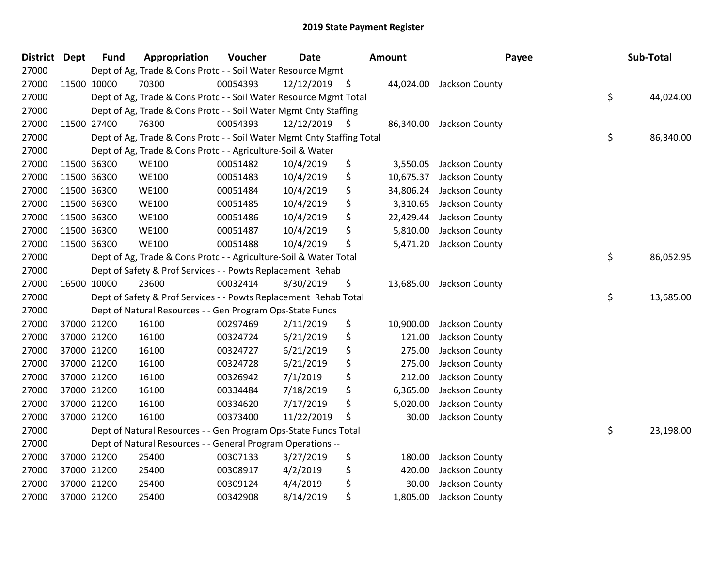| <b>District Dept</b> |             | <b>Fund</b> | Appropriation                                                          | Voucher  | <b>Date</b>     | <b>Amount</b>   | Payee                    | Sub-Total       |
|----------------------|-------------|-------------|------------------------------------------------------------------------|----------|-----------------|-----------------|--------------------------|-----------------|
| 27000                |             |             | Dept of Ag, Trade & Cons Protc - - Soil Water Resource Mgmt            |          |                 |                 |                          |                 |
| 27000                |             | 11500 10000 | 70300                                                                  | 00054393 | $12/12/2019$ \$ |                 | 44,024.00 Jackson County |                 |
| 27000                |             |             | Dept of Ag, Trade & Cons Protc - - Soil Water Resource Mgmt Total      |          |                 |                 |                          | \$<br>44,024.00 |
| 27000                |             |             | Dept of Ag, Trade & Cons Protc - - Soil Water Mgmt Cnty Staffing       |          |                 |                 |                          |                 |
| 27000                |             | 11500 27400 | 76300                                                                  | 00054393 | $12/12/2019$ \$ | 86,340.00       | Jackson County           |                 |
| 27000                |             |             | Dept of Ag, Trade & Cons Protc - - Soil Water Mgmt Cnty Staffing Total |          |                 |                 |                          | \$<br>86,340.00 |
| 27000                |             |             | Dept of Ag, Trade & Cons Protc - - Agriculture-Soil & Water            |          |                 |                 |                          |                 |
| 27000                |             | 11500 36300 | <b>WE100</b>                                                           | 00051482 | 10/4/2019       | \$<br>3,550.05  | Jackson County           |                 |
| 27000                | 11500 36300 |             | <b>WE100</b>                                                           | 00051483 | 10/4/2019       | \$<br>10,675.37 | Jackson County           |                 |
| 27000                | 11500 36300 |             | <b>WE100</b>                                                           | 00051484 | 10/4/2019       | \$<br>34,806.24 | Jackson County           |                 |
| 27000                |             | 11500 36300 | <b>WE100</b>                                                           | 00051485 | 10/4/2019       | \$<br>3,310.65  | Jackson County           |                 |
| 27000                |             | 11500 36300 | <b>WE100</b>                                                           | 00051486 | 10/4/2019       | \$<br>22,429.44 | Jackson County           |                 |
| 27000                |             | 11500 36300 | <b>WE100</b>                                                           | 00051487 | 10/4/2019       | \$<br>5,810.00  | Jackson County           |                 |
| 27000                |             | 11500 36300 | <b>WE100</b>                                                           | 00051488 | 10/4/2019       | \$<br>5,471.20  | Jackson County           |                 |
| 27000                |             |             | Dept of Ag, Trade & Cons Protc - - Agriculture-Soil & Water Total      |          |                 |                 |                          | \$<br>86,052.95 |
| 27000                |             |             | Dept of Safety & Prof Services - - Powts Replacement Rehab             |          |                 |                 |                          |                 |
| 27000                |             | 16500 10000 | 23600                                                                  | 00032414 | 8/30/2019       | \$<br>13,685.00 | Jackson County           |                 |
| 27000                |             |             | Dept of Safety & Prof Services - - Powts Replacement Rehab Total       |          |                 |                 |                          | \$<br>13,685.00 |
| 27000                |             |             | Dept of Natural Resources - - Gen Program Ops-State Funds              |          |                 |                 |                          |                 |
| 27000                |             | 37000 21200 | 16100                                                                  | 00297469 | 2/11/2019       | \$<br>10,900.00 | Jackson County           |                 |
| 27000                |             | 37000 21200 | 16100                                                                  | 00324724 | 6/21/2019       | \$<br>121.00    | Jackson County           |                 |
| 27000                |             | 37000 21200 | 16100                                                                  | 00324727 | 6/21/2019       | \$<br>275.00    | Jackson County           |                 |
| 27000                |             | 37000 21200 | 16100                                                                  | 00324728 | 6/21/2019       | \$<br>275.00    | Jackson County           |                 |
| 27000                |             | 37000 21200 | 16100                                                                  | 00326942 | 7/1/2019        | \$<br>212.00    | Jackson County           |                 |
| 27000                |             | 37000 21200 | 16100                                                                  | 00334484 | 7/18/2019       | \$<br>6,365.00  | Jackson County           |                 |
| 27000                |             | 37000 21200 | 16100                                                                  | 00334620 | 7/17/2019       | \$<br>5,020.00  | Jackson County           |                 |
| 27000                |             | 37000 21200 | 16100                                                                  | 00373400 | 11/22/2019      | \$<br>30.00     | Jackson County           |                 |
| 27000                |             |             | Dept of Natural Resources - - Gen Program Ops-State Funds Total        |          |                 |                 |                          | \$<br>23,198.00 |
| 27000                |             |             | Dept of Natural Resources - - General Program Operations --            |          |                 |                 |                          |                 |
| 27000                |             | 37000 21200 | 25400                                                                  | 00307133 | 3/27/2019       | \$<br>180.00    | Jackson County           |                 |
| 27000                |             | 37000 21200 | 25400                                                                  | 00308917 | 4/2/2019        | \$<br>420.00    | Jackson County           |                 |
| 27000                |             | 37000 21200 | 25400                                                                  | 00309124 | 4/4/2019        | \$<br>30.00     | Jackson County           |                 |
| 27000                |             | 37000 21200 | 25400                                                                  | 00342908 | 8/14/2019       | \$<br>1,805.00  | Jackson County           |                 |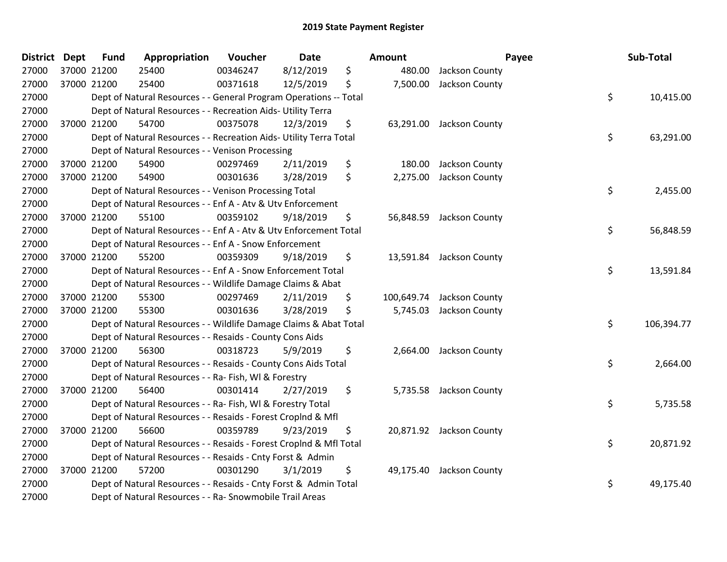| District Dept | <b>Fund</b> | Appropriation                                                      | Voucher  | <b>Date</b> | Amount          |                           | Payee | Sub-Total  |
|---------------|-------------|--------------------------------------------------------------------|----------|-------------|-----------------|---------------------------|-------|------------|
| 27000         | 37000 21200 | 25400                                                              | 00346247 | 8/12/2019   | \$<br>480.00    | Jackson County            |       |            |
| 27000         | 37000 21200 | 25400                                                              | 00371618 | 12/5/2019   | \$<br>7,500.00  | Jackson County            |       |            |
| 27000         |             | Dept of Natural Resources - - General Program Operations -- Total  |          |             |                 |                           | \$    | 10,415.00  |
| 27000         |             | Dept of Natural Resources - - Recreation Aids- Utility Terra       |          |             |                 |                           |       |            |
| 27000         | 37000 21200 | 54700                                                              | 00375078 | 12/3/2019   | \$<br>63,291.00 | Jackson County            |       |            |
| 27000         |             | Dept of Natural Resources - - Recreation Aids- Utility Terra Total |          |             |                 |                           | \$    | 63,291.00  |
| 27000         |             | Dept of Natural Resources - - Venison Processing                   |          |             |                 |                           |       |            |
| 27000         | 37000 21200 | 54900                                                              | 00297469 | 2/11/2019   | \$<br>180.00    | Jackson County            |       |            |
| 27000         | 37000 21200 | 54900                                                              | 00301636 | 3/28/2019   | \$<br>2,275.00  | Jackson County            |       |            |
| 27000         |             | Dept of Natural Resources - - Venison Processing Total             |          |             |                 |                           | \$    | 2,455.00   |
| 27000         |             | Dept of Natural Resources - - Enf A - Atv & Utv Enforcement        |          |             |                 |                           |       |            |
| 27000         | 37000 21200 | 55100                                                              | 00359102 | 9/18/2019   | \$              | 56,848.59 Jackson County  |       |            |
| 27000         |             | Dept of Natural Resources - - Enf A - Atv & Utv Enforcement Total  |          |             |                 |                           | \$    | 56,848.59  |
| 27000         |             | Dept of Natural Resources - - Enf A - Snow Enforcement             |          |             |                 |                           |       |            |
| 27000         | 37000 21200 | 55200                                                              | 00359309 | 9/18/2019   | \$<br>13,591.84 | Jackson County            |       |            |
| 27000         |             | Dept of Natural Resources - - Enf A - Snow Enforcement Total       |          |             |                 |                           | \$    | 13,591.84  |
| 27000         |             | Dept of Natural Resources - - Wildlife Damage Claims & Abat        |          |             |                 |                           |       |            |
| 27000         | 37000 21200 | 55300                                                              | 00297469 | 2/11/2019   | \$              | 100,649.74 Jackson County |       |            |
| 27000         | 37000 21200 | 55300                                                              | 00301636 | 3/28/2019   | \$<br>5,745.03  | Jackson County            |       |            |
| 27000         |             | Dept of Natural Resources - - Wildlife Damage Claims & Abat Total  |          |             |                 |                           | \$    | 106,394.77 |
| 27000         |             | Dept of Natural Resources - - Resaids - County Cons Aids           |          |             |                 |                           |       |            |
| 27000         | 37000 21200 | 56300                                                              | 00318723 | 5/9/2019    | \$              | 2,664.00 Jackson County   |       |            |
| 27000         |             | Dept of Natural Resources - - Resaids - County Cons Aids Total     |          |             |                 |                           | \$    | 2,664.00   |
| 27000         |             | Dept of Natural Resources - - Ra- Fish, WI & Forestry              |          |             |                 |                           |       |            |
| 27000         | 37000 21200 | 56400                                                              | 00301414 | 2/27/2019   | \$<br>5,735.58  | Jackson County            |       |            |
| 27000         |             | Dept of Natural Resources - - Ra- Fish, WI & Forestry Total        |          |             |                 |                           | \$    | 5,735.58   |
| 27000         |             | Dept of Natural Resources - - Resaids - Forest Croplnd & Mfl       |          |             |                 |                           |       |            |
| 27000         | 37000 21200 | 56600                                                              | 00359789 | 9/23/2019   | \$              | 20,871.92 Jackson County  |       |            |
| 27000         |             | Dept of Natural Resources - - Resaids - Forest CropInd & Mfl Total |          |             |                 |                           | \$    | 20,871.92  |
| 27000         |             | Dept of Natural Resources - - Resaids - Cnty Forst & Admin         |          |             |                 |                           |       |            |
| 27000         | 37000 21200 | 57200                                                              | 00301290 | 3/1/2019    | \$              | 49,175.40 Jackson County  |       |            |
| 27000         |             | Dept of Natural Resources - - Resaids - Cnty Forst & Admin Total   |          |             |                 |                           | \$    | 49,175.40  |
| 27000         |             | Dept of Natural Resources - - Ra- Snowmobile Trail Areas           |          |             |                 |                           |       |            |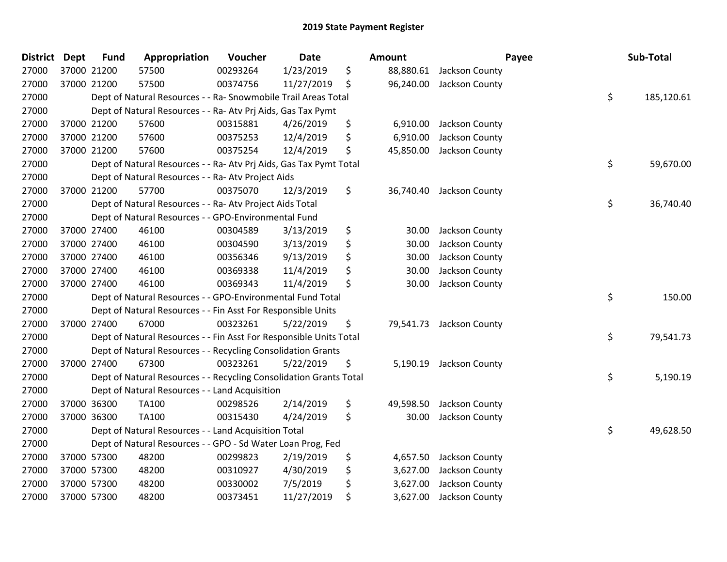| District | <b>Dept</b> | <b>Fund</b> | Appropriation                                                      | Voucher  | <b>Date</b> | <b>Amount</b>   |                         | Payee | Sub-Total  |
|----------|-------------|-------------|--------------------------------------------------------------------|----------|-------------|-----------------|-------------------------|-------|------------|
| 27000    | 37000 21200 |             | 57500                                                              | 00293264 | 1/23/2019   | \$<br>88,880.61 | Jackson County          |       |            |
| 27000    |             | 37000 21200 | 57500                                                              | 00374756 | 11/27/2019  | \$<br>96,240.00 | Jackson County          |       |            |
| 27000    |             |             | Dept of Natural Resources - - Ra- Snowmobile Trail Areas Total     |          |             |                 |                         | \$    | 185,120.61 |
| 27000    |             |             | Dept of Natural Resources - - Ra- Atv Prj Aids, Gas Tax Pymt       |          |             |                 |                         |       |            |
| 27000    |             | 37000 21200 | 57600                                                              | 00315881 | 4/26/2019   | \$<br>6,910.00  | Jackson County          |       |            |
| 27000    |             | 37000 21200 | 57600                                                              | 00375253 | 12/4/2019   | \$<br>6,910.00  | Jackson County          |       |            |
| 27000    |             | 37000 21200 | 57600                                                              | 00375254 | 12/4/2019   | \$<br>45,850.00 | Jackson County          |       |            |
| 27000    |             |             | Dept of Natural Resources - - Ra- Atv Prj Aids, Gas Tax Pymt Total |          |             |                 |                         | \$    | 59,670.00  |
| 27000    |             |             | Dept of Natural Resources - - Ra- Atv Project Aids                 |          |             |                 |                         |       |            |
| 27000    |             | 37000 21200 | 57700                                                              | 00375070 | 12/3/2019   | \$<br>36,740.40 | Jackson County          |       |            |
| 27000    |             |             | Dept of Natural Resources - - Ra- Atv Project Aids Total           |          |             |                 |                         | \$    | 36,740.40  |
| 27000    |             |             | Dept of Natural Resources - - GPO-Environmental Fund               |          |             |                 |                         |       |            |
| 27000    |             | 37000 27400 | 46100                                                              | 00304589 | 3/13/2019   | \$<br>30.00     | Jackson County          |       |            |
| 27000    |             | 37000 27400 | 46100                                                              | 00304590 | 3/13/2019   | \$<br>30.00     | Jackson County          |       |            |
| 27000    |             | 37000 27400 | 46100                                                              | 00356346 | 9/13/2019   | \$<br>30.00     | Jackson County          |       |            |
| 27000    |             | 37000 27400 | 46100                                                              | 00369338 | 11/4/2019   | \$<br>30.00     | Jackson County          |       |            |
| 27000    |             | 37000 27400 | 46100                                                              | 00369343 | 11/4/2019   | \$<br>30.00     | Jackson County          |       |            |
| 27000    |             |             | Dept of Natural Resources - - GPO-Environmental Fund Total         |          |             |                 |                         | \$    | 150.00     |
| 27000    |             |             | Dept of Natural Resources - - Fin Asst For Responsible Units       |          |             |                 |                         |       |            |
| 27000    |             | 37000 27400 | 67000                                                              | 00323261 | 5/22/2019   | \$<br>79,541.73 | Jackson County          |       |            |
| 27000    |             |             | Dept of Natural Resources - - Fin Asst For Responsible Units Total |          |             |                 |                         | \$    | 79,541.73  |
| 27000    |             |             | Dept of Natural Resources - - Recycling Consolidation Grants       |          |             |                 |                         |       |            |
| 27000    |             | 37000 27400 | 67300                                                              | 00323261 | 5/22/2019   | \$              | 5,190.19 Jackson County |       |            |
| 27000    |             |             | Dept of Natural Resources - - Recycling Consolidation Grants Total |          |             |                 |                         | \$    | 5,190.19   |
| 27000    |             |             | Dept of Natural Resources - - Land Acquisition                     |          |             |                 |                         |       |            |
| 27000    |             | 37000 36300 | <b>TA100</b>                                                       | 00298526 | 2/14/2019   | \$<br>49,598.50 | Jackson County          |       |            |
| 27000    |             | 37000 36300 | TA100                                                              | 00315430 | 4/24/2019   | \$<br>30.00     | Jackson County          |       |            |
| 27000    |             |             | Dept of Natural Resources - - Land Acquisition Total               |          |             |                 |                         | \$    | 49,628.50  |
| 27000    |             |             | Dept of Natural Resources - - GPO - Sd Water Loan Prog, Fed        |          |             |                 |                         |       |            |
| 27000    |             | 37000 57300 | 48200                                                              | 00299823 | 2/19/2019   | \$<br>4,657.50  | Jackson County          |       |            |
| 27000    |             | 37000 57300 | 48200                                                              | 00310927 | 4/30/2019   | \$<br>3,627.00  | Jackson County          |       |            |
| 27000    |             | 37000 57300 | 48200                                                              | 00330002 | 7/5/2019    | \$<br>3,627.00  | Jackson County          |       |            |
| 27000    |             | 37000 57300 | 48200                                                              | 00373451 | 11/27/2019  | \$<br>3,627.00  | Jackson County          |       |            |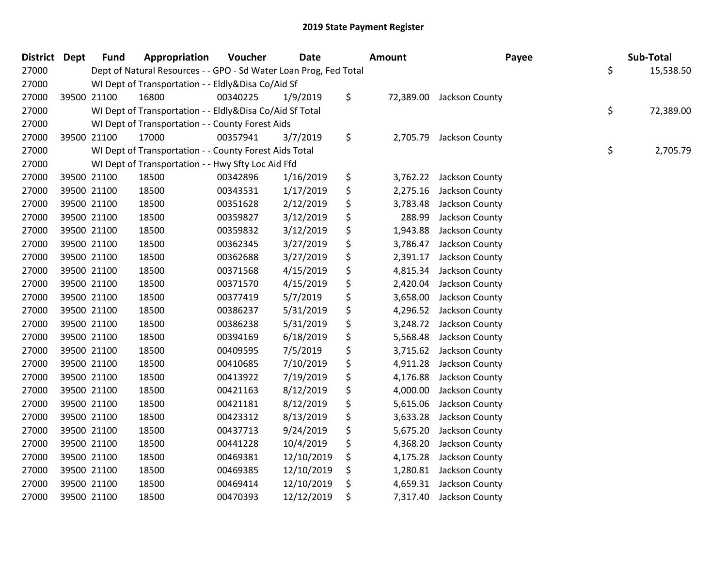| <b>District Dept</b> |             | <b>Fund</b> | Appropriation                                                     | Voucher  | <b>Date</b> | <b>Amount</b>  | Payee                    | Sub-Total       |
|----------------------|-------------|-------------|-------------------------------------------------------------------|----------|-------------|----------------|--------------------------|-----------------|
| 27000                |             |             | Dept of Natural Resources - - GPO - Sd Water Loan Prog, Fed Total |          |             |                |                          | \$<br>15,538.50 |
| 27000                |             |             | WI Dept of Transportation - - Eldly&Disa Co/Aid Sf                |          |             |                |                          |                 |
| 27000                |             | 39500 21100 | 16800                                                             | 00340225 | 1/9/2019    | \$             | 72,389.00 Jackson County |                 |
| 27000                |             |             | WI Dept of Transportation - - Eldly&Disa Co/Aid Sf Total          |          |             |                |                          | \$<br>72,389.00 |
| 27000                |             |             | WI Dept of Transportation - - County Forest Aids                  |          |             |                |                          |                 |
| 27000                |             | 39500 21100 | 17000                                                             | 00357941 | 3/7/2019    | \$<br>2,705.79 | Jackson County           |                 |
| 27000                |             |             | WI Dept of Transportation - - County Forest Aids Total            |          |             |                |                          | \$<br>2,705.79  |
| 27000                |             |             | WI Dept of Transportation - - Hwy Sfty Loc Aid Ffd                |          |             |                |                          |                 |
| 27000                |             | 39500 21100 | 18500                                                             | 00342896 | 1/16/2019   | \$<br>3,762.22 | Jackson County           |                 |
| 27000                |             | 39500 21100 | 18500                                                             | 00343531 | 1/17/2019   | \$<br>2,275.16 | Jackson County           |                 |
| 27000                |             | 39500 21100 | 18500                                                             | 00351628 | 2/12/2019   | \$<br>3,783.48 | Jackson County           |                 |
| 27000                |             | 39500 21100 | 18500                                                             | 00359827 | 3/12/2019   | \$<br>288.99   | Jackson County           |                 |
| 27000                |             | 39500 21100 | 18500                                                             | 00359832 | 3/12/2019   | \$<br>1,943.88 | Jackson County           |                 |
| 27000                |             | 39500 21100 | 18500                                                             | 00362345 | 3/27/2019   | \$<br>3,786.47 | Jackson County           |                 |
| 27000                |             | 39500 21100 | 18500                                                             | 00362688 | 3/27/2019   | \$<br>2,391.17 | Jackson County           |                 |
| 27000                |             | 39500 21100 | 18500                                                             | 00371568 | 4/15/2019   | \$<br>4,815.34 | Jackson County           |                 |
| 27000                |             | 39500 21100 | 18500                                                             | 00371570 | 4/15/2019   | \$<br>2,420.04 | Jackson County           |                 |
| 27000                |             | 39500 21100 | 18500                                                             | 00377419 | 5/7/2019    | \$<br>3,658.00 | Jackson County           |                 |
| 27000                |             | 39500 21100 | 18500                                                             | 00386237 | 5/31/2019   | \$<br>4,296.52 | Jackson County           |                 |
| 27000                |             | 39500 21100 | 18500                                                             | 00386238 | 5/31/2019   | \$<br>3,248.72 | Jackson County           |                 |
| 27000                |             | 39500 21100 | 18500                                                             | 00394169 | 6/18/2019   | \$<br>5,568.48 | Jackson County           |                 |
| 27000                |             | 39500 21100 | 18500                                                             | 00409595 | 7/5/2019    | \$<br>3,715.62 | Jackson County           |                 |
| 27000                |             | 39500 21100 | 18500                                                             | 00410685 | 7/10/2019   | \$<br>4,911.28 | Jackson County           |                 |
| 27000                |             | 39500 21100 | 18500                                                             | 00413922 | 7/19/2019   | \$<br>4,176.88 | Jackson County           |                 |
| 27000                |             | 39500 21100 | 18500                                                             | 00421163 | 8/12/2019   | \$<br>4,000.00 | Jackson County           |                 |
| 27000                |             | 39500 21100 | 18500                                                             | 00421181 | 8/12/2019   | \$<br>5,615.06 | Jackson County           |                 |
| 27000                |             | 39500 21100 | 18500                                                             | 00423312 | 8/13/2019   | \$<br>3,633.28 | Jackson County           |                 |
| 27000                |             | 39500 21100 | 18500                                                             | 00437713 | 9/24/2019   | \$<br>5,675.20 | Jackson County           |                 |
| 27000                |             | 39500 21100 | 18500                                                             | 00441228 | 10/4/2019   | \$<br>4,368.20 | Jackson County           |                 |
| 27000                |             | 39500 21100 | 18500                                                             | 00469381 | 12/10/2019  | \$<br>4,175.28 | Jackson County           |                 |
| 27000                |             | 39500 21100 | 18500                                                             | 00469385 | 12/10/2019  | \$<br>1,280.81 | Jackson County           |                 |
| 27000                |             | 39500 21100 | 18500                                                             | 00469414 | 12/10/2019  | \$<br>4,659.31 | Jackson County           |                 |
| 27000                | 39500 21100 |             | 18500                                                             | 00470393 | 12/12/2019  | \$<br>7,317.40 | Jackson County           |                 |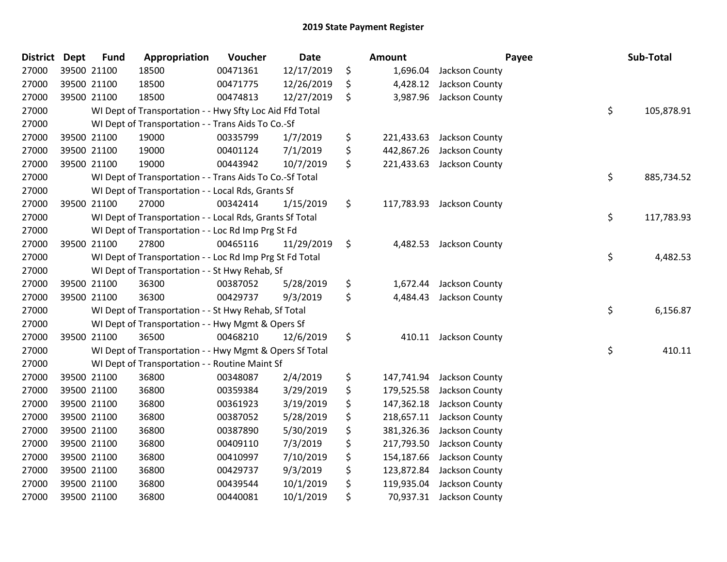| District | <b>Dept</b> | <b>Fund</b> | Appropriation                                            | Voucher  | <b>Date</b> | Amount           |                           | Payee | Sub-Total  |
|----------|-------------|-------------|----------------------------------------------------------|----------|-------------|------------------|---------------------------|-------|------------|
| 27000    |             | 39500 21100 | 18500                                                    | 00471361 | 12/17/2019  | \$<br>1,696.04   | Jackson County            |       |            |
| 27000    |             | 39500 21100 | 18500                                                    | 00471775 | 12/26/2019  | \$<br>4,428.12   | Jackson County            |       |            |
| 27000    |             | 39500 21100 | 18500                                                    | 00474813 | 12/27/2019  | \$<br>3,987.96   | Jackson County            |       |            |
| 27000    |             |             | WI Dept of Transportation - - Hwy Sfty Loc Aid Ffd Total |          |             |                  |                           | \$    | 105,878.91 |
| 27000    |             |             | WI Dept of Transportation - - Trans Aids To Co.-Sf       |          |             |                  |                           |       |            |
| 27000    |             | 39500 21100 | 19000                                                    | 00335799 | 1/7/2019    | \$<br>221,433.63 | Jackson County            |       |            |
| 27000    |             | 39500 21100 | 19000                                                    | 00401124 | 7/1/2019    | \$<br>442,867.26 | Jackson County            |       |            |
| 27000    |             | 39500 21100 | 19000                                                    | 00443942 | 10/7/2019   | \$<br>221,433.63 | Jackson County            |       |            |
| 27000    |             |             | WI Dept of Transportation - - Trans Aids To Co.-Sf Total |          |             |                  |                           | \$    | 885,734.52 |
| 27000    |             |             | WI Dept of Transportation - - Local Rds, Grants Sf       |          |             |                  |                           |       |            |
| 27000    |             | 39500 21100 | 27000                                                    | 00342414 | 1/15/2019   | \$               | 117,783.93 Jackson County |       |            |
| 27000    |             |             | WI Dept of Transportation - - Local Rds, Grants Sf Total |          |             |                  |                           | \$    | 117,783.93 |
| 27000    |             |             | WI Dept of Transportation - - Loc Rd Imp Prg St Fd       |          |             |                  |                           |       |            |
| 27000    |             | 39500 21100 | 27800                                                    | 00465116 | 11/29/2019  | \$<br>4,482.53   | Jackson County            |       |            |
| 27000    |             |             | WI Dept of Transportation - - Loc Rd Imp Prg St Fd Total |          |             |                  |                           | \$    | 4,482.53   |
| 27000    |             |             | WI Dept of Transportation - - St Hwy Rehab, Sf           |          |             |                  |                           |       |            |
| 27000    |             | 39500 21100 | 36300                                                    | 00387052 | 5/28/2019   | \$<br>1,672.44   | Jackson County            |       |            |
| 27000    |             | 39500 21100 | 36300                                                    | 00429737 | 9/3/2019    | \$<br>4,484.43   | Jackson County            |       |            |
| 27000    |             |             | WI Dept of Transportation - - St Hwy Rehab, Sf Total     |          |             |                  |                           | \$    | 6,156.87   |
| 27000    |             |             | WI Dept of Transportation - - Hwy Mgmt & Opers Sf        |          |             |                  |                           |       |            |
| 27000    |             | 39500 21100 | 36500                                                    | 00468210 | 12/6/2019   | \$<br>410.11     | Jackson County            |       |            |
| 27000    |             |             | WI Dept of Transportation - - Hwy Mgmt & Opers Sf Total  |          |             |                  |                           | \$    | 410.11     |
| 27000    |             |             | WI Dept of Transportation - - Routine Maint Sf           |          |             |                  |                           |       |            |
| 27000    |             | 39500 21100 | 36800                                                    | 00348087 | 2/4/2019    | \$<br>147,741.94 | Jackson County            |       |            |
| 27000    |             | 39500 21100 | 36800                                                    | 00359384 | 3/29/2019   | \$<br>179,525.58 | Jackson County            |       |            |
| 27000    |             | 39500 21100 | 36800                                                    | 00361923 | 3/19/2019   | \$<br>147,362.18 | Jackson County            |       |            |
| 27000    |             | 39500 21100 | 36800                                                    | 00387052 | 5/28/2019   | \$<br>218,657.11 | Jackson County            |       |            |
| 27000    |             | 39500 21100 | 36800                                                    | 00387890 | 5/30/2019   | \$<br>381,326.36 | Jackson County            |       |            |
| 27000    |             | 39500 21100 | 36800                                                    | 00409110 | 7/3/2019    | \$<br>217,793.50 | Jackson County            |       |            |
| 27000    |             | 39500 21100 | 36800                                                    | 00410997 | 7/10/2019   | \$<br>154,187.66 | Jackson County            |       |            |
| 27000    |             | 39500 21100 | 36800                                                    | 00429737 | 9/3/2019    | \$<br>123,872.84 | Jackson County            |       |            |
| 27000    |             | 39500 21100 | 36800                                                    | 00439544 | 10/1/2019   | \$<br>119,935.04 | Jackson County            |       |            |
| 27000    |             | 39500 21100 | 36800                                                    | 00440081 | 10/1/2019   | \$<br>70,937.31  | Jackson County            |       |            |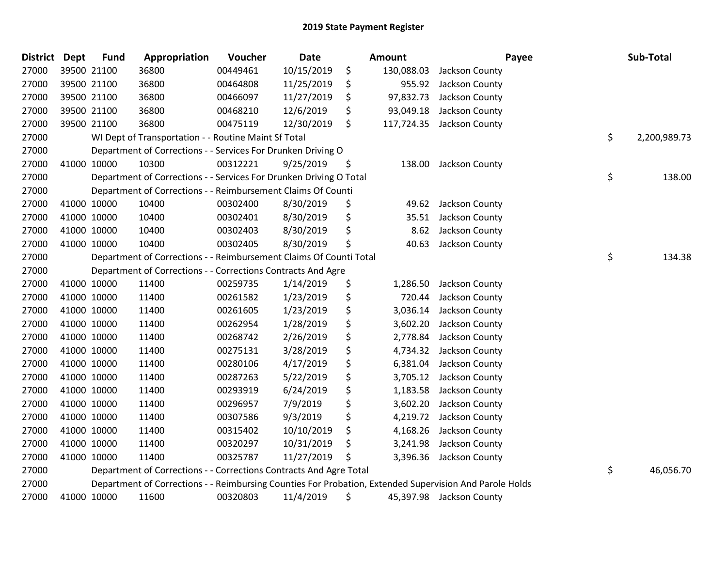| District Dept |             | <b>Fund</b> | Appropriation                                                      | Voucher  | <b>Date</b> | <b>Amount</b>    | Payee                                                                                                   | Sub-Total          |
|---------------|-------------|-------------|--------------------------------------------------------------------|----------|-------------|------------------|---------------------------------------------------------------------------------------------------------|--------------------|
| 27000         | 39500 21100 |             | 36800                                                              | 00449461 | 10/15/2019  | \$<br>130,088.03 | Jackson County                                                                                          |                    |
| 27000         | 39500 21100 |             | 36800                                                              | 00464808 | 11/25/2019  | \$<br>955.92     | Jackson County                                                                                          |                    |
| 27000         | 39500 21100 |             | 36800                                                              | 00466097 | 11/27/2019  | \$<br>97,832.73  | Jackson County                                                                                          |                    |
| 27000         | 39500 21100 |             | 36800                                                              | 00468210 | 12/6/2019   | \$<br>93,049.18  | Jackson County                                                                                          |                    |
| 27000         | 39500 21100 |             | 36800                                                              | 00475119 | 12/30/2019  | \$<br>117,724.35 | Jackson County                                                                                          |                    |
| 27000         |             |             | WI Dept of Transportation - - Routine Maint Sf Total               |          |             |                  |                                                                                                         | \$<br>2,200,989.73 |
| 27000         |             |             | Department of Corrections - - Services For Drunken Driving O       |          |             |                  |                                                                                                         |                    |
| 27000         | 41000 10000 |             | 10300                                                              | 00312221 | 9/25/2019   | \$<br>138.00     | Jackson County                                                                                          |                    |
| 27000         |             |             | Department of Corrections - - Services For Drunken Driving O Total |          |             |                  |                                                                                                         | \$<br>138.00       |
| 27000         |             |             | Department of Corrections - - Reimbursement Claims Of Counti       |          |             |                  |                                                                                                         |                    |
| 27000         | 41000 10000 |             | 10400                                                              | 00302400 | 8/30/2019   | \$<br>49.62      | Jackson County                                                                                          |                    |
| 27000         | 41000 10000 |             | 10400                                                              | 00302401 | 8/30/2019   | \$<br>35.51      | Jackson County                                                                                          |                    |
| 27000         | 41000 10000 |             | 10400                                                              | 00302403 | 8/30/2019   | \$<br>8.62       | Jackson County                                                                                          |                    |
| 27000         | 41000 10000 |             | 10400                                                              | 00302405 | 8/30/2019   | \$<br>40.63      | Jackson County                                                                                          |                    |
| 27000         |             |             | Department of Corrections - - Reimbursement Claims Of Counti Total |          |             |                  |                                                                                                         | \$<br>134.38       |
| 27000         |             |             | Department of Corrections - - Corrections Contracts And Agre       |          |             |                  |                                                                                                         |                    |
| 27000         | 41000 10000 |             | 11400                                                              | 00259735 | 1/14/2019   | \$<br>1,286.50   | Jackson County                                                                                          |                    |
| 27000         | 41000 10000 |             | 11400                                                              | 00261582 | 1/23/2019   | \$<br>720.44     | Jackson County                                                                                          |                    |
| 27000         | 41000 10000 |             | 11400                                                              | 00261605 | 1/23/2019   | \$<br>3,036.14   | Jackson County                                                                                          |                    |
| 27000         | 41000 10000 |             | 11400                                                              | 00262954 | 1/28/2019   | \$<br>3,602.20   | Jackson County                                                                                          |                    |
| 27000         | 41000 10000 |             | 11400                                                              | 00268742 | 2/26/2019   | \$<br>2,778.84   | Jackson County                                                                                          |                    |
| 27000         | 41000 10000 |             | 11400                                                              | 00275131 | 3/28/2019   | \$<br>4,734.32   | Jackson County                                                                                          |                    |
| 27000         | 41000 10000 |             | 11400                                                              | 00280106 | 4/17/2019   | \$<br>6,381.04   | Jackson County                                                                                          |                    |
| 27000         | 41000 10000 |             | 11400                                                              | 00287263 | 5/22/2019   | \$<br>3,705.12   | Jackson County                                                                                          |                    |
| 27000         | 41000 10000 |             | 11400                                                              | 00293919 | 6/24/2019   | \$<br>1,183.58   | Jackson County                                                                                          |                    |
| 27000         | 41000 10000 |             | 11400                                                              | 00296957 | 7/9/2019    | \$<br>3,602.20   | Jackson County                                                                                          |                    |
| 27000         | 41000 10000 |             | 11400                                                              | 00307586 | 9/3/2019    | \$<br>4,219.72   | Jackson County                                                                                          |                    |
| 27000         | 41000 10000 |             | 11400                                                              | 00315402 | 10/10/2019  | \$<br>4,168.26   | Jackson County                                                                                          |                    |
| 27000         | 41000 10000 |             | 11400                                                              | 00320297 | 10/31/2019  | \$<br>3,241.98   | Jackson County                                                                                          |                    |
| 27000         | 41000 10000 |             | 11400                                                              | 00325787 | 11/27/2019  | \$<br>3,396.36   | Jackson County                                                                                          |                    |
| 27000         |             |             | Department of Corrections - - Corrections Contracts And Agre Total |          |             |                  |                                                                                                         | \$<br>46,056.70    |
| 27000         |             |             |                                                                    |          |             |                  | Department of Corrections - - Reimbursing Counties For Probation, Extended Supervision And Parole Holds |                    |
| 27000         | 41000 10000 |             | 11600                                                              | 00320803 | 11/4/2019   | \$               | 45,397.98 Jackson County                                                                                |                    |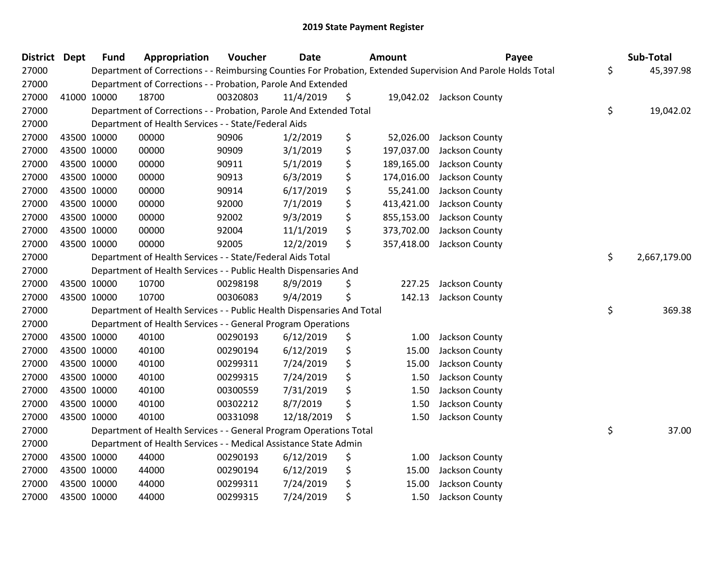| District Dept | <b>Fund</b> | Appropriation                                                          | Voucher  | <b>Date</b> | <b>Amount</b>    | Payee                                                                                                         | Sub-Total          |
|---------------|-------------|------------------------------------------------------------------------|----------|-------------|------------------|---------------------------------------------------------------------------------------------------------------|--------------------|
| 27000         |             |                                                                        |          |             |                  | Department of Corrections - - Reimbursing Counties For Probation, Extended Supervision And Parole Holds Total | \$<br>45,397.98    |
| 27000         |             | Department of Corrections - - Probation, Parole And Extended           |          |             |                  |                                                                                                               |                    |
| 27000         | 41000 10000 | 18700                                                                  | 00320803 | 11/4/2019   | \$               | 19,042.02 Jackson County                                                                                      |                    |
| 27000         |             | Department of Corrections - - Probation, Parole And Extended Total     |          |             |                  |                                                                                                               | \$<br>19,042.02    |
| 27000         |             | Department of Health Services - - State/Federal Aids                   |          |             |                  |                                                                                                               |                    |
| 27000         | 43500 10000 | 00000                                                                  | 90906    | 1/2/2019    | \$<br>52,026.00  | Jackson County                                                                                                |                    |
| 27000         | 43500 10000 | 00000                                                                  | 90909    | 3/1/2019    | \$<br>197,037.00 | Jackson County                                                                                                |                    |
| 27000         | 43500 10000 | 00000                                                                  | 90911    | 5/1/2019    | \$<br>189,165.00 | Jackson County                                                                                                |                    |
| 27000         | 43500 10000 | 00000                                                                  | 90913    | 6/3/2019    | \$<br>174,016.00 | Jackson County                                                                                                |                    |
| 27000         | 43500 10000 | 00000                                                                  | 90914    | 6/17/2019   | \$<br>55,241.00  | Jackson County                                                                                                |                    |
| 27000         | 43500 10000 | 00000                                                                  | 92000    | 7/1/2019    | \$<br>413,421.00 | Jackson County                                                                                                |                    |
| 27000         | 43500 10000 | 00000                                                                  | 92002    | 9/3/2019    | \$<br>855,153.00 | Jackson County                                                                                                |                    |
| 27000         | 43500 10000 | 00000                                                                  | 92004    | 11/1/2019   | \$<br>373,702.00 | Jackson County                                                                                                |                    |
| 27000         | 43500 10000 | 00000                                                                  | 92005    | 12/2/2019   | \$<br>357,418.00 | Jackson County                                                                                                |                    |
| 27000         |             | Department of Health Services - - State/Federal Aids Total             |          |             |                  |                                                                                                               | \$<br>2,667,179.00 |
| 27000         |             | Department of Health Services - - Public Health Dispensaries And       |          |             |                  |                                                                                                               |                    |
| 27000         | 43500 10000 | 10700                                                                  | 00298198 | 8/9/2019    | \$<br>227.25     | Jackson County                                                                                                |                    |
| 27000         | 43500 10000 | 10700                                                                  | 00306083 | 9/4/2019    | \$<br>142.13     | Jackson County                                                                                                |                    |
| 27000         |             | Department of Health Services - - Public Health Dispensaries And Total |          |             |                  |                                                                                                               | \$<br>369.38       |
| 27000         |             | Department of Health Services - - General Program Operations           |          |             |                  |                                                                                                               |                    |
| 27000         | 43500 10000 | 40100                                                                  | 00290193 | 6/12/2019   | \$<br>1.00       | Jackson County                                                                                                |                    |
| 27000         | 43500 10000 | 40100                                                                  | 00290194 | 6/12/2019   | \$<br>15.00      | Jackson County                                                                                                |                    |
| 27000         | 43500 10000 | 40100                                                                  | 00299311 | 7/24/2019   | \$<br>15.00      | Jackson County                                                                                                |                    |
| 27000         | 43500 10000 | 40100                                                                  | 00299315 | 7/24/2019   | \$<br>1.50       | Jackson County                                                                                                |                    |
| 27000         | 43500 10000 | 40100                                                                  | 00300559 | 7/31/2019   | \$<br>1.50       | Jackson County                                                                                                |                    |
| 27000         | 43500 10000 | 40100                                                                  | 00302212 | 8/7/2019    | \$<br>1.50       | Jackson County                                                                                                |                    |
| 27000         | 43500 10000 | 40100                                                                  | 00331098 | 12/18/2019  | \$<br>1.50       | Jackson County                                                                                                |                    |
| 27000         |             | Department of Health Services - - General Program Operations Total     |          |             |                  |                                                                                                               | \$<br>37.00        |
| 27000         |             | Department of Health Services - - Medical Assistance State Admin       |          |             |                  |                                                                                                               |                    |
| 27000         | 43500 10000 | 44000                                                                  | 00290193 | 6/12/2019   | \$<br>1.00       | Jackson County                                                                                                |                    |
| 27000         | 43500 10000 | 44000                                                                  | 00290194 | 6/12/2019   | \$<br>15.00      | Jackson County                                                                                                |                    |
| 27000         | 43500 10000 | 44000                                                                  | 00299311 | 7/24/2019   | \$<br>15.00      | Jackson County                                                                                                |                    |
| 27000         | 43500 10000 | 44000                                                                  | 00299315 | 7/24/2019   | \$<br>1.50       | Jackson County                                                                                                |                    |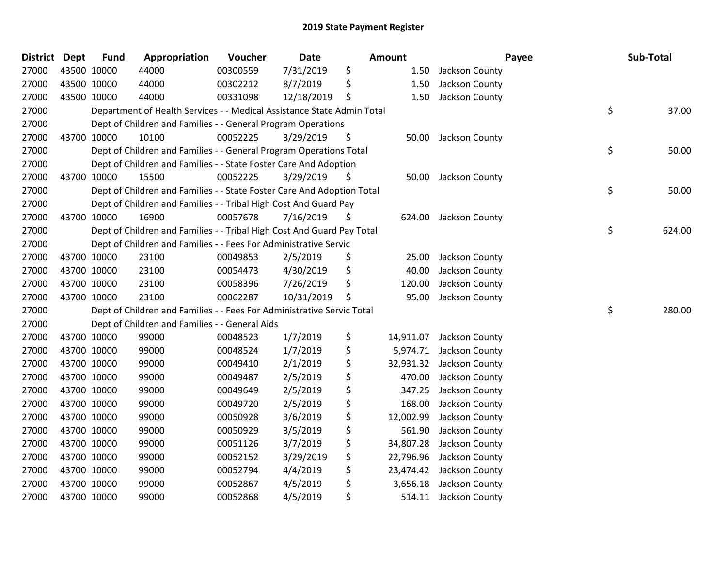| <b>District</b> | Dept        | <b>Fund</b> | Appropriation                                                          | Voucher  | <b>Date</b> |     | Amount    | Payee          | Sub-Total    |
|-----------------|-------------|-------------|------------------------------------------------------------------------|----------|-------------|-----|-----------|----------------|--------------|
| 27000           |             | 43500 10000 | 44000                                                                  | 00300559 | 7/31/2019   | \$  | 1.50      | Jackson County |              |
| 27000           |             | 43500 10000 | 44000                                                                  | 00302212 | 8/7/2019    | \$  | 1.50      | Jackson County |              |
| 27000           |             | 43500 10000 | 44000                                                                  | 00331098 | 12/18/2019  | \$  | 1.50      | Jackson County |              |
| 27000           |             |             | Department of Health Services - - Medical Assistance State Admin Total |          |             |     |           |                | \$<br>37.00  |
| 27000           |             |             | Dept of Children and Families - - General Program Operations           |          |             |     |           |                |              |
| 27000           |             | 43700 10000 | 10100                                                                  | 00052225 | 3/29/2019   | \$  | 50.00     | Jackson County |              |
| 27000           |             |             | Dept of Children and Families - - General Program Operations Total     |          |             |     |           |                | \$<br>50.00  |
| 27000           |             |             | Dept of Children and Families - - State Foster Care And Adoption       |          |             |     |           |                |              |
| 27000           |             | 43700 10000 | 15500                                                                  | 00052225 | 3/29/2019   | \$. | 50.00     | Jackson County |              |
| 27000           |             |             | Dept of Children and Families - - State Foster Care And Adoption Total |          |             |     |           |                | \$<br>50.00  |
| 27000           |             |             | Dept of Children and Families - - Tribal High Cost And Guard Pay       |          |             |     |           |                |              |
| 27000           |             | 43700 10000 | 16900                                                                  | 00057678 | 7/16/2019   | \$  | 624.00    | Jackson County |              |
| 27000           |             |             | Dept of Children and Families - - Tribal High Cost And Guard Pay Total |          |             |     |           |                | \$<br>624.00 |
| 27000           |             |             | Dept of Children and Families - - Fees For Administrative Servic       |          |             |     |           |                |              |
| 27000           |             | 43700 10000 | 23100                                                                  | 00049853 | 2/5/2019    | \$  | 25.00     | Jackson County |              |
| 27000           |             | 43700 10000 | 23100                                                                  | 00054473 | 4/30/2019   | \$  | 40.00     | Jackson County |              |
| 27000           |             | 43700 10000 | 23100                                                                  | 00058396 | 7/26/2019   | \$  | 120.00    | Jackson County |              |
| 27000           |             | 43700 10000 | 23100                                                                  | 00062287 | 10/31/2019  | \$  | 95.00     | Jackson County |              |
| 27000           |             |             | Dept of Children and Families - - Fees For Administrative Servic Total |          |             |     |           |                | \$<br>280.00 |
| 27000           |             |             | Dept of Children and Families - - General Aids                         |          |             |     |           |                |              |
| 27000           |             | 43700 10000 | 99000                                                                  | 00048523 | 1/7/2019    | \$  | 14,911.07 | Jackson County |              |
| 27000           |             | 43700 10000 | 99000                                                                  | 00048524 | 1/7/2019    | \$  | 5,974.71  | Jackson County |              |
| 27000           | 43700 10000 |             | 99000                                                                  | 00049410 | 2/1/2019    | \$  | 32,931.32 | Jackson County |              |
| 27000           |             | 43700 10000 | 99000                                                                  | 00049487 | 2/5/2019    | \$  | 470.00    | Jackson County |              |
| 27000           |             | 43700 10000 | 99000                                                                  | 00049649 | 2/5/2019    | \$  | 347.25    | Jackson County |              |
| 27000           |             | 43700 10000 | 99000                                                                  | 00049720 | 2/5/2019    | \$  | 168.00    | Jackson County |              |
| 27000           |             | 43700 10000 | 99000                                                                  | 00050928 | 3/6/2019    | \$  | 12,002.99 | Jackson County |              |
| 27000           | 43700 10000 |             | 99000                                                                  | 00050929 | 3/5/2019    | \$  | 561.90    | Jackson County |              |
| 27000           |             | 43700 10000 | 99000                                                                  | 00051126 | 3/7/2019    | \$  | 34,807.28 | Jackson County |              |
| 27000           |             | 43700 10000 | 99000                                                                  | 00052152 | 3/29/2019   | \$  | 22,796.96 | Jackson County |              |
| 27000           |             | 43700 10000 | 99000                                                                  | 00052794 | 4/4/2019    | \$  | 23,474.42 | Jackson County |              |
| 27000           |             | 43700 10000 | 99000                                                                  | 00052867 | 4/5/2019    | \$  | 3,656.18  | Jackson County |              |
| 27000           | 43700 10000 |             | 99000                                                                  | 00052868 | 4/5/2019    | \$  | 514.11    | Jackson County |              |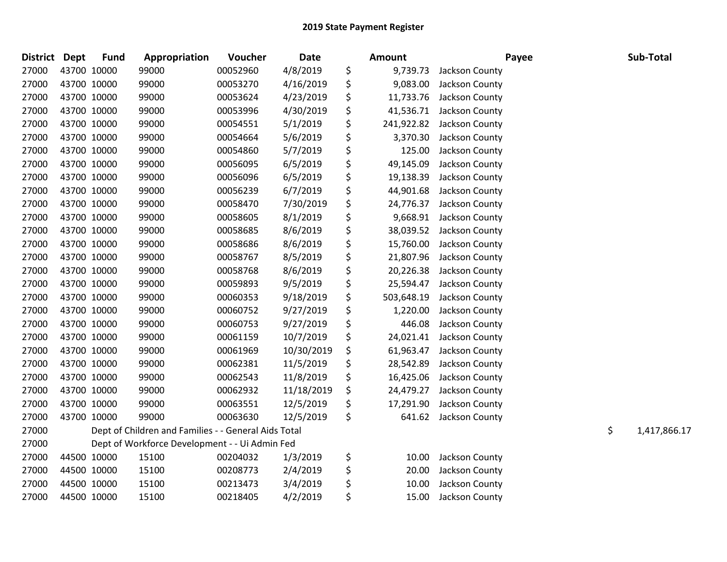| <b>District</b> | Dept | <b>Fund</b> | Appropriation                                        | Voucher  | <b>Date</b> | Amount           |                | Payee | Sub-Total          |
|-----------------|------|-------------|------------------------------------------------------|----------|-------------|------------------|----------------|-------|--------------------|
| 27000           |      | 43700 10000 | 99000                                                | 00052960 | 4/8/2019    | \$<br>9,739.73   | Jackson County |       |                    |
| 27000           |      | 43700 10000 | 99000                                                | 00053270 | 4/16/2019   | \$<br>9,083.00   | Jackson County |       |                    |
| 27000           |      | 43700 10000 | 99000                                                | 00053624 | 4/23/2019   | \$<br>11,733.76  | Jackson County |       |                    |
| 27000           |      | 43700 10000 | 99000                                                | 00053996 | 4/30/2019   | \$<br>41,536.71  | Jackson County |       |                    |
| 27000           |      | 43700 10000 | 99000                                                | 00054551 | 5/1/2019    | \$<br>241,922.82 | Jackson County |       |                    |
| 27000           |      | 43700 10000 | 99000                                                | 00054664 | 5/6/2019    | \$<br>3,370.30   | Jackson County |       |                    |
| 27000           |      | 43700 10000 | 99000                                                | 00054860 | 5/7/2019    | \$<br>125.00     | Jackson County |       |                    |
| 27000           |      | 43700 10000 | 99000                                                | 00056095 | 6/5/2019    | \$<br>49,145.09  | Jackson County |       |                    |
| 27000           |      | 43700 10000 | 99000                                                | 00056096 | 6/5/2019    | \$<br>19,138.39  | Jackson County |       |                    |
| 27000           |      | 43700 10000 | 99000                                                | 00056239 | 6/7/2019    | \$<br>44,901.68  | Jackson County |       |                    |
| 27000           |      | 43700 10000 | 99000                                                | 00058470 | 7/30/2019   | \$<br>24,776.37  | Jackson County |       |                    |
| 27000           |      | 43700 10000 | 99000                                                | 00058605 | 8/1/2019    | \$<br>9,668.91   | Jackson County |       |                    |
| 27000           |      | 43700 10000 | 99000                                                | 00058685 | 8/6/2019    | \$<br>38,039.52  | Jackson County |       |                    |
| 27000           |      | 43700 10000 | 99000                                                | 00058686 | 8/6/2019    | \$<br>15,760.00  | Jackson County |       |                    |
| 27000           |      | 43700 10000 | 99000                                                | 00058767 | 8/5/2019    | \$<br>21,807.96  | Jackson County |       |                    |
| 27000           |      | 43700 10000 | 99000                                                | 00058768 | 8/6/2019    | \$<br>20,226.38  | Jackson County |       |                    |
| 27000           |      | 43700 10000 | 99000                                                | 00059893 | 9/5/2019    | \$<br>25,594.47  | Jackson County |       |                    |
| 27000           |      | 43700 10000 | 99000                                                | 00060353 | 9/18/2019   | \$<br>503,648.19 | Jackson County |       |                    |
| 27000           |      | 43700 10000 | 99000                                                | 00060752 | 9/27/2019   | \$<br>1,220.00   | Jackson County |       |                    |
| 27000           |      | 43700 10000 | 99000                                                | 00060753 | 9/27/2019   | \$<br>446.08     | Jackson County |       |                    |
| 27000           |      | 43700 10000 | 99000                                                | 00061159 | 10/7/2019   | \$<br>24,021.41  | Jackson County |       |                    |
| 27000           |      | 43700 10000 | 99000                                                | 00061969 | 10/30/2019  | \$<br>61,963.47  | Jackson County |       |                    |
| 27000           |      | 43700 10000 | 99000                                                | 00062381 | 11/5/2019   | \$<br>28,542.89  | Jackson County |       |                    |
| 27000           |      | 43700 10000 | 99000                                                | 00062543 | 11/8/2019   | \$<br>16,425.06  | Jackson County |       |                    |
| 27000           |      | 43700 10000 | 99000                                                | 00062932 | 11/18/2019  | \$<br>24,479.27  | Jackson County |       |                    |
| 27000           |      | 43700 10000 | 99000                                                | 00063551 | 12/5/2019   | \$<br>17,291.90  | Jackson County |       |                    |
| 27000           |      | 43700 10000 | 99000                                                | 00063630 | 12/5/2019   | \$<br>641.62     | Jackson County |       |                    |
| 27000           |      |             | Dept of Children and Families - - General Aids Total |          |             |                  |                |       | \$<br>1,417,866.17 |
| 27000           |      |             | Dept of Workforce Development - - Ui Admin Fed       |          |             |                  |                |       |                    |
| 27000           |      | 44500 10000 | 15100                                                | 00204032 | 1/3/2019    | \$<br>10.00      | Jackson County |       |                    |
| 27000           |      | 44500 10000 | 15100                                                | 00208773 | 2/4/2019    | \$<br>20.00      | Jackson County |       |                    |
| 27000           |      | 44500 10000 | 15100                                                | 00213473 | 3/4/2019    | \$<br>10.00      | Jackson County |       |                    |
| 27000           |      | 44500 10000 | 15100                                                | 00218405 | 4/2/2019    | \$<br>15.00      | Jackson County |       |                    |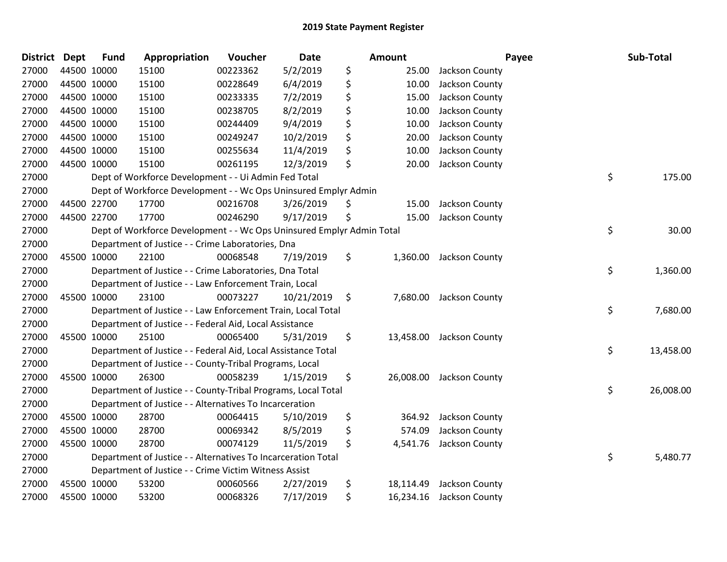| <b>District</b> | <b>Dept</b> | <b>Fund</b> | Appropriation                                                         | Voucher  | <b>Date</b> | <b>Amount</b>   |                          | Payee | Sub-Total |
|-----------------|-------------|-------------|-----------------------------------------------------------------------|----------|-------------|-----------------|--------------------------|-------|-----------|
| 27000           |             | 44500 10000 | 15100                                                                 | 00223362 | 5/2/2019    | \$<br>25.00     | Jackson County           |       |           |
| 27000           |             | 44500 10000 | 15100                                                                 | 00228649 | 6/4/2019    | \$<br>10.00     | Jackson County           |       |           |
| 27000           | 44500 10000 |             | 15100                                                                 | 00233335 | 7/2/2019    | \$<br>15.00     | Jackson County           |       |           |
| 27000           | 44500 10000 |             | 15100                                                                 | 00238705 | 8/2/2019    | \$<br>10.00     | Jackson County           |       |           |
| 27000           |             | 44500 10000 | 15100                                                                 | 00244409 | 9/4/2019    | \$<br>10.00     | Jackson County           |       |           |
| 27000           |             | 44500 10000 | 15100                                                                 | 00249247 | 10/2/2019   | \$<br>20.00     | Jackson County           |       |           |
| 27000           |             | 44500 10000 | 15100                                                                 | 00255634 | 11/4/2019   | \$<br>10.00     | Jackson County           |       |           |
| 27000           |             | 44500 10000 | 15100                                                                 | 00261195 | 12/3/2019   | \$<br>20.00     | Jackson County           |       |           |
| 27000           |             |             | Dept of Workforce Development - - Ui Admin Fed Total                  |          |             |                 |                          | \$    | 175.00    |
| 27000           |             |             | Dept of Workforce Development - - Wc Ops Uninsured Emplyr Admin       |          |             |                 |                          |       |           |
| 27000           |             | 44500 22700 | 17700                                                                 | 00216708 | 3/26/2019   | \$<br>15.00     | Jackson County           |       |           |
| 27000           |             | 44500 22700 | 17700                                                                 | 00246290 | 9/17/2019   | \$<br>15.00     | Jackson County           |       |           |
| 27000           |             |             | Dept of Workforce Development - - Wc Ops Uninsured Emplyr Admin Total |          |             |                 |                          | \$    | 30.00     |
| 27000           |             |             | Department of Justice - - Crime Laboratories, Dna                     |          |             |                 |                          |       |           |
| 27000           |             | 45500 10000 | 22100                                                                 | 00068548 | 7/19/2019   | \$<br>1,360.00  | Jackson County           |       |           |
| 27000           |             |             | Department of Justice - - Crime Laboratories, Dna Total               |          |             |                 |                          | \$    | 1,360.00  |
| 27000           |             |             | Department of Justice - - Law Enforcement Train, Local                |          |             |                 |                          |       |           |
| 27000           |             | 45500 10000 | 23100                                                                 | 00073227 | 10/21/2019  | \$<br>7,680.00  | Jackson County           |       |           |
| 27000           |             |             | Department of Justice - - Law Enforcement Train, Local Total          |          |             |                 |                          | \$    | 7,680.00  |
| 27000           |             |             | Department of Justice - - Federal Aid, Local Assistance               |          |             |                 |                          |       |           |
| 27000           |             | 45500 10000 | 25100                                                                 | 00065400 | 5/31/2019   | \$              | 13,458.00 Jackson County |       |           |
| 27000           |             |             | Department of Justice - - Federal Aid, Local Assistance Total         |          |             |                 |                          | \$    | 13,458.00 |
| 27000           |             |             | Department of Justice - - County-Tribal Programs, Local               |          |             |                 |                          |       |           |
| 27000           |             | 45500 10000 | 26300                                                                 | 00058239 | 1/15/2019   | \$<br>26,008.00 | Jackson County           |       |           |
| 27000           |             |             | Department of Justice - - County-Tribal Programs, Local Total         |          |             |                 |                          | \$    | 26,008.00 |
| 27000           |             |             | Department of Justice - - Alternatives To Incarceration               |          |             |                 |                          |       |           |
| 27000           |             | 45500 10000 | 28700                                                                 | 00064415 | 5/10/2019   | \$<br>364.92    | Jackson County           |       |           |
| 27000           |             | 45500 10000 | 28700                                                                 | 00069342 | 8/5/2019    | \$<br>574.09    | Jackson County           |       |           |
| 27000           | 45500 10000 |             | 28700                                                                 | 00074129 | 11/5/2019   | \$<br>4,541.76  | Jackson County           |       |           |
| 27000           |             |             | Department of Justice - - Alternatives To Incarceration Total         |          |             |                 |                          | \$    | 5,480.77  |
| 27000           |             |             | Department of Justice - - Crime Victim Witness Assist                 |          |             |                 |                          |       |           |
| 27000           |             | 45500 10000 | 53200                                                                 | 00060566 | 2/27/2019   | \$<br>18,114.49 | Jackson County           |       |           |
| 27000           |             | 45500 10000 | 53200                                                                 | 00068326 | 7/17/2019   | \$<br>16,234.16 | Jackson County           |       |           |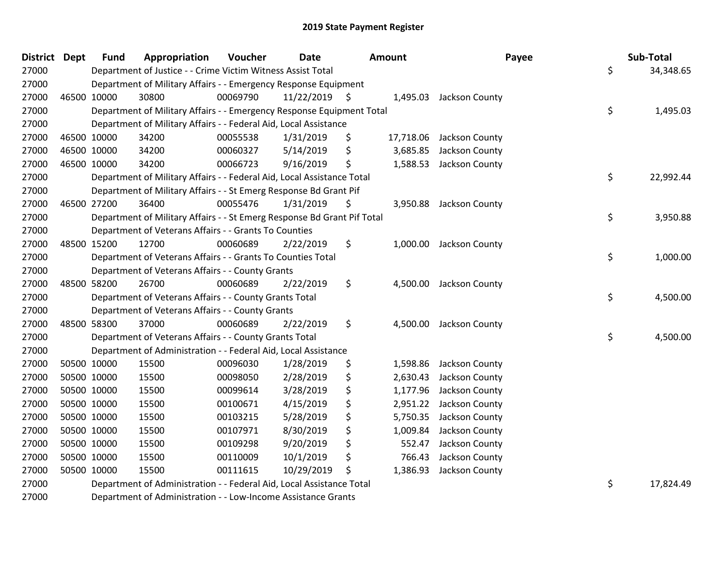| District Dept | <b>Fund</b> | Appropriation                                                           | Voucher  | <b>Date</b>     | Amount |           | Payee                   | Sub-Total       |
|---------------|-------------|-------------------------------------------------------------------------|----------|-----------------|--------|-----------|-------------------------|-----------------|
| 27000         |             | Department of Justice - - Crime Victim Witness Assist Total             |          |                 |        |           |                         | \$<br>34,348.65 |
| 27000         |             | Department of Military Affairs - - Emergency Response Equipment         |          |                 |        |           |                         |                 |
| 27000         | 46500 10000 | 30800                                                                   | 00069790 | $11/22/2019$ \$ |        |           | 1,495.03 Jackson County |                 |
| 27000         |             | Department of Military Affairs - - Emergency Response Equipment Total   |          |                 |        |           |                         | \$<br>1,495.03  |
| 27000         |             | Department of Military Affairs - - Federal Aid, Local Assistance        |          |                 |        |           |                         |                 |
| 27000         | 46500 10000 | 34200                                                                   | 00055538 | 1/31/2019       | \$     | 17,718.06 | Jackson County          |                 |
| 27000         | 46500 10000 | 34200                                                                   | 00060327 | 5/14/2019       | \$     | 3,685.85  | Jackson County          |                 |
| 27000         | 46500 10000 | 34200                                                                   | 00066723 | 9/16/2019       | \$     | 1,588.53  | Jackson County          |                 |
| 27000         |             | Department of Military Affairs - - Federal Aid, Local Assistance Total  |          |                 |        |           |                         | \$<br>22,992.44 |
| 27000         |             | Department of Military Affairs - - St Emerg Response Bd Grant Pif       |          |                 |        |           |                         |                 |
| 27000         | 46500 27200 | 36400                                                                   | 00055476 | 1/31/2019       | \$     | 3,950.88  | Jackson County          |                 |
| 27000         |             | Department of Military Affairs - - St Emerg Response Bd Grant Pif Total |          |                 |        |           |                         | \$<br>3,950.88  |
| 27000         |             | Department of Veterans Affairs - - Grants To Counties                   |          |                 |        |           |                         |                 |
| 27000         | 48500 15200 | 12700                                                                   | 00060689 | 2/22/2019       | \$     | 1,000.00  | Jackson County          |                 |
| 27000         |             | Department of Veterans Affairs - - Grants To Counties Total             |          |                 |        |           |                         | \$<br>1,000.00  |
| 27000         |             | Department of Veterans Affairs - - County Grants                        |          |                 |        |           |                         |                 |
| 27000         | 48500 58200 | 26700                                                                   | 00060689 | 2/22/2019       | \$     | 4,500.00  | Jackson County          |                 |
| 27000         |             | Department of Veterans Affairs - - County Grants Total                  |          |                 |        |           |                         | \$<br>4,500.00  |
| 27000         |             | Department of Veterans Affairs - - County Grants                        |          |                 |        |           |                         |                 |
| 27000         | 48500 58300 | 37000                                                                   | 00060689 | 2/22/2019       | \$     | 4,500.00  | Jackson County          |                 |
| 27000         |             | Department of Veterans Affairs - - County Grants Total                  |          |                 |        |           |                         | \$<br>4,500.00  |
| 27000         |             | Department of Administration - - Federal Aid, Local Assistance          |          |                 |        |           |                         |                 |
| 27000         | 50500 10000 | 15500                                                                   | 00096030 | 1/28/2019       | \$     | 1,598.86  | Jackson County          |                 |
| 27000         | 50500 10000 | 15500                                                                   | 00098050 | 2/28/2019       | \$     | 2,630.43  | Jackson County          |                 |
| 27000         | 50500 10000 | 15500                                                                   | 00099614 | 3/28/2019       | \$     | 1,177.96  | Jackson County          |                 |
| 27000         | 50500 10000 | 15500                                                                   | 00100671 | 4/15/2019       | \$     | 2,951.22  | Jackson County          |                 |
| 27000         | 50500 10000 | 15500                                                                   | 00103215 | 5/28/2019       | \$     | 5,750.35  | Jackson County          |                 |
| 27000         | 50500 10000 | 15500                                                                   | 00107971 | 8/30/2019       | \$     | 1,009.84  | Jackson County          |                 |
| 27000         | 50500 10000 | 15500                                                                   | 00109298 | 9/20/2019       | \$     | 552.47    | Jackson County          |                 |
| 27000         | 50500 10000 | 15500                                                                   | 00110009 | 10/1/2019       | \$     | 766.43    | Jackson County          |                 |
| 27000         | 50500 10000 | 15500                                                                   | 00111615 | 10/29/2019      | \$     | 1,386.93  | Jackson County          |                 |
| 27000         |             | Department of Administration - - Federal Aid, Local Assistance Total    |          |                 |        |           |                         | \$<br>17,824.49 |
| 27000         |             | Department of Administration - - Low-Income Assistance Grants           |          |                 |        |           |                         |                 |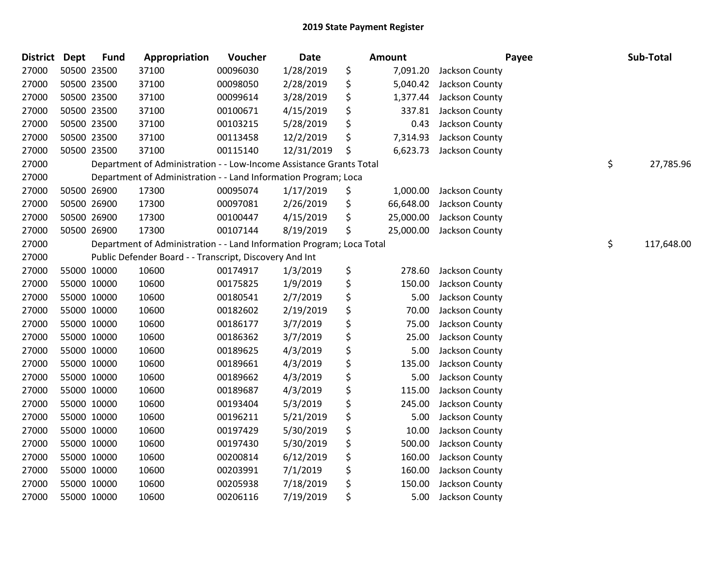| <b>District</b> | <b>Dept</b> | <b>Fund</b> | Appropriation                                                         | Voucher  | Date       | <b>Amount</b>   | Payee          | Sub-Total        |
|-----------------|-------------|-------------|-----------------------------------------------------------------------|----------|------------|-----------------|----------------|------------------|
| 27000           |             | 50500 23500 | 37100                                                                 | 00096030 | 1/28/2019  | \$<br>7,091.20  | Jackson County |                  |
| 27000           | 50500 23500 |             | 37100                                                                 | 00098050 | 2/28/2019  | \$<br>5,040.42  | Jackson County |                  |
| 27000           |             | 50500 23500 | 37100                                                                 | 00099614 | 3/28/2019  | \$<br>1,377.44  | Jackson County |                  |
| 27000           | 50500 23500 |             | 37100                                                                 | 00100671 | 4/15/2019  | \$<br>337.81    | Jackson County |                  |
| 27000           |             | 50500 23500 | 37100                                                                 | 00103215 | 5/28/2019  | \$<br>0.43      | Jackson County |                  |
| 27000           |             | 50500 23500 | 37100                                                                 | 00113458 | 12/2/2019  | \$<br>7,314.93  | Jackson County |                  |
| 27000           | 50500 23500 |             | 37100                                                                 | 00115140 | 12/31/2019 | \$<br>6,623.73  | Jackson County |                  |
| 27000           |             |             | Department of Administration - - Low-Income Assistance Grants Total   |          |            |                 |                | \$<br>27,785.96  |
| 27000           |             |             | Department of Administration - - Land Information Program; Loca       |          |            |                 |                |                  |
| 27000           |             | 50500 26900 | 17300                                                                 | 00095074 | 1/17/2019  | \$<br>1,000.00  | Jackson County |                  |
| 27000           |             | 50500 26900 | 17300                                                                 | 00097081 | 2/26/2019  | \$<br>66,648.00 | Jackson County |                  |
| 27000           | 50500 26900 |             | 17300                                                                 | 00100447 | 4/15/2019  | \$<br>25,000.00 | Jackson County |                  |
| 27000           | 50500 26900 |             | 17300                                                                 | 00107144 | 8/19/2019  | \$<br>25,000.00 | Jackson County |                  |
| 27000           |             |             | Department of Administration - - Land Information Program; Loca Total |          |            |                 |                | \$<br>117,648.00 |
| 27000           |             |             | Public Defender Board - - Transcript, Discovery And Int               |          |            |                 |                |                  |
| 27000           |             | 55000 10000 | 10600                                                                 | 00174917 | 1/3/2019   | \$<br>278.60    | Jackson County |                  |
| 27000           | 55000 10000 |             | 10600                                                                 | 00175825 | 1/9/2019   | \$<br>150.00    | Jackson County |                  |
| 27000           | 55000 10000 |             | 10600                                                                 | 00180541 | 2/7/2019   | \$<br>5.00      | Jackson County |                  |
| 27000           |             | 55000 10000 | 10600                                                                 | 00182602 | 2/19/2019  | \$<br>70.00     | Jackson County |                  |
| 27000           |             | 55000 10000 | 10600                                                                 | 00186177 | 3/7/2019   | \$<br>75.00     | Jackson County |                  |
| 27000           |             | 55000 10000 | 10600                                                                 | 00186362 | 3/7/2019   | \$<br>25.00     | Jackson County |                  |
| 27000           | 55000 10000 |             | 10600                                                                 | 00189625 | 4/3/2019   | \$<br>5.00      | Jackson County |                  |
| 27000           | 55000 10000 |             | 10600                                                                 | 00189661 | 4/3/2019   | \$<br>135.00    | Jackson County |                  |
| 27000           | 55000 10000 |             | 10600                                                                 | 00189662 | 4/3/2019   | \$<br>5.00      | Jackson County |                  |
| 27000           | 55000 10000 |             | 10600                                                                 | 00189687 | 4/3/2019   | \$<br>115.00    | Jackson County |                  |
| 27000           |             | 55000 10000 | 10600                                                                 | 00193404 | 5/3/2019   | \$<br>245.00    | Jackson County |                  |
| 27000           |             | 55000 10000 | 10600                                                                 | 00196211 | 5/21/2019  | \$<br>5.00      | Jackson County |                  |
| 27000           | 55000 10000 |             | 10600                                                                 | 00197429 | 5/30/2019  | \$<br>10.00     | Jackson County |                  |
| 27000           | 55000 10000 |             | 10600                                                                 | 00197430 | 5/30/2019  | \$<br>500.00    | Jackson County |                  |
| 27000           | 55000 10000 |             | 10600                                                                 | 00200814 | 6/12/2019  | \$<br>160.00    | Jackson County |                  |
| 27000           | 55000 10000 |             | 10600                                                                 | 00203991 | 7/1/2019   | \$<br>160.00    | Jackson County |                  |
| 27000           | 55000 10000 |             | 10600                                                                 | 00205938 | 7/18/2019  | \$<br>150.00    | Jackson County |                  |
| 27000           | 55000 10000 |             | 10600                                                                 | 00206116 | 7/19/2019  | \$<br>5.00      | Jackson County |                  |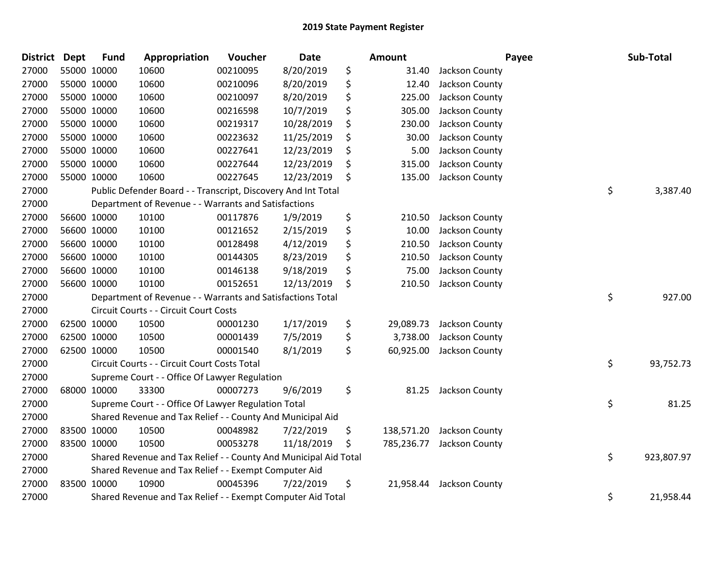| <b>District</b> | Dept | <b>Fund</b> | Appropriation                                                    | Voucher  | <b>Date</b> | Amount           |                | Payee | Sub-Total  |
|-----------------|------|-------------|------------------------------------------------------------------|----------|-------------|------------------|----------------|-------|------------|
| 27000           |      | 55000 10000 | 10600                                                            | 00210095 | 8/20/2019   | \$<br>31.40      | Jackson County |       |            |
| 27000           |      | 55000 10000 | 10600                                                            | 00210096 | 8/20/2019   | \$<br>12.40      | Jackson County |       |            |
| 27000           |      | 55000 10000 | 10600                                                            | 00210097 | 8/20/2019   | \$<br>225.00     | Jackson County |       |            |
| 27000           |      | 55000 10000 | 10600                                                            | 00216598 | 10/7/2019   | \$<br>305.00     | Jackson County |       |            |
| 27000           |      | 55000 10000 | 10600                                                            | 00219317 | 10/28/2019  | \$<br>230.00     | Jackson County |       |            |
| 27000           |      | 55000 10000 | 10600                                                            | 00223632 | 11/25/2019  | \$<br>30.00      | Jackson County |       |            |
| 27000           |      | 55000 10000 | 10600                                                            | 00227641 | 12/23/2019  | \$<br>5.00       | Jackson County |       |            |
| 27000           |      | 55000 10000 | 10600                                                            | 00227644 | 12/23/2019  | \$<br>315.00     | Jackson County |       |            |
| 27000           |      | 55000 10000 | 10600                                                            | 00227645 | 12/23/2019  | \$<br>135.00     | Jackson County |       |            |
| 27000           |      |             | Public Defender Board - - Transcript, Discovery And Int Total    |          |             |                  |                | \$    | 3,387.40   |
| 27000           |      |             | Department of Revenue - - Warrants and Satisfactions             |          |             |                  |                |       |            |
| 27000           |      | 56600 10000 | 10100                                                            | 00117876 | 1/9/2019    | \$<br>210.50     | Jackson County |       |            |
| 27000           |      | 56600 10000 | 10100                                                            | 00121652 | 2/15/2019   | \$<br>10.00      | Jackson County |       |            |
| 27000           |      | 56600 10000 | 10100                                                            | 00128498 | 4/12/2019   | \$<br>210.50     | Jackson County |       |            |
| 27000           |      | 56600 10000 | 10100                                                            | 00144305 | 8/23/2019   | \$<br>210.50     | Jackson County |       |            |
| 27000           |      | 56600 10000 | 10100                                                            | 00146138 | 9/18/2019   | \$<br>75.00      | Jackson County |       |            |
| 27000           |      | 56600 10000 | 10100                                                            | 00152651 | 12/13/2019  | \$<br>210.50     | Jackson County |       |            |
| 27000           |      |             | Department of Revenue - - Warrants and Satisfactions Total       |          |             |                  |                | \$    | 927.00     |
| 27000           |      |             | Circuit Courts - - Circuit Court Costs                           |          |             |                  |                |       |            |
| 27000           |      | 62500 10000 | 10500                                                            | 00001230 | 1/17/2019   | \$<br>29,089.73  | Jackson County |       |            |
| 27000           |      | 62500 10000 | 10500                                                            | 00001439 | 7/5/2019    | \$<br>3,738.00   | Jackson County |       |            |
| 27000           |      | 62500 10000 | 10500                                                            | 00001540 | 8/1/2019    | \$<br>60,925.00  | Jackson County |       |            |
| 27000           |      |             | Circuit Courts - - Circuit Court Costs Total                     |          |             |                  |                | \$    | 93,752.73  |
| 27000           |      |             | Supreme Court - - Office Of Lawyer Regulation                    |          |             |                  |                |       |            |
| 27000           |      | 68000 10000 | 33300                                                            | 00007273 | 9/6/2019    | \$<br>81.25      | Jackson County |       |            |
| 27000           |      |             | Supreme Court - - Office Of Lawyer Regulation Total              |          |             |                  |                | \$    | 81.25      |
| 27000           |      |             | Shared Revenue and Tax Relief - - County And Municipal Aid       |          |             |                  |                |       |            |
| 27000           |      | 83500 10000 | 10500                                                            | 00048982 | 7/22/2019   | \$<br>138,571.20 | Jackson County |       |            |
| 27000           |      | 83500 10000 | 10500                                                            | 00053278 | 11/18/2019  | \$<br>785,236.77 | Jackson County |       |            |
| 27000           |      |             | Shared Revenue and Tax Relief - - County And Municipal Aid Total |          |             |                  |                | \$    | 923,807.97 |
| 27000           |      |             | Shared Revenue and Tax Relief - - Exempt Computer Aid            |          |             |                  |                |       |            |
| 27000           |      | 83500 10000 | 10900                                                            | 00045396 | 7/22/2019   | \$<br>21,958.44  | Jackson County |       |            |
| 27000           |      |             | Shared Revenue and Tax Relief - - Exempt Computer Aid Total      |          |             |                  |                | \$    | 21,958.44  |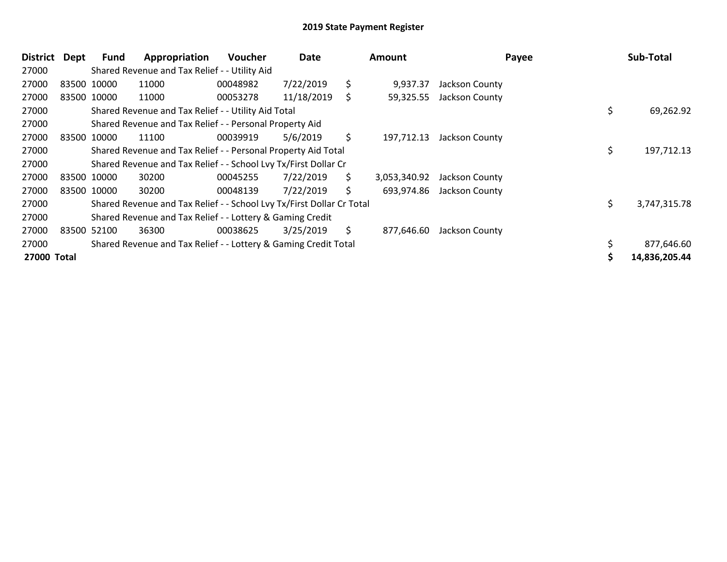| <b>District</b> | Dept | Fund        | Appropriation                                                         | <b>Voucher</b> | Date       |     | <b>Amount</b> | Payee          | Sub-Total          |
|-----------------|------|-------------|-----------------------------------------------------------------------|----------------|------------|-----|---------------|----------------|--------------------|
| 27000           |      |             | Shared Revenue and Tax Relief - - Utility Aid                         |                |            |     |               |                |                    |
| 27000           |      | 83500 10000 | 11000                                                                 | 00048982       | 7/22/2019  | \$  | 9,937.37      | Jackson County |                    |
| 27000           |      | 83500 10000 | 11000                                                                 | 00053278       | 11/18/2019 | \$  | 59,325.55     | Jackson County |                    |
| 27000           |      |             | Shared Revenue and Tax Relief - - Utility Aid Total                   |                |            |     |               |                | \$<br>69,262.92    |
| 27000           |      |             | Shared Revenue and Tax Relief - - Personal Property Aid               |                |            |     |               |                |                    |
| 27000           |      | 83500 10000 | 11100                                                                 | 00039919       | 5/6/2019   | \$. | 197.712.13    | Jackson County |                    |
| 27000           |      |             | Shared Revenue and Tax Relief - - Personal Property Aid Total         |                |            |     |               |                | \$<br>197,712.13   |
| 27000           |      |             | Shared Revenue and Tax Relief - - School Lvy Tx/First Dollar Cr       |                |            |     |               |                |                    |
| 27000           |      | 83500 10000 | 30200                                                                 | 00045255       | 7/22/2019  | \$. | 3,053,340.92  | Jackson County |                    |
| 27000           |      | 83500 10000 | 30200                                                                 | 00048139       | 7/22/2019  | \$  | 693,974.86    | Jackson County |                    |
| 27000           |      |             | Shared Revenue and Tax Relief - - School Lvy Tx/First Dollar Cr Total |                |            |     |               |                | \$<br>3,747,315.78 |
| 27000           |      |             | Shared Revenue and Tax Relief - - Lottery & Gaming Credit             |                |            |     |               |                |                    |
| 27000           |      | 83500 52100 | 36300                                                                 | 00038625       | 3/25/2019  | \$  | 877,646.60    | Jackson County |                    |
| 27000           |      |             | Shared Revenue and Tax Relief - - Lottery & Gaming Credit Total       |                |            |     |               |                | 877,646.60         |
| 27000 Total     |      |             |                                                                       |                |            |     |               |                | 14,836,205.44      |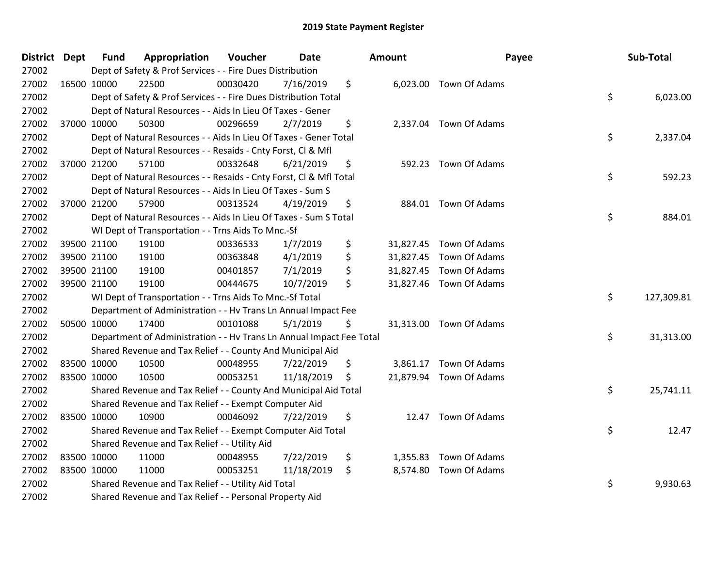| District Dept |             | <b>Fund</b> | Appropriation                                                        | Voucher  | <b>Date</b> | Amount |                         | Payee | Sub-Total  |
|---------------|-------------|-------------|----------------------------------------------------------------------|----------|-------------|--------|-------------------------|-------|------------|
| 27002         |             |             | Dept of Safety & Prof Services - - Fire Dues Distribution            |          |             |        |                         |       |            |
| 27002         |             | 16500 10000 | 22500                                                                | 00030420 | 7/16/2019   | \$     | 6,023.00 Town Of Adams  |       |            |
| 27002         |             |             | Dept of Safety & Prof Services - - Fire Dues Distribution Total      |          |             |        |                         | \$    | 6,023.00   |
| 27002         |             |             | Dept of Natural Resources - - Aids In Lieu Of Taxes - Gener          |          |             |        |                         |       |            |
| 27002         |             | 37000 10000 | 50300                                                                | 00296659 | 2/7/2019    | \$     | 2,337.04 Town Of Adams  |       |            |
| 27002         |             |             | Dept of Natural Resources - - Aids In Lieu Of Taxes - Gener Total    |          |             |        |                         | \$    | 2,337.04   |
| 27002         |             |             | Dept of Natural Resources - - Resaids - Cnty Forst, Cl & Mfl         |          |             |        |                         |       |            |
| 27002         |             | 37000 21200 | 57100                                                                | 00332648 | 6/21/2019   | \$     | 592.23 Town Of Adams    |       |            |
| 27002         |             |             | Dept of Natural Resources - - Resaids - Cnty Forst, Cl & Mfl Total   |          |             |        |                         | \$    | 592.23     |
| 27002         |             |             | Dept of Natural Resources - - Aids In Lieu Of Taxes - Sum S          |          |             |        |                         |       |            |
| 27002         |             | 37000 21200 | 57900                                                                | 00313524 | 4/19/2019   | \$     | 884.01 Town Of Adams    |       |            |
| 27002         |             |             | Dept of Natural Resources - - Aids In Lieu Of Taxes - Sum S Total    |          |             |        |                         | \$    | 884.01     |
| 27002         |             |             | WI Dept of Transportation - - Trns Aids To Mnc.-Sf                   |          |             |        |                         |       |            |
| 27002         |             | 39500 21100 | 19100                                                                | 00336533 | 1/7/2019    | \$     | 31,827.45 Town Of Adams |       |            |
| 27002         |             | 39500 21100 | 19100                                                                | 00363848 | 4/1/2019    | \$     | 31,827.45 Town Of Adams |       |            |
| 27002         |             | 39500 21100 | 19100                                                                | 00401857 | 7/1/2019    | \$     | 31,827.45 Town Of Adams |       |            |
| 27002         |             | 39500 21100 | 19100                                                                | 00444675 | 10/7/2019   | \$     | 31,827.46 Town Of Adams |       |            |
| 27002         |             |             | WI Dept of Transportation - - Trns Aids To Mnc.-Sf Total             |          |             |        |                         | \$    | 127,309.81 |
| 27002         |             |             | Department of Administration - - Hv Trans Ln Annual Impact Fee       |          |             |        |                         |       |            |
| 27002         |             | 50500 10000 | 17400                                                                | 00101088 | 5/1/2019    | \$     | 31,313.00 Town Of Adams |       |            |
| 27002         |             |             | Department of Administration - - Hv Trans Ln Annual Impact Fee Total |          |             |        |                         | \$    | 31,313.00  |
| 27002         |             |             | Shared Revenue and Tax Relief - - County And Municipal Aid           |          |             |        |                         |       |            |
| 27002         | 83500 10000 |             | 10500                                                                | 00048955 | 7/22/2019   | \$     | 3,861.17 Town Of Adams  |       |            |
| 27002         |             | 83500 10000 | 10500                                                                | 00053251 | 11/18/2019  | \$     | 21,879.94 Town Of Adams |       |            |
| 27002         |             |             | Shared Revenue and Tax Relief - - County And Municipal Aid Total     |          |             |        |                         | \$    | 25,741.11  |
| 27002         |             |             | Shared Revenue and Tax Relief - - Exempt Computer Aid                |          |             |        |                         |       |            |
| 27002         | 83500 10000 |             | 10900                                                                | 00046092 | 7/22/2019   | \$     | 12.47 Town Of Adams     |       |            |
| 27002         |             |             | Shared Revenue and Tax Relief - - Exempt Computer Aid Total          |          |             |        |                         | \$    | 12.47      |
| 27002         |             |             | Shared Revenue and Tax Relief - - Utility Aid                        |          |             |        |                         |       |            |
| 27002         |             | 83500 10000 | 11000                                                                | 00048955 | 7/22/2019   | \$     | 1,355.83 Town Of Adams  |       |            |
| 27002         |             | 83500 10000 | 11000                                                                | 00053251 | 11/18/2019  | \$     | 8,574.80 Town Of Adams  |       |            |
| 27002         |             |             | Shared Revenue and Tax Relief - - Utility Aid Total                  |          |             |        |                         | \$    | 9,930.63   |
| 27002         |             |             | Shared Revenue and Tax Relief - - Personal Property Aid              |          |             |        |                         |       |            |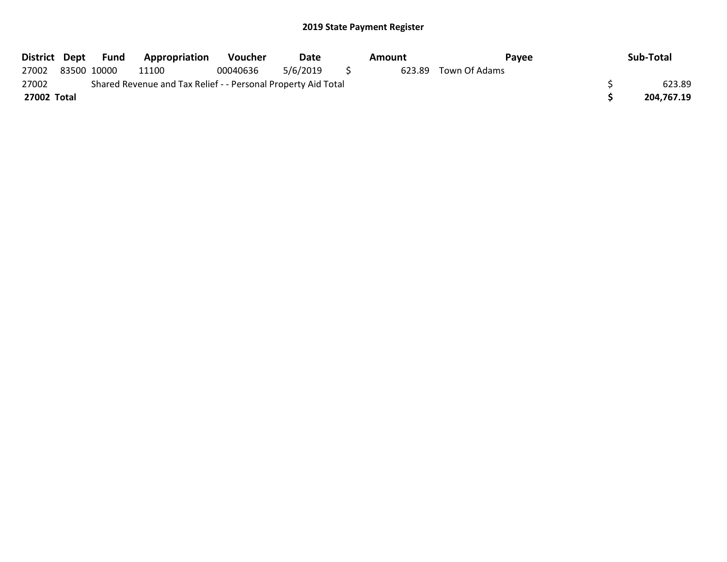| District Dept |             | Fund | <b>Appropriation</b>                                          | <b>Voucher</b> | Date     | Amount | Pavee         | Sub-Total  |
|---------------|-------------|------|---------------------------------------------------------------|----------------|----------|--------|---------------|------------|
| 27002         | 83500 10000 |      | 11100                                                         | 00040636       | 5/6/2019 | 623.89 | Town Of Adams |            |
| 27002         |             |      | Shared Revenue and Tax Relief - - Personal Property Aid Total |                |          |        |               | 623.89     |
| 27002 Total   |             |      |                                                               |                |          |        |               | 204,767.19 |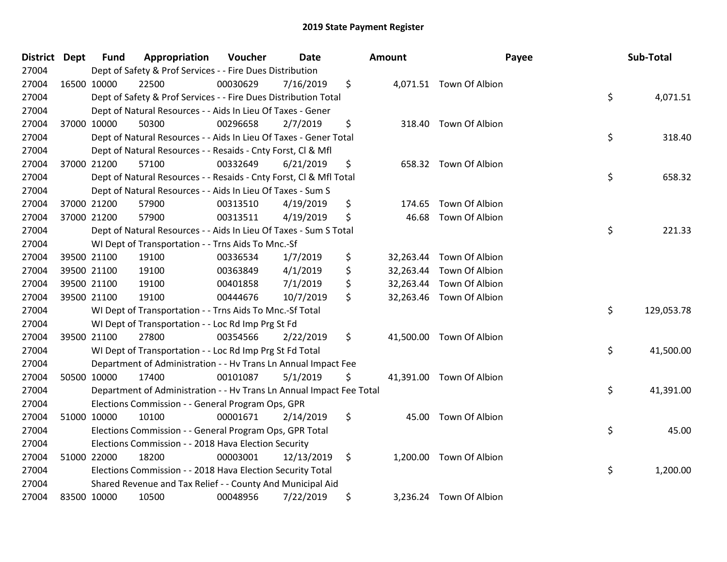| District Dept |             | <b>Fund</b> | Appropriation                                                        | Voucher  | <b>Date</b> | <b>Amount</b>   | Payee                    | Sub-Total        |
|---------------|-------------|-------------|----------------------------------------------------------------------|----------|-------------|-----------------|--------------------------|------------------|
| 27004         |             |             | Dept of Safety & Prof Services - - Fire Dues Distribution            |          |             |                 |                          |                  |
| 27004         |             | 16500 10000 | 22500                                                                | 00030629 | 7/16/2019   | \$              | 4,071.51 Town Of Albion  |                  |
| 27004         |             |             | Dept of Safety & Prof Services - - Fire Dues Distribution Total      |          |             |                 |                          | \$<br>4,071.51   |
| 27004         |             |             | Dept of Natural Resources - - Aids In Lieu Of Taxes - Gener          |          |             |                 |                          |                  |
| 27004         |             | 37000 10000 | 50300                                                                | 00296658 | 2/7/2019    | \$<br>318.40    | Town Of Albion           |                  |
| 27004         |             |             | Dept of Natural Resources - - Aids In Lieu Of Taxes - Gener Total    |          |             |                 |                          | \$<br>318.40     |
| 27004         |             |             | Dept of Natural Resources - - Resaids - Cnty Forst, Cl & Mfl         |          |             |                 |                          |                  |
| 27004         |             | 37000 21200 | 57100                                                                | 00332649 | 6/21/2019   | \$              | 658.32 Town Of Albion    |                  |
| 27004         |             |             | Dept of Natural Resources - - Resaids - Cnty Forst, Cl & Mfl Total   |          |             |                 |                          | \$<br>658.32     |
| 27004         |             |             | Dept of Natural Resources - - Aids In Lieu Of Taxes - Sum S          |          |             |                 |                          |                  |
| 27004         |             | 37000 21200 | 57900                                                                | 00313510 | 4/19/2019   | \$<br>174.65    | Town Of Albion           |                  |
| 27004         |             | 37000 21200 | 57900                                                                | 00313511 | 4/19/2019   | \$<br>46.68     | Town Of Albion           |                  |
| 27004         |             |             | Dept of Natural Resources - - Aids In Lieu Of Taxes - Sum S Total    |          |             |                 |                          | \$<br>221.33     |
| 27004         |             |             | WI Dept of Transportation - - Trns Aids To Mnc.-Sf                   |          |             |                 |                          |                  |
| 27004         |             | 39500 21100 | 19100                                                                | 00336534 | 1/7/2019    | \$<br>32,263.44 | Town Of Albion           |                  |
| 27004         |             | 39500 21100 | 19100                                                                | 00363849 | 4/1/2019    | \$<br>32,263.44 | Town Of Albion           |                  |
| 27004         | 39500 21100 |             | 19100                                                                | 00401858 | 7/1/2019    | \$              | 32,263.44 Town Of Albion |                  |
| 27004         |             | 39500 21100 | 19100                                                                | 00444676 | 10/7/2019   | \$              | 32,263.46 Town Of Albion |                  |
| 27004         |             |             | WI Dept of Transportation - - Trns Aids To Mnc.-Sf Total             |          |             |                 |                          | \$<br>129,053.78 |
| 27004         |             |             | WI Dept of Transportation - - Loc Rd Imp Prg St Fd                   |          |             |                 |                          |                  |
| 27004         |             | 39500 21100 | 27800                                                                | 00354566 | 2/22/2019   | \$              | 41,500.00 Town Of Albion |                  |
| 27004         |             |             | WI Dept of Transportation - - Loc Rd Imp Prg St Fd Total             |          |             |                 |                          | \$<br>41,500.00  |
| 27004         |             |             | Department of Administration - - Hv Trans Ln Annual Impact Fee       |          |             |                 |                          |                  |
| 27004         |             | 50500 10000 | 17400                                                                | 00101087 | 5/1/2019    | \$              | 41,391.00 Town Of Albion |                  |
| 27004         |             |             | Department of Administration - - Hv Trans Ln Annual Impact Fee Total |          |             |                 |                          | \$<br>41,391.00  |
| 27004         |             |             | Elections Commission - - General Program Ops, GPR                    |          |             |                 |                          |                  |
| 27004         |             | 51000 10000 | 10100                                                                | 00001671 | 2/14/2019   | \$              | 45.00 Town Of Albion     |                  |
| 27004         |             |             | Elections Commission - - General Program Ops, GPR Total              |          |             |                 |                          | \$<br>45.00      |
| 27004         |             |             | Elections Commission - - 2018 Hava Election Security                 |          |             |                 |                          |                  |
| 27004         |             | 51000 22000 | 18200                                                                | 00003001 | 12/13/2019  | \$              | 1,200.00 Town Of Albion  |                  |
| 27004         |             |             | Elections Commission - - 2018 Hava Election Security Total           |          |             |                 |                          | \$<br>1,200.00   |
| 27004         |             |             | Shared Revenue and Tax Relief - - County And Municipal Aid           |          |             |                 |                          |                  |
| 27004         |             | 83500 10000 | 10500                                                                | 00048956 | 7/22/2019   | \$              | 3,236.24 Town Of Albion  |                  |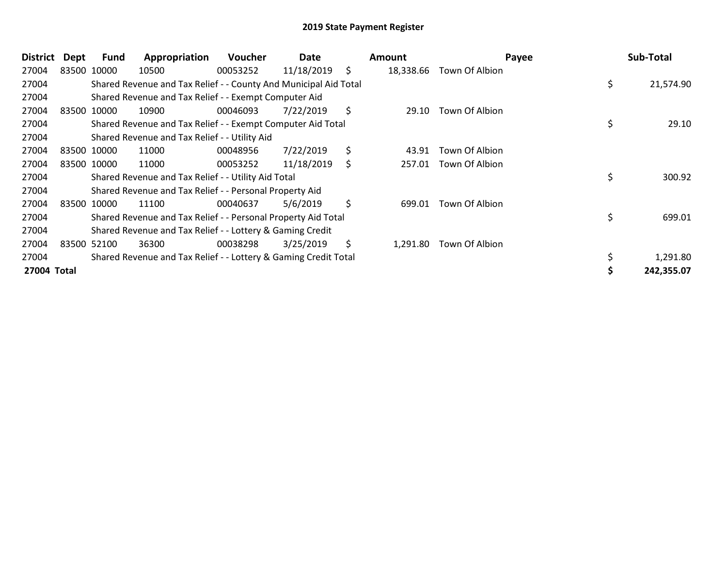| District    | Dept | <b>Fund</b> | Appropriation                                                    | <b>Voucher</b> | Date       | Amount          | Payee          | Sub-Total       |
|-------------|------|-------------|------------------------------------------------------------------|----------------|------------|-----------------|----------------|-----------------|
| 27004       |      | 83500 10000 | 10500                                                            | 00053252       | 11/18/2019 | \$<br>18,338.66 | Town Of Albion |                 |
| 27004       |      |             | Shared Revenue and Tax Relief - - County And Municipal Aid Total |                |            |                 |                | \$<br>21,574.90 |
| 27004       |      |             | Shared Revenue and Tax Relief - - Exempt Computer Aid            |                |            |                 |                |                 |
| 27004       |      | 83500 10000 | 10900                                                            | 00046093       | 7/22/2019  | \$<br>29.10     | Town Of Albion |                 |
| 27004       |      |             | Shared Revenue and Tax Relief - - Exempt Computer Aid Total      |                |            |                 |                | \$<br>29.10     |
| 27004       |      |             | Shared Revenue and Tax Relief - - Utility Aid                    |                |            |                 |                |                 |
| 27004       |      | 83500 10000 | 11000                                                            | 00048956       | 7/22/2019  | \$<br>43.91     | Town Of Albion |                 |
| 27004       |      | 83500 10000 | 11000                                                            | 00053252       | 11/18/2019 | \$<br>257.01    | Town Of Albion |                 |
| 27004       |      |             | Shared Revenue and Tax Relief - - Utility Aid Total              |                |            |                 |                | \$<br>300.92    |
| 27004       |      |             | Shared Revenue and Tax Relief - - Personal Property Aid          |                |            |                 |                |                 |
| 27004       |      | 83500 10000 | 11100                                                            | 00040637       | 5/6/2019   | \$<br>699.01    | Town Of Albion |                 |
| 27004       |      |             | Shared Revenue and Tax Relief - - Personal Property Aid Total    |                |            |                 |                | \$<br>699.01    |
| 27004       |      |             | Shared Revenue and Tax Relief - - Lottery & Gaming Credit        |                |            |                 |                |                 |
| 27004       |      | 83500 52100 | 36300                                                            | 00038298       | 3/25/2019  | \$<br>1.291.80  | Town Of Albion |                 |
| 27004       |      |             | Shared Revenue and Tax Relief - - Lottery & Gaming Credit Total  |                |            |                 |                | \$<br>1,291.80  |
| 27004 Total |      |             |                                                                  |                |            |                 |                | 242,355.07      |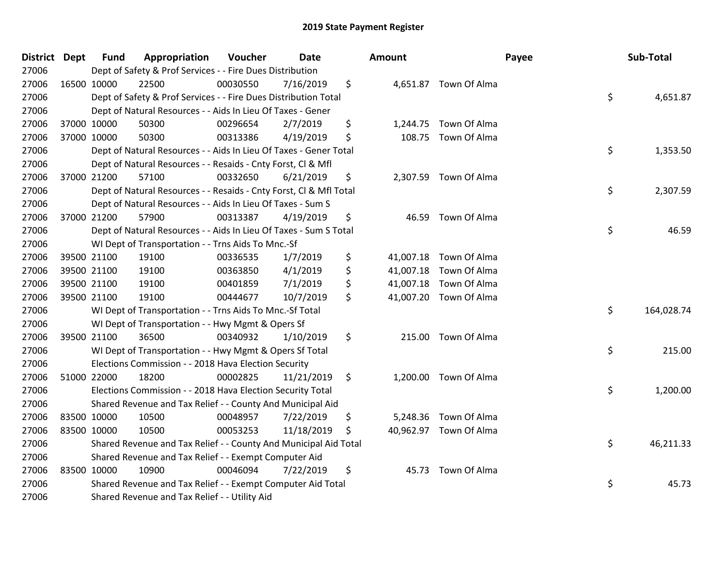| District Dept |             | <b>Fund</b> | Appropriation                                                      | Voucher  | Date       | <b>Amount</b> |                        | Payee | Sub-Total  |
|---------------|-------------|-------------|--------------------------------------------------------------------|----------|------------|---------------|------------------------|-------|------------|
| 27006         |             |             | Dept of Safety & Prof Services - - Fire Dues Distribution          |          |            |               |                        |       |            |
| 27006         | 16500 10000 |             | 22500                                                              | 00030550 | 7/16/2019  | \$            | 4,651.87 Town Of Alma  |       |            |
| 27006         |             |             | Dept of Safety & Prof Services - - Fire Dues Distribution Total    |          |            |               |                        | \$    | 4,651.87   |
| 27006         |             |             | Dept of Natural Resources - - Aids In Lieu Of Taxes - Gener        |          |            |               |                        |       |            |
| 27006         |             | 37000 10000 | 50300                                                              | 00296654 | 2/7/2019   | \$            | 1,244.75 Town Of Alma  |       |            |
| 27006         |             | 37000 10000 | 50300                                                              | 00313386 | 4/19/2019  | \$            | 108.75 Town Of Alma    |       |            |
| 27006         |             |             | Dept of Natural Resources - - Aids In Lieu Of Taxes - Gener Total  |          |            |               |                        | \$    | 1,353.50   |
| 27006         |             |             | Dept of Natural Resources - - Resaids - Cnty Forst, Cl & Mfl       |          |            |               |                        |       |            |
| 27006         |             | 37000 21200 | 57100                                                              | 00332650 | 6/21/2019  | \$            | 2,307.59 Town Of Alma  |       |            |
| 27006         |             |             | Dept of Natural Resources - - Resaids - Cnty Forst, Cl & Mfl Total |          |            |               |                        | \$    | 2,307.59   |
| 27006         |             |             | Dept of Natural Resources - - Aids In Lieu Of Taxes - Sum S        |          |            |               |                        |       |            |
| 27006         |             | 37000 21200 | 57900                                                              | 00313387 | 4/19/2019  | \$            | 46.59 Town Of Alma     |       |            |
| 27006         |             |             | Dept of Natural Resources - - Aids In Lieu Of Taxes - Sum S Total  |          |            |               |                        | \$    | 46.59      |
| 27006         |             |             | WI Dept of Transportation - - Trns Aids To Mnc.-Sf                 |          |            |               |                        |       |            |
| 27006         |             | 39500 21100 | 19100                                                              | 00336535 | 1/7/2019   | \$            | 41,007.18 Town Of Alma |       |            |
| 27006         |             | 39500 21100 | 19100                                                              | 00363850 | 4/1/2019   | \$            | 41,007.18 Town Of Alma |       |            |
| 27006         |             | 39500 21100 | 19100                                                              | 00401859 | 7/1/2019   | \$            | 41,007.18 Town Of Alma |       |            |
| 27006         | 39500 21100 |             | 19100                                                              | 00444677 | 10/7/2019  | \$            | 41,007.20 Town Of Alma |       |            |
| 27006         |             |             | WI Dept of Transportation - - Trns Aids To Mnc.-Sf Total           |          |            |               |                        | \$    | 164,028.74 |
| 27006         |             |             | WI Dept of Transportation - - Hwy Mgmt & Opers Sf                  |          |            |               |                        |       |            |
| 27006         |             | 39500 21100 | 36500                                                              | 00340932 | 1/10/2019  | \$            | 215.00 Town Of Alma    |       |            |
| 27006         |             |             | WI Dept of Transportation - - Hwy Mgmt & Opers Sf Total            |          |            |               |                        | \$    | 215.00     |
| 27006         |             |             | Elections Commission - - 2018 Hava Election Security               |          |            |               |                        |       |            |
| 27006         |             | 51000 22000 | 18200                                                              | 00002825 | 11/21/2019 | \$            | 1,200.00 Town Of Alma  |       |            |
| 27006         |             |             | Elections Commission - - 2018 Hava Election Security Total         |          |            |               |                        | \$    | 1,200.00   |
| 27006         |             |             | Shared Revenue and Tax Relief - - County And Municipal Aid         |          |            |               |                        |       |            |
| 27006         |             | 83500 10000 | 10500                                                              | 00048957 | 7/22/2019  | \$            | 5,248.36 Town Of Alma  |       |            |
| 27006         | 83500 10000 |             | 10500                                                              | 00053253 | 11/18/2019 | \$            | 40,962.97 Town Of Alma |       |            |
| 27006         |             |             | Shared Revenue and Tax Relief - - County And Municipal Aid Total   |          |            |               |                        | \$    | 46,211.33  |
| 27006         |             |             | Shared Revenue and Tax Relief - - Exempt Computer Aid              |          |            |               |                        |       |            |
| 27006         |             | 83500 10000 | 10900                                                              | 00046094 | 7/22/2019  | \$            | 45.73 Town Of Alma     |       |            |
| 27006         |             |             | Shared Revenue and Tax Relief - - Exempt Computer Aid Total        |          |            |               |                        | \$    | 45.73      |
| 27006         |             |             | Shared Revenue and Tax Relief - - Utility Aid                      |          |            |               |                        |       |            |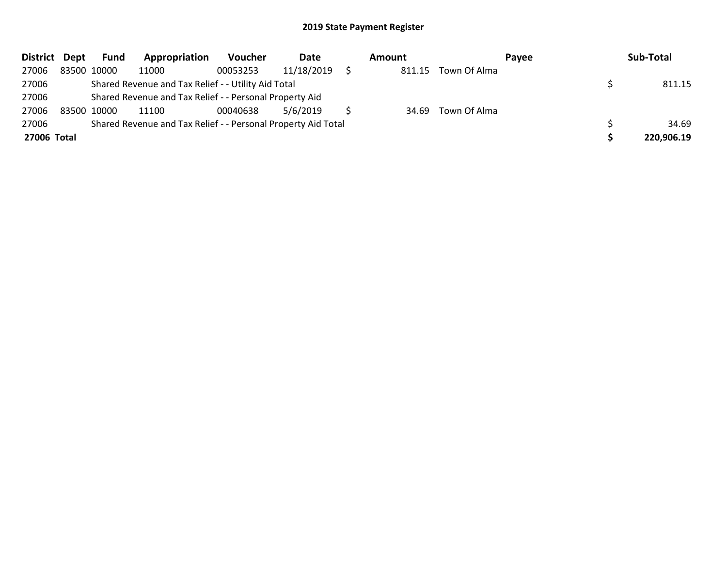| District Dept |             | Fund        | Appropriation                                                 | Voucher  | Date       | Amount |                    | Pavee | Sub-Total  |
|---------------|-------------|-------------|---------------------------------------------------------------|----------|------------|--------|--------------------|-------|------------|
| 27006         |             | 83500 10000 | 11000                                                         | 00053253 | 11/18/2019 | 811.15 | Town Of Alma       |       |            |
| 27006         |             |             | Shared Revenue and Tax Relief - - Utility Aid Total           |          |            |        |                    |       | 811.15     |
| 27006         |             |             | Shared Revenue and Tax Relief - - Personal Property Aid       |          |            |        |                    |       |            |
| 27006         | 83500 10000 |             | 11100                                                         | 00040638 | 5/6/2019   |        | 34.69 Town Of Alma |       |            |
| 27006         |             |             | Shared Revenue and Tax Relief - - Personal Property Aid Total |          |            |        |                    |       | 34.69      |
| 27006 Total   |             |             |                                                               |          |            |        |                    |       | 220,906.19 |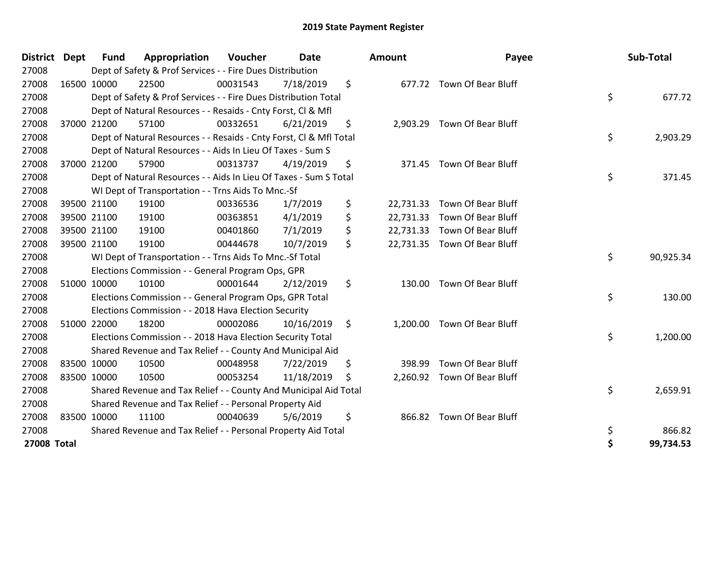| <b>District</b>    | <b>Dept</b> | <b>Fund</b> | Appropriation                                                      | Voucher  | <b>Date</b> | Amount          | Payee                        | Sub-Total       |
|--------------------|-------------|-------------|--------------------------------------------------------------------|----------|-------------|-----------------|------------------------------|-----------------|
| 27008              |             |             | Dept of Safety & Prof Services - - Fire Dues Distribution          |          |             |                 |                              |                 |
| 27008              |             | 16500 10000 | 22500                                                              | 00031543 | 7/18/2019   | \$              | 677.72 Town Of Bear Bluff    |                 |
| 27008              |             |             | Dept of Safety & Prof Services - - Fire Dues Distribution Total    |          |             |                 |                              | \$<br>677.72    |
| 27008              |             |             | Dept of Natural Resources - - Resaids - Cnty Forst, CI & Mfl       |          |             |                 |                              |                 |
| 27008              |             | 37000 21200 | 57100                                                              | 00332651 | 6/21/2019   | \$              | 2,903.29 Town Of Bear Bluff  |                 |
| 27008              |             |             | Dept of Natural Resources - - Resaids - Cnty Forst, CI & Mfl Total |          |             |                 |                              | \$<br>2,903.29  |
| 27008              |             |             | Dept of Natural Resources - - Aids In Lieu Of Taxes - Sum S        |          |             |                 |                              |                 |
| 27008              |             | 37000 21200 | 57900                                                              | 00313737 | 4/19/2019   | \$<br>371.45    | Town Of Bear Bluff           |                 |
| 27008              |             |             | Dept of Natural Resources - - Aids In Lieu Of Taxes - Sum S Total  |          |             |                 |                              | \$<br>371.45    |
| 27008              |             |             | WI Dept of Transportation - - Trns Aids To Mnc.-Sf                 |          |             |                 |                              |                 |
| 27008              |             | 39500 21100 | 19100                                                              | 00336536 | 1/7/2019    | \$<br>22,731.33 | Town Of Bear Bluff           |                 |
| 27008              |             | 39500 21100 | 19100                                                              | 00363851 | 4/1/2019    | \$<br>22,731.33 | <b>Town Of Bear Bluff</b>    |                 |
| 27008              |             | 39500 21100 | 19100                                                              | 00401860 | 7/1/2019    | \$              | 22,731.33 Town Of Bear Bluff |                 |
| 27008              |             | 39500 21100 | 19100                                                              | 00444678 | 10/7/2019   | \$              | 22,731.35 Town Of Bear Bluff |                 |
| 27008              |             |             | WI Dept of Transportation - - Trns Aids To Mnc.-Sf Total           |          |             |                 |                              | \$<br>90,925.34 |
| 27008              |             |             | Elections Commission - - General Program Ops, GPR                  |          |             |                 |                              |                 |
| 27008              |             | 51000 10000 | 10100                                                              | 00001644 | 2/12/2019   | \$              | 130.00 Town Of Bear Bluff    |                 |
| 27008              |             |             | Elections Commission - - General Program Ops, GPR Total            |          |             |                 |                              | \$<br>130.00    |
| 27008              |             |             | Elections Commission - - 2018 Hava Election Security               |          |             |                 |                              |                 |
| 27008              |             | 51000 22000 | 18200                                                              | 00002086 | 10/16/2019  | \$              | 1,200.00 Town Of Bear Bluff  |                 |
| 27008              |             |             | Elections Commission - - 2018 Hava Election Security Total         |          |             |                 |                              | \$<br>1,200.00  |
| 27008              |             |             | Shared Revenue and Tax Relief - - County And Municipal Aid         |          |             |                 |                              |                 |
| 27008              |             | 83500 10000 | 10500                                                              | 00048958 | 7/22/2019   | \$<br>398.99    | Town Of Bear Bluff           |                 |
| 27008              |             | 83500 10000 | 10500                                                              | 00053254 | 11/18/2019  | \$              | 2,260.92 Town Of Bear Bluff  |                 |
| 27008              |             |             | Shared Revenue and Tax Relief - - County And Municipal Aid Total   |          |             |                 |                              | \$<br>2,659.91  |
| 27008              |             |             | Shared Revenue and Tax Relief - - Personal Property Aid            |          |             |                 |                              |                 |
| 27008              |             | 83500 10000 | 11100                                                              | 00040639 | 5/6/2019    | \$<br>866.82    | Town Of Bear Bluff           |                 |
| 27008              |             |             | Shared Revenue and Tax Relief - - Personal Property Aid Total      |          |             |                 |                              | \$<br>866.82    |
| <b>27008 Total</b> |             |             |                                                                    |          |             |                 |                              | \$<br>99,734.53 |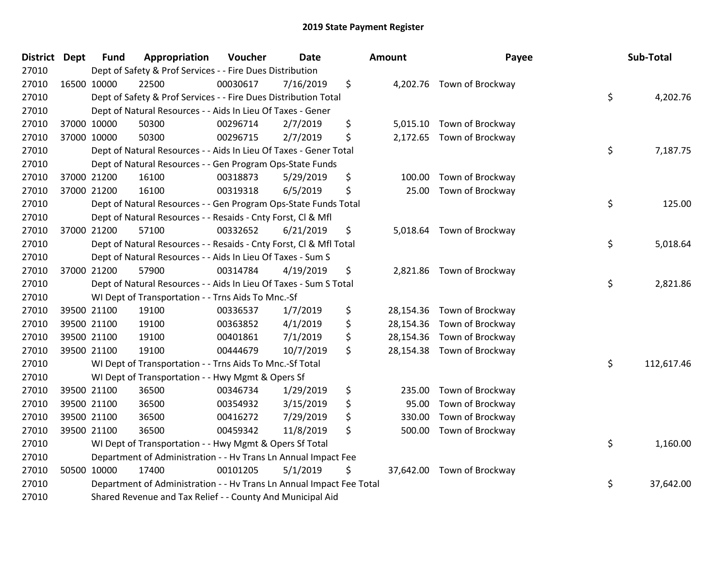| <b>District Dept</b> | <b>Fund</b> | Appropriation                                                        | Voucher  | <b>Date</b> | Amount       | Payee                      | Sub-Total        |
|----------------------|-------------|----------------------------------------------------------------------|----------|-------------|--------------|----------------------------|------------------|
| 27010                |             | Dept of Safety & Prof Services - - Fire Dues Distribution            |          |             |              |                            |                  |
| 27010                | 16500 10000 | 22500                                                                | 00030617 | 7/16/2019   | \$           | 4,202.76 Town of Brockway  |                  |
| 27010                |             | Dept of Safety & Prof Services - - Fire Dues Distribution Total      |          |             |              |                            | \$<br>4,202.76   |
| 27010                |             | Dept of Natural Resources - - Aids In Lieu Of Taxes - Gener          |          |             |              |                            |                  |
| 27010                | 37000 10000 | 50300                                                                | 00296714 | 2/7/2019    | \$           | 5,015.10 Town of Brockway  |                  |
| 27010                | 37000 10000 | 50300                                                                | 00296715 | 2/7/2019    | \$           | 2,172.65 Town of Brockway  |                  |
| 27010                |             | Dept of Natural Resources - - Aids In Lieu Of Taxes - Gener Total    |          |             |              |                            | \$<br>7,187.75   |
| 27010                |             | Dept of Natural Resources - - Gen Program Ops-State Funds            |          |             |              |                            |                  |
| 27010                | 37000 21200 | 16100                                                                | 00318873 | 5/29/2019   | \$<br>100.00 | Town of Brockway           |                  |
| 27010                | 37000 21200 | 16100                                                                | 00319318 | 6/5/2019    | \$           | 25.00 Town of Brockway     |                  |
| 27010                |             | Dept of Natural Resources - - Gen Program Ops-State Funds Total      |          |             |              |                            | \$<br>125.00     |
| 27010                |             | Dept of Natural Resources - - Resaids - Cnty Forst, Cl & Mfl         |          |             |              |                            |                  |
| 27010                | 37000 21200 | 57100                                                                | 00332652 | 6/21/2019   | \$           | 5,018.64 Town of Brockway  |                  |
| 27010                |             | Dept of Natural Resources - - Resaids - Cnty Forst, CI & Mfl Total   |          |             |              |                            | \$<br>5,018.64   |
| 27010                |             | Dept of Natural Resources - - Aids In Lieu Of Taxes - Sum S          |          |             |              |                            |                  |
| 27010                | 37000 21200 | 57900                                                                | 00314784 | 4/19/2019   | \$           | 2,821.86 Town of Brockway  |                  |
| 27010                |             | Dept of Natural Resources - - Aids In Lieu Of Taxes - Sum S Total    |          |             |              |                            | \$<br>2,821.86   |
| 27010                |             | WI Dept of Transportation - - Trns Aids To Mnc.-Sf                   |          |             |              |                            |                  |
| 27010                | 39500 21100 | 19100                                                                | 00336537 | 1/7/2019    | \$           | 28,154.36 Town of Brockway |                  |
| 27010                | 39500 21100 | 19100                                                                | 00363852 | 4/1/2019    | \$           | 28,154.36 Town of Brockway |                  |
| 27010                | 39500 21100 | 19100                                                                | 00401861 | 7/1/2019    | \$           | 28,154.36 Town of Brockway |                  |
| 27010                | 39500 21100 | 19100                                                                | 00444679 | 10/7/2019   | \$           | 28,154.38 Town of Brockway |                  |
| 27010                |             | WI Dept of Transportation - - Trns Aids To Mnc.-Sf Total             |          |             |              |                            | \$<br>112,617.46 |
| 27010                |             | WI Dept of Transportation - - Hwy Mgmt & Opers Sf                    |          |             |              |                            |                  |
| 27010                | 39500 21100 | 36500                                                                | 00346734 | 1/29/2019   | \$<br>235.00 | Town of Brockway           |                  |
| 27010                | 39500 21100 | 36500                                                                | 00354932 | 3/15/2019   | \$<br>95.00  | Town of Brockway           |                  |
| 27010                | 39500 21100 | 36500                                                                | 00416272 | 7/29/2019   | \$<br>330.00 | Town of Brockway           |                  |
| 27010                | 39500 21100 | 36500                                                                | 00459342 | 11/8/2019   | \$<br>500.00 | Town of Brockway           |                  |
| 27010                |             | WI Dept of Transportation - - Hwy Mgmt & Opers Sf Total              |          |             |              |                            | \$<br>1,160.00   |
| 27010                |             | Department of Administration - - Hv Trans Ln Annual Impact Fee       |          |             |              |                            |                  |
| 27010                | 50500 10000 | 17400                                                                | 00101205 | 5/1/2019    | \$           | 37,642.00 Town of Brockway |                  |
| 27010                |             | Department of Administration - - Hv Trans Ln Annual Impact Fee Total |          |             |              |                            | \$<br>37,642.00  |
| 27010                |             | Shared Revenue and Tax Relief - - County And Municipal Aid           |          |             |              |                            |                  |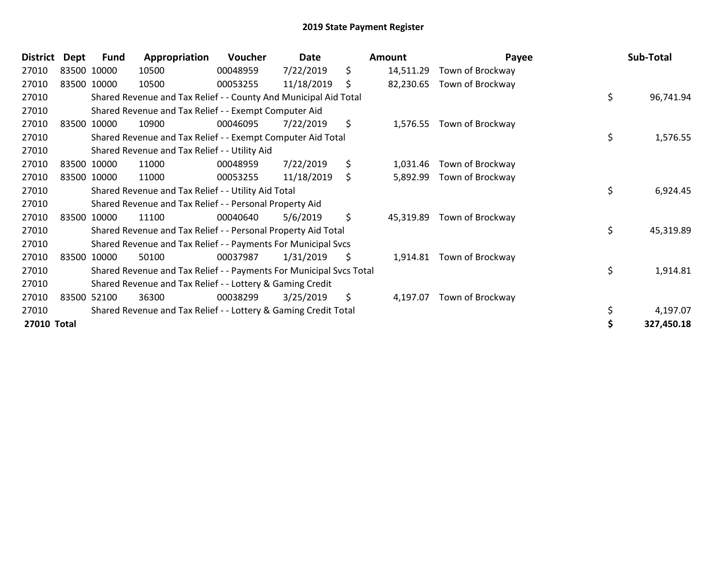| <b>District</b> | Dept | Fund        | Appropriation                                                       | Voucher  | Date       | Amount          | Payee            | Sub-Total       |
|-----------------|------|-------------|---------------------------------------------------------------------|----------|------------|-----------------|------------------|-----------------|
| 27010           |      | 83500 10000 | 10500                                                               | 00048959 | 7/22/2019  | \$<br>14,511.29 | Town of Brockway |                 |
| 27010           |      | 83500 10000 | 10500                                                               | 00053255 | 11/18/2019 | \$<br>82,230.65 | Town of Brockway |                 |
| 27010           |      |             | Shared Revenue and Tax Relief - - County And Municipal Aid Total    |          |            |                 |                  | \$<br>96,741.94 |
| 27010           |      |             | Shared Revenue and Tax Relief - - Exempt Computer Aid               |          |            |                 |                  |                 |
| 27010           |      | 83500 10000 | 10900                                                               | 00046095 | 7/22/2019  | \$<br>1,576.55  | Town of Brockway |                 |
| 27010           |      |             | Shared Revenue and Tax Relief - - Exempt Computer Aid Total         |          |            |                 |                  | \$<br>1,576.55  |
| 27010           |      |             | Shared Revenue and Tax Relief - - Utility Aid                       |          |            |                 |                  |                 |
| 27010           |      | 83500 10000 | 11000                                                               | 00048959 | 7/22/2019  | \$<br>1,031.46  | Town of Brockway |                 |
| 27010           |      | 83500 10000 | 11000                                                               | 00053255 | 11/18/2019 | \$<br>5,892.99  | Town of Brockway |                 |
| 27010           |      |             | Shared Revenue and Tax Relief - - Utility Aid Total                 |          |            |                 |                  | \$<br>6,924.45  |
| 27010           |      |             | Shared Revenue and Tax Relief - - Personal Property Aid             |          |            |                 |                  |                 |
| 27010           |      | 83500 10000 | 11100                                                               | 00040640 | 5/6/2019   | \$<br>45,319.89 | Town of Brockway |                 |
| 27010           |      |             | Shared Revenue and Tax Relief - - Personal Property Aid Total       |          |            |                 |                  | \$<br>45,319.89 |
| 27010           |      |             | Shared Revenue and Tax Relief - - Payments For Municipal Svcs       |          |            |                 |                  |                 |
| 27010           |      | 83500 10000 | 50100                                                               | 00037987 | 1/31/2019  | \$<br>1,914.81  | Town of Brockway |                 |
| 27010           |      |             | Shared Revenue and Tax Relief - - Payments For Municipal Svcs Total |          |            |                 |                  | \$<br>1,914.81  |
| 27010           |      |             | Shared Revenue and Tax Relief - - Lottery & Gaming Credit           |          |            |                 |                  |                 |
| 27010           |      | 83500 52100 | 36300                                                               | 00038299 | 3/25/2019  | \$<br>4,197.07  | Town of Brockway |                 |
| 27010           |      |             | Shared Revenue and Tax Relief - - Lottery & Gaming Credit Total     |          |            |                 |                  | 4,197.07        |
| 27010 Total     |      |             |                                                                     |          |            |                 |                  | 327,450.18      |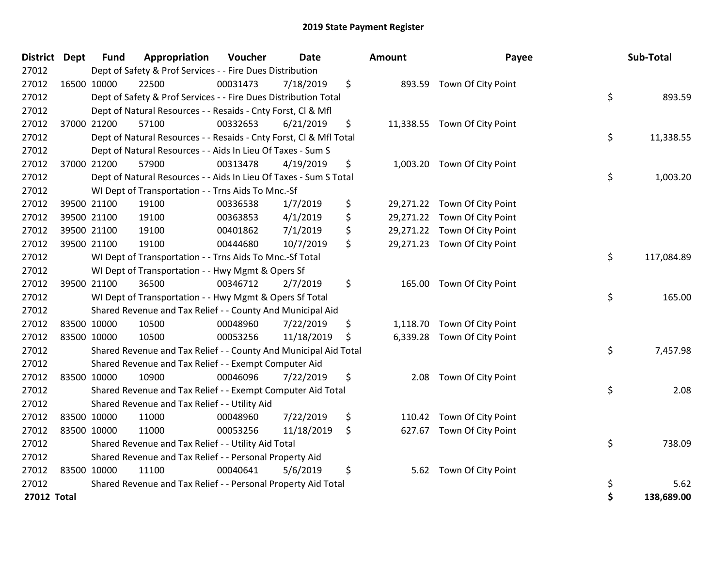| <b>District Dept</b> | <b>Fund</b> | Appropriation                                                      | Voucher  | <b>Date</b> | <b>Amount</b> | Payee                        | Sub-Total        |
|----------------------|-------------|--------------------------------------------------------------------|----------|-------------|---------------|------------------------------|------------------|
| 27012                |             | Dept of Safety & Prof Services - - Fire Dues Distribution          |          |             |               |                              |                  |
| 27012                | 16500 10000 | 22500                                                              | 00031473 | 7/18/2019   | \$            | 893.59 Town Of City Point    |                  |
| 27012                |             | Dept of Safety & Prof Services - - Fire Dues Distribution Total    |          |             |               |                              | \$<br>893.59     |
| 27012                |             | Dept of Natural Resources - - Resaids - Cnty Forst, CI & Mfl       |          |             |               |                              |                  |
| 27012                | 37000 21200 | 57100                                                              | 00332653 | 6/21/2019   | \$            | 11,338.55 Town Of City Point |                  |
| 27012                |             | Dept of Natural Resources - - Resaids - Cnty Forst, Cl & Mfl Total |          |             |               |                              | \$<br>11,338.55  |
| 27012                |             | Dept of Natural Resources - - Aids In Lieu Of Taxes - Sum S        |          |             |               |                              |                  |
| 27012                | 37000 21200 | 57900                                                              | 00313478 | 4/19/2019   | \$            | 1,003.20 Town Of City Point  |                  |
| 27012                |             | Dept of Natural Resources - - Aids In Lieu Of Taxes - Sum S Total  |          |             |               |                              | \$<br>1,003.20   |
| 27012                |             | WI Dept of Transportation - - Trns Aids To Mnc.-Sf                 |          |             |               |                              |                  |
| 27012                | 39500 21100 | 19100                                                              | 00336538 | 1/7/2019    | \$            | 29,271.22 Town Of City Point |                  |
| 27012                | 39500 21100 | 19100                                                              | 00363853 | 4/1/2019    | \$            | 29,271.22 Town Of City Point |                  |
| 27012                | 39500 21100 | 19100                                                              | 00401862 | 7/1/2019    | \$            | 29,271.22 Town Of City Point |                  |
| 27012                | 39500 21100 | 19100                                                              | 00444680 | 10/7/2019   | \$            | 29,271.23 Town Of City Point |                  |
| 27012                |             | WI Dept of Transportation - - Trns Aids To Mnc.-Sf Total           |          |             |               |                              | \$<br>117,084.89 |
| 27012                |             | WI Dept of Transportation - - Hwy Mgmt & Opers Sf                  |          |             |               |                              |                  |
| 27012                | 39500 21100 | 36500                                                              | 00346712 | 2/7/2019    | \$            | 165.00 Town Of City Point    |                  |
| 27012                |             | WI Dept of Transportation - - Hwy Mgmt & Opers Sf Total            |          |             |               |                              | \$<br>165.00     |
| 27012                |             | Shared Revenue and Tax Relief - - County And Municipal Aid         |          |             |               |                              |                  |
| 27012                | 83500 10000 | 10500                                                              | 00048960 | 7/22/2019   | \$            | 1,118.70 Town Of City Point  |                  |
| 27012                | 83500 10000 | 10500                                                              | 00053256 | 11/18/2019  | \$            | 6,339.28 Town Of City Point  |                  |
| 27012                |             | Shared Revenue and Tax Relief - - County And Municipal Aid Total   |          |             |               |                              | \$<br>7,457.98   |
| 27012                |             | Shared Revenue and Tax Relief - - Exempt Computer Aid              |          |             |               |                              |                  |
| 27012                | 83500 10000 | 10900                                                              | 00046096 | 7/22/2019   | \$<br>2.08    | Town Of City Point           |                  |
| 27012                |             | Shared Revenue and Tax Relief - - Exempt Computer Aid Total        |          |             |               |                              | \$<br>2.08       |
| 27012                |             | Shared Revenue and Tax Relief - - Utility Aid                      |          |             |               |                              |                  |
| 27012                | 83500 10000 | 11000                                                              | 00048960 | 7/22/2019   | \$            | 110.42 Town Of City Point    |                  |
| 27012                | 83500 10000 | 11000                                                              | 00053256 | 11/18/2019  | \$            | 627.67 Town Of City Point    |                  |
| 27012                |             | Shared Revenue and Tax Relief - - Utility Aid Total                |          |             |               |                              | \$<br>738.09     |
| 27012                |             | Shared Revenue and Tax Relief - - Personal Property Aid            |          |             |               |                              |                  |
| 27012                | 83500 10000 | 11100                                                              | 00040641 | 5/6/2019    | \$<br>5.62    | Town Of City Point           |                  |
| 27012                |             | Shared Revenue and Tax Relief - - Personal Property Aid Total      |          |             |               |                              | \$<br>5.62       |
| <b>27012 Total</b>   |             |                                                                    |          |             |               |                              | \$<br>138,689.00 |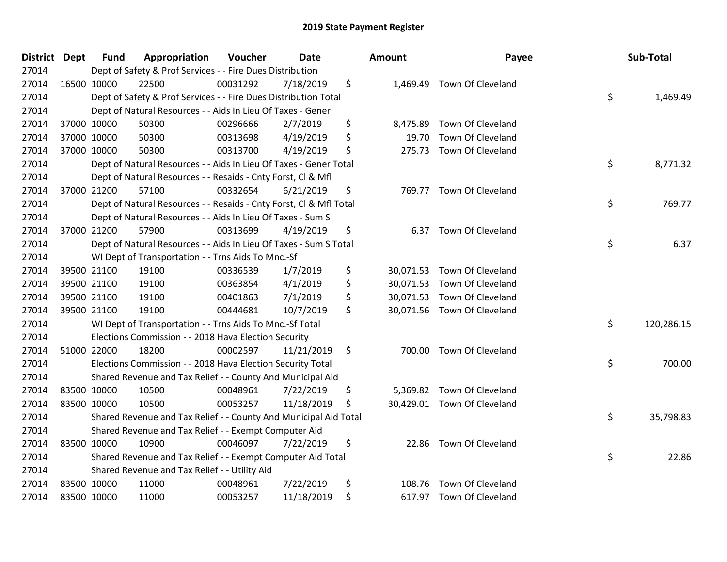| District Dept |             | <b>Fund</b> | Appropriation                                                      | Voucher  | Date       | <b>Amount</b>   | Payee                       | Sub-Total        |
|---------------|-------------|-------------|--------------------------------------------------------------------|----------|------------|-----------------|-----------------------------|------------------|
| 27014         |             |             | Dept of Safety & Prof Services - - Fire Dues Distribution          |          |            |                 |                             |                  |
| 27014         |             | 16500 10000 | 22500                                                              | 00031292 | 7/18/2019  | \$              | 1,469.49 Town Of Cleveland  |                  |
| 27014         |             |             | Dept of Safety & Prof Services - - Fire Dues Distribution Total    |          |            |                 |                             | \$<br>1,469.49   |
| 27014         |             |             | Dept of Natural Resources - - Aids In Lieu Of Taxes - Gener        |          |            |                 |                             |                  |
| 27014         |             | 37000 10000 | 50300                                                              | 00296666 | 2/7/2019   | \$<br>8,475.89  | Town Of Cleveland           |                  |
| 27014         |             | 37000 10000 | 50300                                                              | 00313698 | 4/19/2019  | \$<br>19.70     | Town Of Cleveland           |                  |
| 27014         |             | 37000 10000 | 50300                                                              | 00313700 | 4/19/2019  | \$<br>275.73    | Town Of Cleveland           |                  |
| 27014         |             |             | Dept of Natural Resources - - Aids In Lieu Of Taxes - Gener Total  |          |            |                 |                             | \$<br>8,771.32   |
| 27014         |             |             | Dept of Natural Resources - - Resaids - Cnty Forst, Cl & Mfl       |          |            |                 |                             |                  |
| 27014         |             | 37000 21200 | 57100                                                              | 00332654 | 6/21/2019  | \$              | 769.77 Town Of Cleveland    |                  |
| 27014         |             |             | Dept of Natural Resources - - Resaids - Cnty Forst, Cl & Mfl Total |          |            |                 |                             | \$<br>769.77     |
| 27014         |             |             | Dept of Natural Resources - - Aids In Lieu Of Taxes - Sum S        |          |            |                 |                             |                  |
| 27014         |             | 37000 21200 | 57900                                                              | 00313699 | 4/19/2019  | \$<br>6.37      | Town Of Cleveland           |                  |
| 27014         |             |             | Dept of Natural Resources - - Aids In Lieu Of Taxes - Sum S Total  |          |            |                 |                             | \$<br>6.37       |
| 27014         |             |             | WI Dept of Transportation - - Trns Aids To Mnc.-Sf                 |          |            |                 |                             |                  |
| 27014         |             | 39500 21100 | 19100                                                              | 00336539 | 1/7/2019   | \$<br>30,071.53 | Town Of Cleveland           |                  |
| 27014         |             | 39500 21100 | 19100                                                              | 00363854 | 4/1/2019   | \$<br>30,071.53 | Town Of Cleveland           |                  |
| 27014         |             | 39500 21100 | 19100                                                              | 00401863 | 7/1/2019   | \$<br>30,071.53 | Town Of Cleveland           |                  |
| 27014         |             | 39500 21100 | 19100                                                              | 00444681 | 10/7/2019  | \$              | 30,071.56 Town Of Cleveland |                  |
| 27014         |             |             | WI Dept of Transportation - - Trns Aids To Mnc.-Sf Total           |          |            |                 |                             | \$<br>120,286.15 |
| 27014         |             |             | Elections Commission - - 2018 Hava Election Security               |          |            |                 |                             |                  |
| 27014         |             | 51000 22000 | 18200                                                              | 00002597 | 11/21/2019 | \$<br>700.00    | Town Of Cleveland           |                  |
| 27014         |             |             | Elections Commission - - 2018 Hava Election Security Total         |          |            |                 |                             | \$<br>700.00     |
| 27014         |             |             | Shared Revenue and Tax Relief - - County And Municipal Aid         |          |            |                 |                             |                  |
| 27014         |             | 83500 10000 | 10500                                                              | 00048961 | 7/22/2019  | \$<br>5,369.82  | Town Of Cleveland           |                  |
| 27014         |             | 83500 10000 | 10500                                                              | 00053257 | 11/18/2019 | \$              | 30,429.01 Town Of Cleveland |                  |
| 27014         |             |             | Shared Revenue and Tax Relief - - County And Municipal Aid Total   |          |            |                 |                             | \$<br>35,798.83  |
| 27014         |             |             | Shared Revenue and Tax Relief - - Exempt Computer Aid              |          |            |                 |                             |                  |
| 27014         | 83500 10000 |             | 10900                                                              | 00046097 | 7/22/2019  | \$<br>22.86     | Town Of Cleveland           |                  |
| 27014         |             |             | Shared Revenue and Tax Relief - - Exempt Computer Aid Total        |          |            |                 |                             | \$<br>22.86      |
| 27014         |             |             | Shared Revenue and Tax Relief - - Utility Aid                      |          |            |                 |                             |                  |
| 27014         |             | 83500 10000 | 11000                                                              | 00048961 | 7/22/2019  | \$<br>108.76    | Town Of Cleveland           |                  |
| 27014         | 83500 10000 |             | 11000                                                              | 00053257 | 11/18/2019 | \$              | 617.97 Town Of Cleveland    |                  |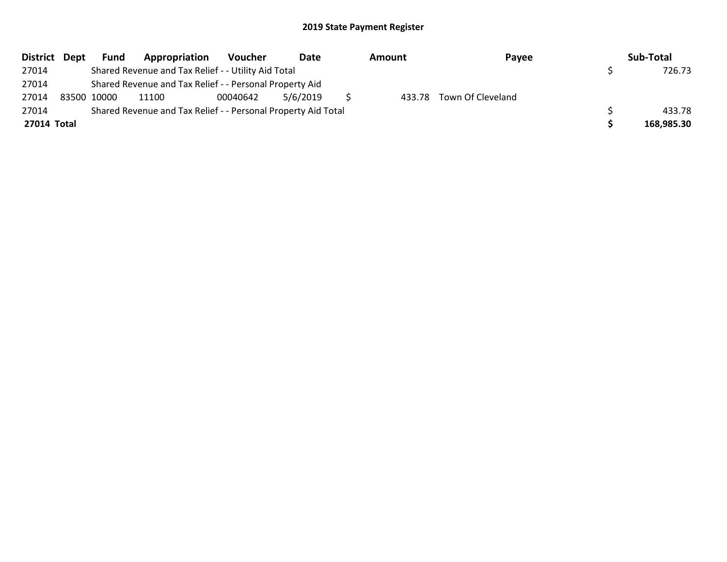| District Dept | Fund        | Appropriation                                                 | Voucher  | Date     | Amount | Payee                    | Sub-Total  |
|---------------|-------------|---------------------------------------------------------------|----------|----------|--------|--------------------------|------------|
| 27014         |             | Shared Revenue and Tax Relief - - Utility Aid Total           |          |          |        |                          | 726.73     |
| 27014         |             | Shared Revenue and Tax Relief - - Personal Property Aid       |          |          |        |                          |            |
| 27014         | 83500 10000 | 11100                                                         | 00040642 | 5/6/2019 |        | 433.78 Town Of Cleveland |            |
| 27014         |             | Shared Revenue and Tax Relief - - Personal Property Aid Total |          |          |        |                          | 433.78     |
| 27014 Total   |             |                                                               |          |          |        |                          | 168,985.30 |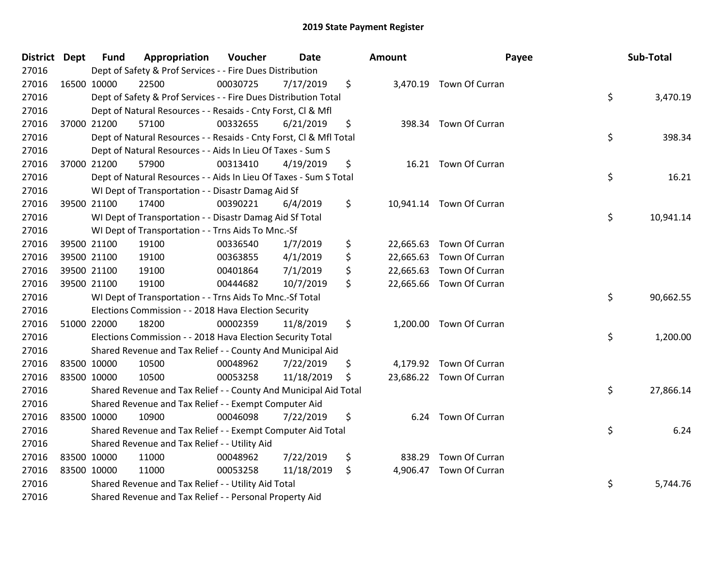| <b>District Dept</b> | <b>Fund</b> | Appropriation                                                      | Voucher  | <b>Date</b> | <b>Amount</b> |                          | Payee | Sub-Total |
|----------------------|-------------|--------------------------------------------------------------------|----------|-------------|---------------|--------------------------|-------|-----------|
| 27016                |             | Dept of Safety & Prof Services - - Fire Dues Distribution          |          |             |               |                          |       |           |
| 27016                | 16500 10000 | 22500                                                              | 00030725 | 7/17/2019   | \$            | 3,470.19 Town Of Curran  |       |           |
| 27016                |             | Dept of Safety & Prof Services - - Fire Dues Distribution Total    |          |             |               |                          | \$    | 3,470.19  |
| 27016                |             | Dept of Natural Resources - - Resaids - Cnty Forst, Cl & Mfl       |          |             |               |                          |       |           |
| 27016                | 37000 21200 | 57100                                                              | 00332655 | 6/21/2019   | \$            | 398.34 Town Of Curran    |       |           |
| 27016                |             | Dept of Natural Resources - - Resaids - Cnty Forst, Cl & Mfl Total |          |             |               |                          | \$    | 398.34    |
| 27016                |             | Dept of Natural Resources - - Aids In Lieu Of Taxes - Sum S        |          |             |               |                          |       |           |
| 27016                | 37000 21200 | 57900                                                              | 00313410 | 4/19/2019   | \$            | 16.21 Town Of Curran     |       |           |
| 27016                |             | Dept of Natural Resources - - Aids In Lieu Of Taxes - Sum S Total  |          |             |               |                          | \$    | 16.21     |
| 27016                |             | WI Dept of Transportation - - Disastr Damag Aid Sf                 |          |             |               |                          |       |           |
| 27016                | 39500 21100 | 17400                                                              | 00390221 | 6/4/2019    | \$            | 10,941.14 Town Of Curran |       |           |
| 27016                |             | WI Dept of Transportation - - Disastr Damag Aid Sf Total           |          |             |               |                          | \$    | 10,941.14 |
| 27016                |             | WI Dept of Transportation - - Trns Aids To Mnc.-Sf                 |          |             |               |                          |       |           |
| 27016                | 39500 21100 | 19100                                                              | 00336540 | 1/7/2019    | \$            | 22,665.63 Town Of Curran |       |           |
| 27016                | 39500 21100 | 19100                                                              | 00363855 | 4/1/2019    | \$            | 22,665.63 Town Of Curran |       |           |
| 27016                | 39500 21100 | 19100                                                              | 00401864 | 7/1/2019    | \$            | 22,665.63 Town Of Curran |       |           |
| 27016                | 39500 21100 | 19100                                                              | 00444682 | 10/7/2019   | \$            | 22,665.66 Town Of Curran |       |           |
| 27016                |             | WI Dept of Transportation - - Trns Aids To Mnc.-Sf Total           |          |             |               |                          | \$    | 90,662.55 |
| 27016                |             | Elections Commission - - 2018 Hava Election Security               |          |             |               |                          |       |           |
| 27016                | 51000 22000 | 18200                                                              | 00002359 | 11/8/2019   | \$            | 1,200.00 Town Of Curran  |       |           |
| 27016                |             | Elections Commission - - 2018 Hava Election Security Total         |          |             |               |                          | \$    | 1,200.00  |
| 27016                |             | Shared Revenue and Tax Relief - - County And Municipal Aid         |          |             |               |                          |       |           |
| 27016                | 83500 10000 | 10500                                                              | 00048962 | 7/22/2019   | \$            | 4,179.92 Town Of Curran  |       |           |
| 27016                | 83500 10000 | 10500                                                              | 00053258 | 11/18/2019  | \$            | 23,686.22 Town Of Curran |       |           |
| 27016                |             | Shared Revenue and Tax Relief - - County And Municipal Aid Total   |          |             |               |                          | \$    | 27,866.14 |
| 27016                |             | Shared Revenue and Tax Relief - - Exempt Computer Aid              |          |             |               |                          |       |           |
| 27016                | 83500 10000 | 10900                                                              | 00046098 | 7/22/2019   | \$            | 6.24 Town Of Curran      |       |           |
| 27016                |             | Shared Revenue and Tax Relief - - Exempt Computer Aid Total        |          |             |               |                          | \$    | 6.24      |
| 27016                |             | Shared Revenue and Tax Relief - - Utility Aid                      |          |             |               |                          |       |           |
| 27016                | 83500 10000 | 11000                                                              | 00048962 | 7/22/2019   | \$            | 838.29 Town Of Curran    |       |           |
| 27016                | 83500 10000 | 11000                                                              | 00053258 | 11/18/2019  | \$            | 4,906.47 Town Of Curran  |       |           |
| 27016                |             | Shared Revenue and Tax Relief - - Utility Aid Total                |          |             |               |                          | \$    | 5,744.76  |
| 27016                |             | Shared Revenue and Tax Relief - - Personal Property Aid            |          |             |               |                          |       |           |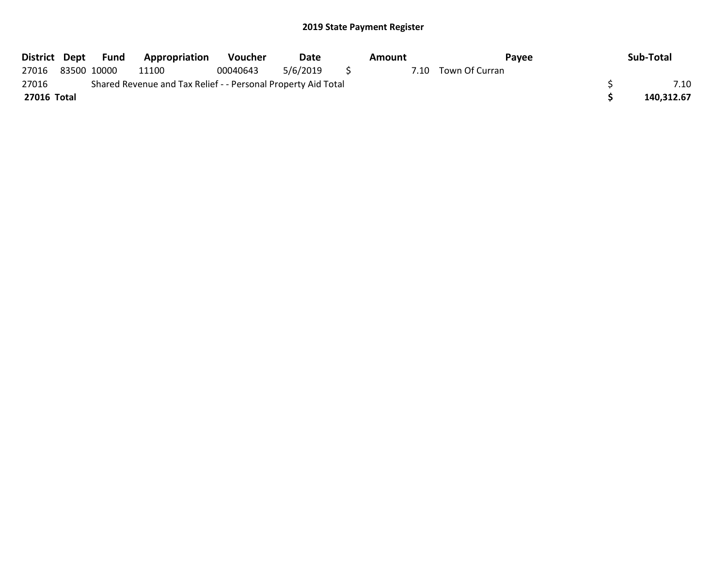| District Dept |                                                               | Fund        | <b>Appropriation</b> | <b>Voucher</b> | Date     |  | Amount | Pavee          |  | Sub-Total  |
|---------------|---------------------------------------------------------------|-------------|----------------------|----------------|----------|--|--------|----------------|--|------------|
| 27016         |                                                               | 83500 10000 | 11100                | 00040643       | 5/6/2019 |  | 7.10   | Town Of Curran |  |            |
| 27016         | Shared Revenue and Tax Relief - - Personal Property Aid Total |             |                      |                |          |  |        |                |  |            |
| 27016 Total   |                                                               |             |                      |                |          |  |        |                |  | 140.312.67 |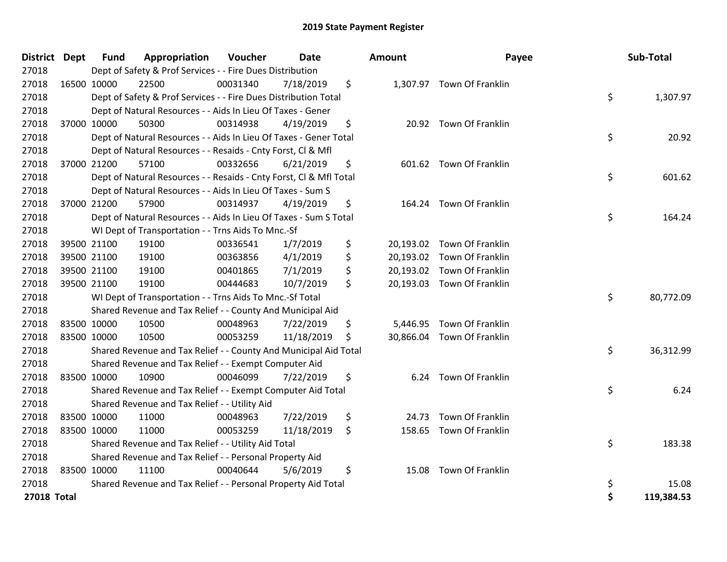| District Dept      | <b>Fund</b> | Appropriation                                                      | Voucher  | <b>Date</b> | <b>Amount</b> | Payee                      |    | Sub-Total  |
|--------------------|-------------|--------------------------------------------------------------------|----------|-------------|---------------|----------------------------|----|------------|
| 27018              |             | Dept of Safety & Prof Services - - Fire Dues Distribution          |          |             |               |                            |    |            |
| 27018              | 16500 10000 | 22500                                                              | 00031340 | 7/18/2019   | \$            | 1,307.97 Town Of Franklin  |    |            |
| 27018              |             | Dept of Safety & Prof Services - - Fire Dues Distribution Total    |          |             |               |                            | \$ | 1,307.97   |
| 27018              |             | Dept of Natural Resources - - Aids In Lieu Of Taxes - Gener        |          |             |               |                            |    |            |
| 27018              | 37000 10000 | 50300                                                              | 00314938 | 4/19/2019   | \$            | 20.92 Town Of Franklin     |    |            |
| 27018              |             | Dept of Natural Resources - - Aids In Lieu Of Taxes - Gener Total  |          |             |               |                            | \$ | 20.92      |
| 27018              |             | Dept of Natural Resources - - Resaids - Cnty Forst, Cl & Mfl       |          |             |               |                            |    |            |
| 27018              | 37000 21200 | 57100                                                              | 00332656 | 6/21/2019   | \$            | 601.62 Town Of Franklin    |    |            |
| 27018              |             | Dept of Natural Resources - - Resaids - Cnty Forst, Cl & Mfl Total |          |             |               |                            | \$ | 601.62     |
| 27018              |             | Dept of Natural Resources - - Aids In Lieu Of Taxes - Sum S        |          |             |               |                            |    |            |
| 27018              | 37000 21200 | 57900                                                              | 00314937 | 4/19/2019   | \$            | 164.24 Town Of Franklin    |    |            |
| 27018              |             | Dept of Natural Resources - - Aids In Lieu Of Taxes - Sum S Total  |          |             |               |                            | \$ | 164.24     |
| 27018              |             | WI Dept of Transportation - - Trns Aids To Mnc.-Sf                 |          |             |               |                            |    |            |
| 27018              | 39500 21100 | 19100                                                              | 00336541 | 1/7/2019    | \$            | 20,193.02 Town Of Franklin |    |            |
| 27018              | 39500 21100 | 19100                                                              | 00363856 | 4/1/2019    | \$            | 20,193.02 Town Of Franklin |    |            |
| 27018              | 39500 21100 | 19100                                                              | 00401865 | 7/1/2019    | \$            | 20,193.02 Town Of Franklin |    |            |
| 27018              | 39500 21100 | 19100                                                              | 00444683 | 10/7/2019   | \$            | 20,193.03 Town Of Franklin |    |            |
| 27018              |             | WI Dept of Transportation - - Trns Aids To Mnc.-Sf Total           |          |             |               |                            | \$ | 80,772.09  |
| 27018              |             | Shared Revenue and Tax Relief - - County And Municipal Aid         |          |             |               |                            |    |            |
| 27018              | 83500 10000 | 10500                                                              | 00048963 | 7/22/2019   | \$            | 5,446.95 Town Of Franklin  |    |            |
| 27018              | 83500 10000 | 10500                                                              | 00053259 | 11/18/2019  | \$            | 30,866.04 Town Of Franklin |    |            |
| 27018              |             | Shared Revenue and Tax Relief - - County And Municipal Aid Total   |          |             |               |                            | \$ | 36,312.99  |
| 27018              |             | Shared Revenue and Tax Relief - - Exempt Computer Aid              |          |             |               |                            |    |            |
| 27018              | 83500 10000 | 10900                                                              | 00046099 | 7/22/2019   | \$<br>6.24    | Town Of Franklin           |    |            |
| 27018              |             | Shared Revenue and Tax Relief - - Exempt Computer Aid Total        |          |             |               |                            | \$ | 6.24       |
| 27018              |             | Shared Revenue and Tax Relief - - Utility Aid                      |          |             |               |                            |    |            |
| 27018              | 83500 10000 | 11000                                                              | 00048963 | 7/22/2019   | \$<br>24.73   | Town Of Franklin           |    |            |
| 27018              | 83500 10000 | 11000                                                              | 00053259 | 11/18/2019  | \$            | 158.65 Town Of Franklin    |    |            |
| 27018              |             | Shared Revenue and Tax Relief - - Utility Aid Total                |          |             |               |                            | \$ | 183.38     |
| 27018              |             | Shared Revenue and Tax Relief - - Personal Property Aid            |          |             |               |                            |    |            |
| 27018              | 83500 10000 | 11100                                                              | 00040644 | 5/6/2019    | \$<br>15.08   | Town Of Franklin           |    |            |
| 27018              |             | Shared Revenue and Tax Relief - - Personal Property Aid Total      |          |             |               |                            | \$ | 15.08      |
| <b>27018 Total</b> |             |                                                                    |          |             |               |                            | Ś  | 119,384.53 |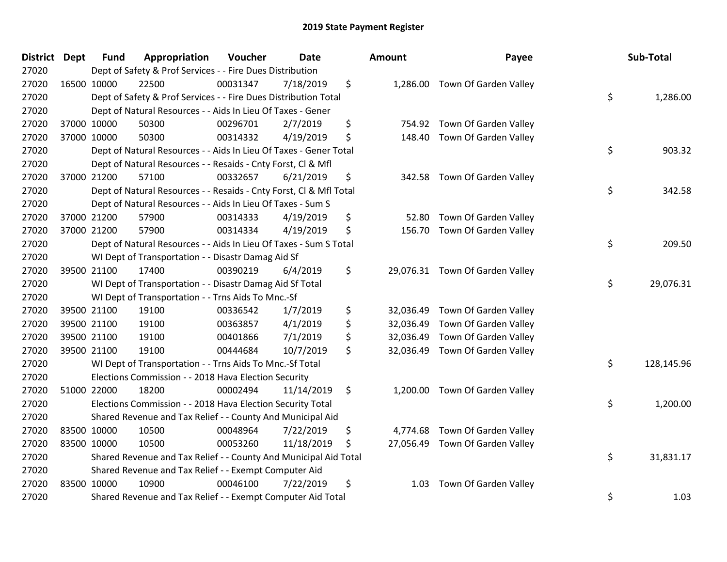| <b>District Dept</b> | <b>Fund</b> | Appropriation                                                      | Voucher  | <b>Date</b> | Amount          | Payee                           | Sub-Total        |
|----------------------|-------------|--------------------------------------------------------------------|----------|-------------|-----------------|---------------------------------|------------------|
| 27020                |             | Dept of Safety & Prof Services - - Fire Dues Distribution          |          |             |                 |                                 |                  |
| 27020                | 16500 10000 | 22500                                                              | 00031347 | 7/18/2019   | \$              | 1,286.00 Town Of Garden Valley  |                  |
| 27020                |             | Dept of Safety & Prof Services - - Fire Dues Distribution Total    |          |             |                 |                                 | \$<br>1,286.00   |
| 27020                |             | Dept of Natural Resources - - Aids In Lieu Of Taxes - Gener        |          |             |                 |                                 |                  |
| 27020                | 37000 10000 | 50300                                                              | 00296701 | 2/7/2019    | \$<br>754.92    | Town Of Garden Valley           |                  |
| 27020                | 37000 10000 | 50300                                                              | 00314332 | 4/19/2019   | \$<br>148.40    | Town Of Garden Valley           |                  |
| 27020                |             | Dept of Natural Resources - - Aids In Lieu Of Taxes - Gener Total  |          |             |                 |                                 | \$<br>903.32     |
| 27020                |             | Dept of Natural Resources - - Resaids - Cnty Forst, Cl & Mfl       |          |             |                 |                                 |                  |
| 27020                | 37000 21200 | 57100                                                              | 00332657 | 6/21/2019   | \$<br>342.58    | Town Of Garden Valley           |                  |
| 27020                |             | Dept of Natural Resources - - Resaids - Cnty Forst, Cl & Mfl Total |          |             |                 |                                 | \$<br>342.58     |
| 27020                |             | Dept of Natural Resources - - Aids In Lieu Of Taxes - Sum S        |          |             |                 |                                 |                  |
| 27020                | 37000 21200 | 57900                                                              | 00314333 | 4/19/2019   | \$<br>52.80     | Town Of Garden Valley           |                  |
| 27020                | 37000 21200 | 57900                                                              | 00314334 | 4/19/2019   | \$<br>156.70    | Town Of Garden Valley           |                  |
| 27020                |             | Dept of Natural Resources - - Aids In Lieu Of Taxes - Sum S Total  |          |             |                 |                                 | \$<br>209.50     |
| 27020                |             | WI Dept of Transportation - - Disastr Damag Aid Sf                 |          |             |                 |                                 |                  |
| 27020                | 39500 21100 | 17400                                                              | 00390219 | 6/4/2019    | \$              | 29,076.31 Town Of Garden Valley |                  |
| 27020                |             | WI Dept of Transportation - - Disastr Damag Aid Sf Total           |          |             |                 |                                 | \$<br>29,076.31  |
| 27020                |             | WI Dept of Transportation - - Trns Aids To Mnc.-Sf                 |          |             |                 |                                 |                  |
| 27020                | 39500 21100 | 19100                                                              | 00336542 | 1/7/2019    | \$<br>32,036.49 | Town Of Garden Valley           |                  |
| 27020                | 39500 21100 | 19100                                                              | 00363857 | 4/1/2019    | \$<br>32,036.49 | Town Of Garden Valley           |                  |
| 27020                | 39500 21100 | 19100                                                              | 00401866 | 7/1/2019    | \$<br>32,036.49 | Town Of Garden Valley           |                  |
| 27020                | 39500 21100 | 19100                                                              | 00444684 | 10/7/2019   | \$<br>32,036.49 | Town Of Garden Valley           |                  |
| 27020                |             | WI Dept of Transportation - - Trns Aids To Mnc.-Sf Total           |          |             |                 |                                 | \$<br>128,145.96 |
| 27020                |             | Elections Commission - - 2018 Hava Election Security               |          |             |                 |                                 |                  |
| 27020                | 51000 22000 | 18200                                                              | 00002494 | 11/14/2019  | \$<br>1,200.00  | Town Of Garden Valley           |                  |
| 27020                |             | Elections Commission - - 2018 Hava Election Security Total         |          |             |                 |                                 | \$<br>1,200.00   |
| 27020                |             | Shared Revenue and Tax Relief - - County And Municipal Aid         |          |             |                 |                                 |                  |
| 27020                | 83500 10000 | 10500                                                              | 00048964 | 7/22/2019   | \$<br>4,774.68  | Town Of Garden Valley           |                  |
| 27020                | 83500 10000 | 10500                                                              | 00053260 | 11/18/2019  | \$<br>27,056.49 | Town Of Garden Valley           |                  |
| 27020                |             | Shared Revenue and Tax Relief - - County And Municipal Aid Total   |          |             |                 |                                 | \$<br>31,831.17  |
| 27020                |             | Shared Revenue and Tax Relief - - Exempt Computer Aid              |          |             |                 |                                 |                  |
| 27020                | 83500 10000 | 10900                                                              | 00046100 | 7/22/2019   | \$<br>1.03      | Town Of Garden Valley           |                  |
| 27020                |             | Shared Revenue and Tax Relief - - Exempt Computer Aid Total        |          |             |                 |                                 | \$<br>1.03       |

| ıount     | Payee                 | Sub-Total        |
|-----------|-----------------------|------------------|
| 1,286.00  | Town Of Garden Valley | \$<br>1,286.00   |
| 754.92    | Town Of Garden Valley |                  |
| 148.40    | Town Of Garden Valley | \$<br>903.32     |
| 342.58    | Town Of Garden Valley | \$<br>342.58     |
| 52.80     | Town Of Garden Valley |                  |
| 156.70    | Town Of Garden Valley |                  |
|           |                       | \$<br>209.50     |
| 29,076.31 | Town Of Garden Valley | \$<br>29,076.31  |
| 32,036.49 | Town Of Garden Valley |                  |
| 32,036.49 | Town Of Garden Valley |                  |
| 32,036.49 | Town Of Garden Valley |                  |
| 32,036.49 | Town Of Garden Valley |                  |
|           |                       | \$<br>128,145.96 |
| 1,200.00  | Town Of Garden Valley |                  |
|           |                       | \$<br>1,200.00   |
| 4,774.68  | Town Of Garden Valley |                  |
| 27,056.49 | Town Of Garden Valley | \$<br>31,831.17  |
| 1.03      | Town Of Garden Valley | \$<br>1.03       |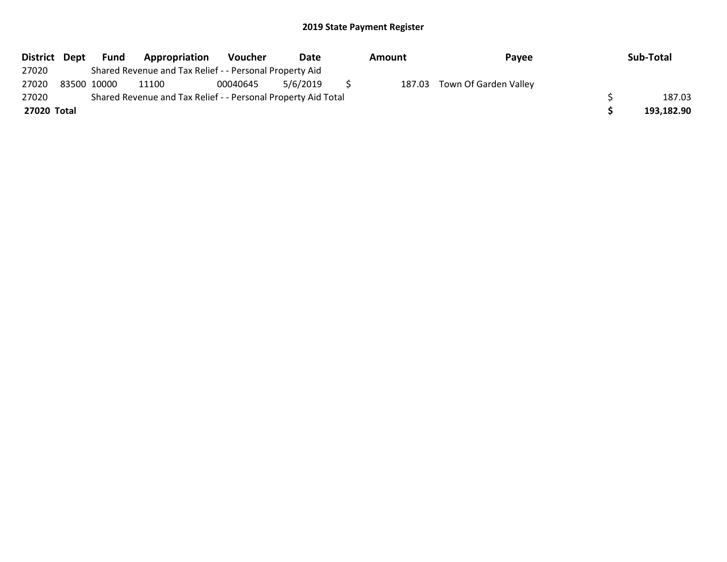| District Dept | Fund        | Appropriation                                                 | <b>Voucher</b> | Date     | Amount | Payee                        | Sub-Total  |
|---------------|-------------|---------------------------------------------------------------|----------------|----------|--------|------------------------------|------------|
| 27020         |             | Shared Revenue and Tax Relief - - Personal Property Aid       |                |          |        |                              |            |
| 27020         | 83500 10000 | 11100                                                         | 00040645       | 5/6/2019 |        | 187.03 Town Of Garden Valley |            |
| 27020         |             | Shared Revenue and Tax Relief - - Personal Property Aid Total |                |          |        |                              | 187.03     |
| 27020 Total   |             |                                                               |                |          |        |                              | 193,182.90 |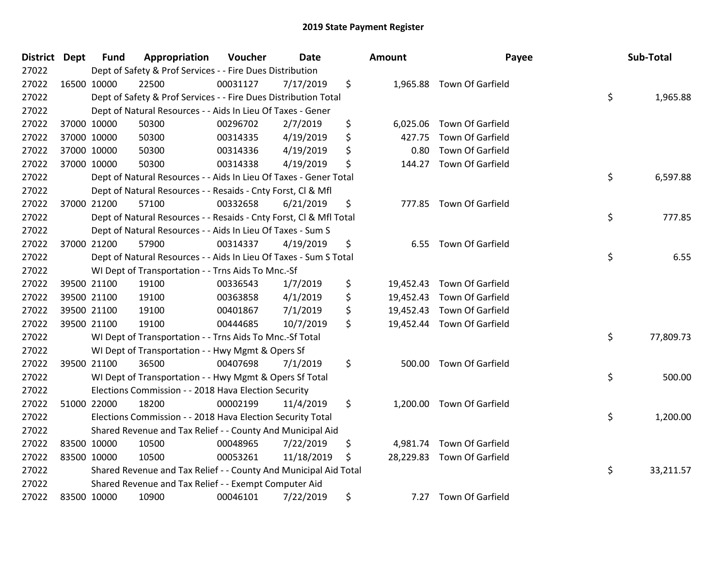| <b>District Dept</b> | <b>Fund</b> | Appropriation                                                      | Voucher  | <b>Date</b> | <b>Amount</b>   | Payee                      | Sub-Total       |
|----------------------|-------------|--------------------------------------------------------------------|----------|-------------|-----------------|----------------------------|-----------------|
| 27022                |             | Dept of Safety & Prof Services - - Fire Dues Distribution          |          |             |                 |                            |                 |
| 27022                | 16500 10000 | 22500                                                              | 00031127 | 7/17/2019   | \$              | 1,965.88 Town Of Garfield  |                 |
| 27022                |             | Dept of Safety & Prof Services - - Fire Dues Distribution Total    |          |             |                 |                            | \$<br>1,965.88  |
| 27022                |             | Dept of Natural Resources - - Aids In Lieu Of Taxes - Gener        |          |             |                 |                            |                 |
| 27022                | 37000 10000 | 50300                                                              | 00296702 | 2/7/2019    | \$<br>6,025.06  | Town Of Garfield           |                 |
| 27022                | 37000 10000 | 50300                                                              | 00314335 | 4/19/2019   | \$<br>427.75    | Town Of Garfield           |                 |
| 27022                | 37000 10000 | 50300                                                              | 00314336 | 4/19/2019   | \$<br>0.80      | Town Of Garfield           |                 |
| 27022                | 37000 10000 | 50300                                                              | 00314338 | 4/19/2019   | \$<br>144.27    | Town Of Garfield           |                 |
| 27022                |             | Dept of Natural Resources - - Aids In Lieu Of Taxes - Gener Total  |          |             |                 |                            | \$<br>6,597.88  |
| 27022                |             | Dept of Natural Resources - - Resaids - Cnty Forst, Cl & Mfl       |          |             |                 |                            |                 |
| 27022                | 37000 21200 | 57100                                                              | 00332658 | 6/21/2019   | \$              | 777.85 Town Of Garfield    |                 |
| 27022                |             | Dept of Natural Resources - - Resaids - Cnty Forst, Cl & Mfl Total |          |             |                 |                            | \$<br>777.85    |
| 27022                |             | Dept of Natural Resources - - Aids In Lieu Of Taxes - Sum S        |          |             |                 |                            |                 |
| 27022                | 37000 21200 | 57900                                                              | 00314337 | 4/19/2019   | \$<br>6.55      | Town Of Garfield           |                 |
| 27022                |             | Dept of Natural Resources - - Aids In Lieu Of Taxes - Sum S Total  |          |             |                 |                            | \$<br>6.55      |
| 27022                |             | WI Dept of Transportation - - Trns Aids To Mnc.-Sf                 |          |             |                 |                            |                 |
| 27022                | 39500 21100 | 19100                                                              | 00336543 | 1/7/2019    | \$<br>19,452.43 | Town Of Garfield           |                 |
| 27022                | 39500 21100 | 19100                                                              | 00363858 | 4/1/2019    | \$              | 19,452.43 Town Of Garfield |                 |
| 27022                | 39500 21100 | 19100                                                              | 00401867 | 7/1/2019    | \$              | 19,452.43 Town Of Garfield |                 |
| 27022                | 39500 21100 | 19100                                                              | 00444685 | 10/7/2019   | \$              | 19,452.44 Town Of Garfield |                 |
| 27022                |             | WI Dept of Transportation - - Trns Aids To Mnc.-Sf Total           |          |             |                 |                            | \$<br>77,809.73 |
| 27022                |             | WI Dept of Transportation - - Hwy Mgmt & Opers Sf                  |          |             |                 |                            |                 |
| 27022                | 39500 21100 | 36500                                                              | 00407698 | 7/1/2019    | \$<br>500.00    | Town Of Garfield           |                 |
| 27022                |             | WI Dept of Transportation - - Hwy Mgmt & Opers Sf Total            |          |             |                 |                            | \$<br>500.00    |
| 27022                |             | Elections Commission - - 2018 Hava Election Security               |          |             |                 |                            |                 |
| 27022                | 51000 22000 | 18200                                                              | 00002199 | 11/4/2019   | \$<br>1,200.00  | Town Of Garfield           |                 |
| 27022                |             | Elections Commission - - 2018 Hava Election Security Total         |          |             |                 |                            | \$<br>1,200.00  |
| 27022                |             | Shared Revenue and Tax Relief - - County And Municipal Aid         |          |             |                 |                            |                 |
| 27022                | 83500 10000 | 10500                                                              | 00048965 | 7/22/2019   | \$<br>4,981.74  | Town Of Garfield           |                 |
| 27022                | 83500 10000 | 10500                                                              | 00053261 | 11/18/2019  | \$              | 28,229.83 Town Of Garfield |                 |
| 27022                |             | Shared Revenue and Tax Relief - - County And Municipal Aid Total   |          |             |                 |                            | \$<br>33,211.57 |
| 27022                |             | Shared Revenue and Tax Relief - - Exempt Computer Aid              |          |             |                 |                            |                 |
| 27022                | 83500 10000 | 10900                                                              | 00046101 | 7/22/2019   | \$<br>7.27      | Town Of Garfield           |                 |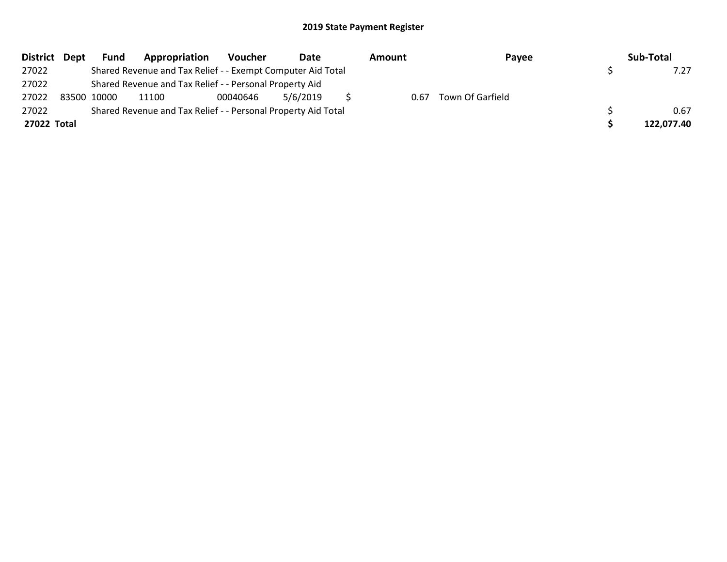|             | District Dept | <b>Fund</b> | Appropriation                                                 | Voucher  | Date     | Amount | Payee            | Sub-Total  |
|-------------|---------------|-------------|---------------------------------------------------------------|----------|----------|--------|------------------|------------|
| 27022       |               |             | Shared Revenue and Tax Relief - - Exempt Computer Aid Total   |          |          |        |                  |            |
| 27022       |               |             | Shared Revenue and Tax Relief - - Personal Property Aid       |          |          |        |                  |            |
| 27022       |               | 83500 10000 | 11100                                                         | 00040646 | 5/6/2019 | 0.67   | Town Of Garfield |            |
| 27022       |               |             | Shared Revenue and Tax Relief - - Personal Property Aid Total |          |          |        |                  | 0.67       |
| 27022 Total |               |             |                                                               |          |          |        |                  | 122,077.40 |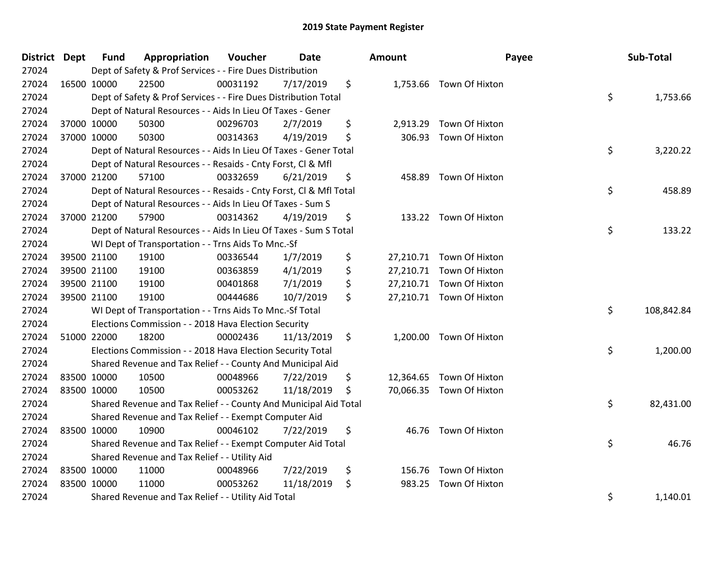| District Dept |             | <b>Fund</b> | Appropriation                                                      | Voucher  | Date       | Amount       | Payee                    | Sub-Total        |
|---------------|-------------|-------------|--------------------------------------------------------------------|----------|------------|--------------|--------------------------|------------------|
| 27024         |             |             | Dept of Safety & Prof Services - - Fire Dues Distribution          |          |            |              |                          |                  |
| 27024         | 16500 10000 |             | 22500                                                              | 00031192 | 7/17/2019  | \$           | 1,753.66 Town Of Hixton  |                  |
| 27024         |             |             | Dept of Safety & Prof Services - - Fire Dues Distribution Total    |          |            |              |                          | \$<br>1,753.66   |
| 27024         |             |             | Dept of Natural Resources - - Aids In Lieu Of Taxes - Gener        |          |            |              |                          |                  |
| 27024         |             | 37000 10000 | 50300                                                              | 00296703 | 2/7/2019   | \$           | 2,913.29 Town Of Hixton  |                  |
| 27024         |             | 37000 10000 | 50300                                                              | 00314363 | 4/19/2019  | \$<br>306.93 | Town Of Hixton           |                  |
| 27024         |             |             | Dept of Natural Resources - - Aids In Lieu Of Taxes - Gener Total  |          |            |              |                          | \$<br>3,220.22   |
| 27024         |             |             | Dept of Natural Resources - - Resaids - Cnty Forst, Cl & Mfl       |          |            |              |                          |                  |
| 27024         |             | 37000 21200 | 57100                                                              | 00332659 | 6/21/2019  | \$<br>458.89 | Town Of Hixton           |                  |
| 27024         |             |             | Dept of Natural Resources - - Resaids - Cnty Forst, Cl & Mfl Total |          |            |              |                          | \$<br>458.89     |
| 27024         |             |             | Dept of Natural Resources - - Aids In Lieu Of Taxes - Sum S        |          |            |              |                          |                  |
| 27024         |             | 37000 21200 | 57900                                                              | 00314362 | 4/19/2019  | \$           | 133.22 Town Of Hixton    |                  |
| 27024         |             |             | Dept of Natural Resources - - Aids In Lieu Of Taxes - Sum S Total  |          |            |              |                          | \$<br>133.22     |
| 27024         |             |             | WI Dept of Transportation - - Trns Aids To Mnc.-Sf                 |          |            |              |                          |                  |
| 27024         |             | 39500 21100 | 19100                                                              | 00336544 | 1/7/2019   | \$           | 27,210.71 Town Of Hixton |                  |
| 27024         |             | 39500 21100 | 19100                                                              | 00363859 | 4/1/2019   | \$           | 27,210.71 Town Of Hixton |                  |
| 27024         |             | 39500 21100 | 19100                                                              | 00401868 | 7/1/2019   | \$           | 27,210.71 Town Of Hixton |                  |
| 27024         |             | 39500 21100 | 19100                                                              | 00444686 | 10/7/2019  | \$           | 27,210.71 Town Of Hixton |                  |
| 27024         |             |             | WI Dept of Transportation - - Trns Aids To Mnc.-Sf Total           |          |            |              |                          | \$<br>108,842.84 |
| 27024         |             |             | Elections Commission - - 2018 Hava Election Security               |          |            |              |                          |                  |
| 27024         |             | 51000 22000 | 18200                                                              | 00002436 | 11/13/2019 | \$           | 1,200.00 Town Of Hixton  |                  |
| 27024         |             |             | Elections Commission - - 2018 Hava Election Security Total         |          |            |              |                          | \$<br>1,200.00   |
| 27024         |             |             | Shared Revenue and Tax Relief - - County And Municipal Aid         |          |            |              |                          |                  |
| 27024         |             | 83500 10000 | 10500                                                              | 00048966 | 7/22/2019  | \$           | 12,364.65 Town Of Hixton |                  |
| 27024         | 83500 10000 |             | 10500                                                              | 00053262 | 11/18/2019 | \$           | 70,066.35 Town Of Hixton |                  |
| 27024         |             |             | Shared Revenue and Tax Relief - - County And Municipal Aid Total   |          |            |              |                          | \$<br>82,431.00  |
| 27024         |             |             | Shared Revenue and Tax Relief - - Exempt Computer Aid              |          |            |              |                          |                  |
| 27024         |             | 83500 10000 | 10900                                                              | 00046102 | 7/22/2019  | \$           | 46.76 Town Of Hixton     |                  |
| 27024         |             |             | Shared Revenue and Tax Relief - - Exempt Computer Aid Total        |          |            |              |                          | \$<br>46.76      |
| 27024         |             |             | Shared Revenue and Tax Relief - - Utility Aid                      |          |            |              |                          |                  |
| 27024         | 83500 10000 |             | 11000                                                              | 00048966 | 7/22/2019  | \$           | 156.76 Town Of Hixton    |                  |
| 27024         | 83500 10000 |             | 11000                                                              | 00053262 | 11/18/2019 | \$<br>983.25 | Town Of Hixton           |                  |
| 27024         |             |             | Shared Revenue and Tax Relief - - Utility Aid Total                |          |            |              |                          | \$<br>1,140.01   |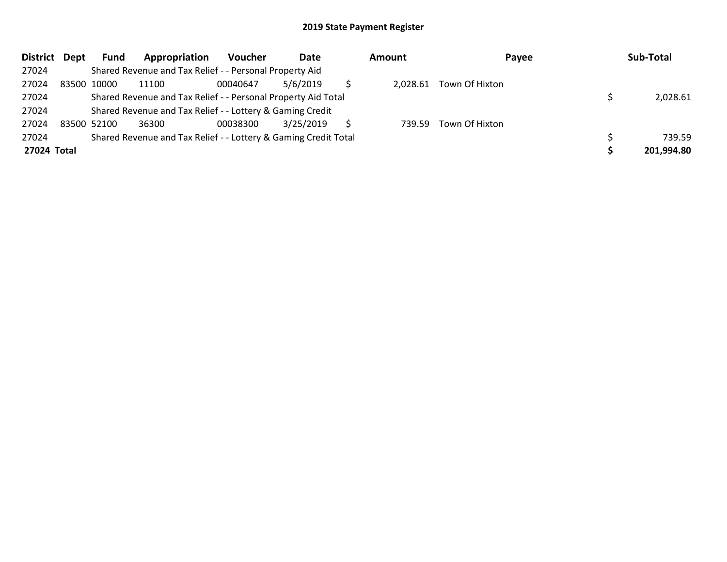| District Dept | <b>Fund</b> | Appropriation                                                   | Voucher  | Date      | <b>Amount</b> | Payee          | Sub-Total  |
|---------------|-------------|-----------------------------------------------------------------|----------|-----------|---------------|----------------|------------|
| 27024         |             | Shared Revenue and Tax Relief - - Personal Property Aid         |          |           |               |                |            |
| 27024         | 83500 10000 | 11100                                                           | 00040647 | 5/6/2019  | 2,028.61      | Town Of Hixton |            |
| 27024         |             | Shared Revenue and Tax Relief - - Personal Property Aid Total   |          |           |               |                | 2,028.61   |
| 27024         |             | Shared Revenue and Tax Relief - - Lottery & Gaming Credit       |          |           |               |                |            |
| 27024         | 83500 52100 | 36300                                                           | 00038300 | 3/25/2019 | 739.59        | Town Of Hixton |            |
| 27024         |             | Shared Revenue and Tax Relief - - Lottery & Gaming Credit Total |          |           |               |                | 739.59     |
| 27024 Total   |             |                                                                 |          |           |               |                | 201,994.80 |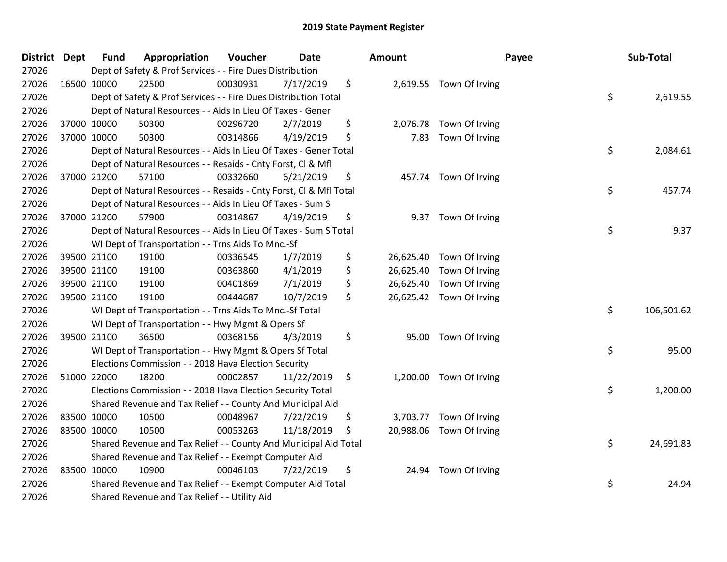| District Dept |             | <b>Fund</b> | Appropriation                                                      | Voucher  | Date       |     | <b>Amount</b> |                          | Payee | Sub-Total  |
|---------------|-------------|-------------|--------------------------------------------------------------------|----------|------------|-----|---------------|--------------------------|-------|------------|
| 27026         |             |             | Dept of Safety & Prof Services - - Fire Dues Distribution          |          |            |     |               |                          |       |            |
| 27026         | 16500 10000 |             | 22500                                                              | 00030931 | 7/17/2019  | \$  |               | 2,619.55 Town Of Irving  |       |            |
| 27026         |             |             | Dept of Safety & Prof Services - - Fire Dues Distribution Total    |          |            |     |               |                          | \$    | 2,619.55   |
| 27026         |             |             | Dept of Natural Resources - - Aids In Lieu Of Taxes - Gener        |          |            |     |               |                          |       |            |
| 27026         |             | 37000 10000 | 50300                                                              | 00296720 | 2/7/2019   | \$  |               | 2,076.78 Town Of Irving  |       |            |
| 27026         |             | 37000 10000 | 50300                                                              | 00314866 | 4/19/2019  | \$  | 7.83          | Town Of Irving           |       |            |
| 27026         |             |             | Dept of Natural Resources - - Aids In Lieu Of Taxes - Gener Total  |          |            |     |               |                          | \$    | 2,084.61   |
| 27026         |             |             | Dept of Natural Resources - - Resaids - Cnty Forst, Cl & Mfl       |          |            |     |               |                          |       |            |
| 27026         | 37000 21200 |             | 57100                                                              | 00332660 | 6/21/2019  | \$  |               | 457.74 Town Of Irving    |       |            |
| 27026         |             |             | Dept of Natural Resources - - Resaids - Cnty Forst, Cl & Mfl Total |          |            |     |               |                          | \$    | 457.74     |
| 27026         |             |             | Dept of Natural Resources - - Aids In Lieu Of Taxes - Sum S        |          |            |     |               |                          |       |            |
| 27026         |             | 37000 21200 | 57900                                                              | 00314867 | 4/19/2019  | \$  |               | 9.37 Town Of Irving      |       |            |
| 27026         |             |             | Dept of Natural Resources - - Aids In Lieu Of Taxes - Sum S Total  |          |            |     |               |                          | \$    | 9.37       |
| 27026         |             |             | WI Dept of Transportation - - Trns Aids To Mnc.-Sf                 |          |            |     |               |                          |       |            |
| 27026         |             | 39500 21100 | 19100                                                              | 00336545 | 1/7/2019   | \$  |               | 26,625.40 Town Of Irving |       |            |
| 27026         |             | 39500 21100 | 19100                                                              | 00363860 | 4/1/2019   | \$  |               | 26,625.40 Town Of Irving |       |            |
| 27026         |             | 39500 21100 | 19100                                                              | 00401869 | 7/1/2019   | \$  |               | 26,625.40 Town Of Irving |       |            |
| 27026         | 39500 21100 |             | 19100                                                              | 00444687 | 10/7/2019  | \$  |               | 26,625.42 Town Of Irving |       |            |
| 27026         |             |             | WI Dept of Transportation - - Trns Aids To Mnc.-Sf Total           |          |            |     |               |                          | \$    | 106,501.62 |
| 27026         |             |             | WI Dept of Transportation - - Hwy Mgmt & Opers Sf                  |          |            |     |               |                          |       |            |
| 27026         | 39500 21100 |             | 36500                                                              | 00368156 | 4/3/2019   | \$  |               | 95.00 Town Of Irving     |       |            |
| 27026         |             |             | WI Dept of Transportation - - Hwy Mgmt & Opers Sf Total            |          |            |     |               |                          | \$    | 95.00      |
| 27026         |             |             | Elections Commission - - 2018 Hava Election Security               |          |            |     |               |                          |       |            |
| 27026         |             | 51000 22000 | 18200                                                              | 00002857 | 11/22/2019 | \$  |               | 1,200.00 Town Of Irving  |       |            |
| 27026         |             |             | Elections Commission - - 2018 Hava Election Security Total         |          |            |     |               |                          | \$    | 1,200.00   |
| 27026         |             |             | Shared Revenue and Tax Relief - - County And Municipal Aid         |          |            |     |               |                          |       |            |
| 27026         | 83500 10000 |             | 10500                                                              | 00048967 | 7/22/2019  | \$  |               | 3,703.77 Town Of Irving  |       |            |
| 27026         | 83500 10000 |             | 10500                                                              | 00053263 | 11/18/2019 | \$. |               | 20,988.06 Town Of Irving |       |            |
| 27026         |             |             | Shared Revenue and Tax Relief - - County And Municipal Aid Total   |          |            |     |               |                          | \$    | 24,691.83  |
| 27026         |             |             | Shared Revenue and Tax Relief - - Exempt Computer Aid              |          |            |     |               |                          |       |            |
| 27026         | 83500 10000 |             | 10900                                                              | 00046103 | 7/22/2019  | \$  | 24.94         | Town Of Irving           |       |            |
| 27026         |             |             | Shared Revenue and Tax Relief - - Exempt Computer Aid Total        |          |            |     |               |                          | \$    | 24.94      |
| 27026         |             |             | Shared Revenue and Tax Relief - - Utility Aid                      |          |            |     |               |                          |       |            |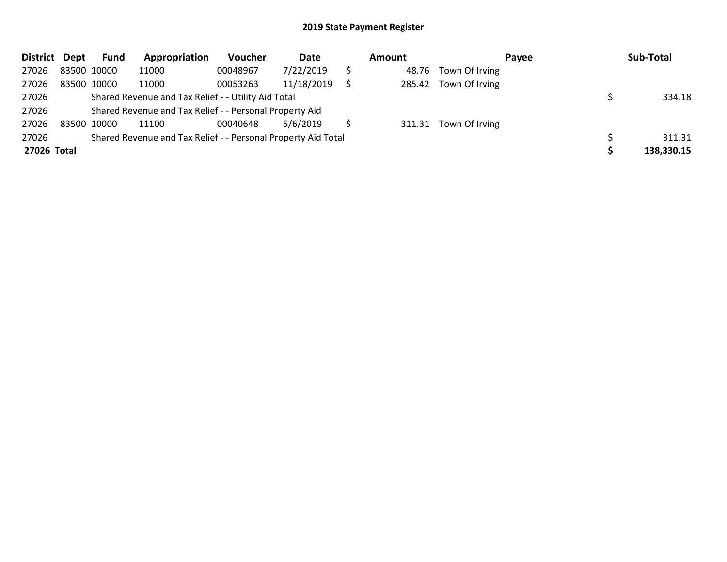| District Dept |             | <b>Fund</b> | Appropriation                                                 | Voucher  | Date       | Amount |                       | <b>Pavee</b> | Sub-Total  |
|---------------|-------------|-------------|---------------------------------------------------------------|----------|------------|--------|-----------------------|--------------|------------|
| 27026         | 83500 10000 |             | 11000                                                         | 00048967 | 7/22/2019  | 48.76  | Town Of Irving        |              |            |
| 27026         | 83500 10000 |             | 11000                                                         | 00053263 | 11/18/2019 |        | 285.42 Town Of Irving |              |            |
| 27026         |             |             | Shared Revenue and Tax Relief - - Utility Aid Total           |          |            |        |                       |              | 334.18     |
| 27026         |             |             | Shared Revenue and Tax Relief - - Personal Property Aid       |          |            |        |                       |              |            |
| 27026         | 83500 10000 |             | 11100                                                         | 00040648 | 5/6/2019   |        | 311.31 Town Of Irving |              |            |
| 27026         |             |             | Shared Revenue and Tax Relief - - Personal Property Aid Total |          |            |        |                       |              | 311.31     |
| 27026 Total   |             |             |                                                               |          |            |        |                       |              | 138,330.15 |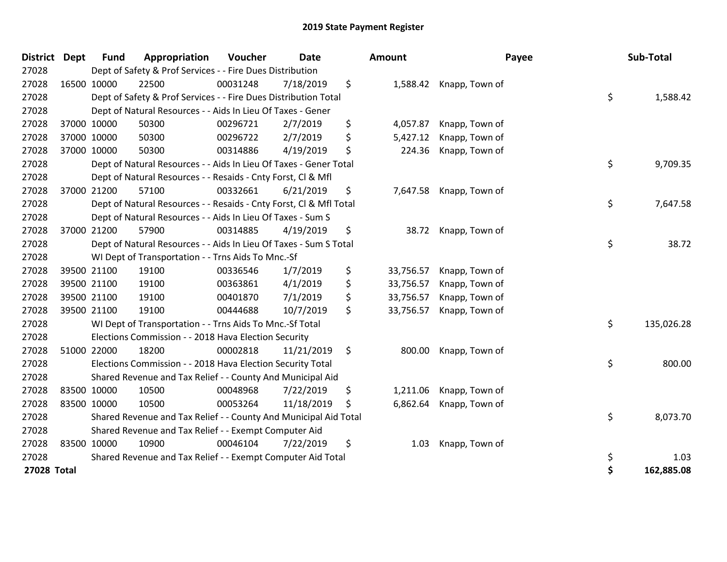| <b>District</b> | <b>Dept</b> | <b>Fund</b> | Appropriation                                                      | Voucher  | <b>Date</b> |     | Amount    |                         | Payee | Sub-Total  |
|-----------------|-------------|-------------|--------------------------------------------------------------------|----------|-------------|-----|-----------|-------------------------|-------|------------|
| 27028           |             |             | Dept of Safety & Prof Services - - Fire Dues Distribution          |          |             |     |           |                         |       |            |
| 27028           |             | 16500 10000 | 22500                                                              | 00031248 | 7/18/2019   | \$  |           | 1,588.42 Knapp, Town of |       |            |
| 27028           |             |             | Dept of Safety & Prof Services - - Fire Dues Distribution Total    |          |             |     |           |                         | \$    | 1,588.42   |
| 27028           |             |             | Dept of Natural Resources - - Aids In Lieu Of Taxes - Gener        |          |             |     |           |                         |       |            |
| 27028           |             | 37000 10000 | 50300                                                              | 00296721 | 2/7/2019    | \$  | 4,057.87  | Knapp, Town of          |       |            |
| 27028           |             | 37000 10000 | 50300                                                              | 00296722 | 2/7/2019    | \$  | 5,427.12  | Knapp, Town of          |       |            |
| 27028           | 37000 10000 |             | 50300                                                              | 00314886 | 4/19/2019   | \$  | 224.36    | Knapp, Town of          |       |            |
| 27028           |             |             | Dept of Natural Resources - - Aids In Lieu Of Taxes - Gener Total  |          |             |     |           |                         | \$    | 9,709.35   |
| 27028           |             |             | Dept of Natural Resources - - Resaids - Cnty Forst, Cl & Mfl       |          |             |     |           |                         |       |            |
| 27028           |             | 37000 21200 | 57100                                                              | 00332661 | 6/21/2019   | \$  | 7,647.58  | Knapp, Town of          |       |            |
| 27028           |             |             | Dept of Natural Resources - - Resaids - Cnty Forst, Cl & Mfl Total |          |             |     |           |                         | \$    | 7,647.58   |
| 27028           |             |             | Dept of Natural Resources - - Aids In Lieu Of Taxes - Sum S        |          |             |     |           |                         |       |            |
| 27028           |             | 37000 21200 | 57900                                                              | 00314885 | 4/19/2019   | \$  |           | 38.72 Knapp, Town of    |       |            |
| 27028           |             |             | Dept of Natural Resources - - Aids In Lieu Of Taxes - Sum S Total  |          |             |     |           |                         | \$    | 38.72      |
| 27028           |             |             | WI Dept of Transportation - - Trns Aids To Mnc.-Sf                 |          |             |     |           |                         |       |            |
| 27028           |             | 39500 21100 | 19100                                                              | 00336546 | 1/7/2019    | \$  | 33,756.57 | Knapp, Town of          |       |            |
| 27028           |             | 39500 21100 | 19100                                                              | 00363861 | 4/1/2019    | \$  | 33,756.57 | Knapp, Town of          |       |            |
| 27028           |             | 39500 21100 | 19100                                                              | 00401870 | 7/1/2019    | \$  | 33,756.57 | Knapp, Town of          |       |            |
| 27028           |             | 39500 21100 | 19100                                                              | 00444688 | 10/7/2019   | \$  | 33,756.57 | Knapp, Town of          |       |            |
| 27028           |             |             | WI Dept of Transportation - - Trns Aids To Mnc.-Sf Total           |          |             |     |           |                         | \$    | 135,026.28 |
| 27028           |             |             | Elections Commission - - 2018 Hava Election Security               |          |             |     |           |                         |       |            |
| 27028           |             | 51000 22000 | 18200                                                              | 00002818 | 11/21/2019  | \$  | 800.00    | Knapp, Town of          |       |            |
| 27028           |             |             | Elections Commission - - 2018 Hava Election Security Total         |          |             |     |           |                         | \$    | 800.00     |
| 27028           |             |             | Shared Revenue and Tax Relief - - County And Municipal Aid         |          |             |     |           |                         |       |            |
| 27028           |             | 83500 10000 | 10500                                                              | 00048968 | 7/22/2019   | \$  | 1,211.06  | Knapp, Town of          |       |            |
| 27028           |             | 83500 10000 | 10500                                                              | 00053264 | 11/18/2019  | \$. | 6,862.64  | Knapp, Town of          |       |            |
| 27028           |             |             | Shared Revenue and Tax Relief - - County And Municipal Aid Total   |          |             |     |           |                         | \$    | 8,073.70   |
| 27028           |             |             | Shared Revenue and Tax Relief - - Exempt Computer Aid              |          |             |     |           |                         |       |            |
| 27028           | 83500 10000 |             | 10900                                                              | 00046104 | 7/22/2019   | \$  | 1.03      | Knapp, Town of          |       |            |
| 27028           |             |             | Shared Revenue and Tax Relief - - Exempt Computer Aid Total        |          |             |     |           |                         | \$    | 1.03       |
| 27028 Total     |             |             |                                                                    |          |             |     |           |                         | \$    | 162,885.08 |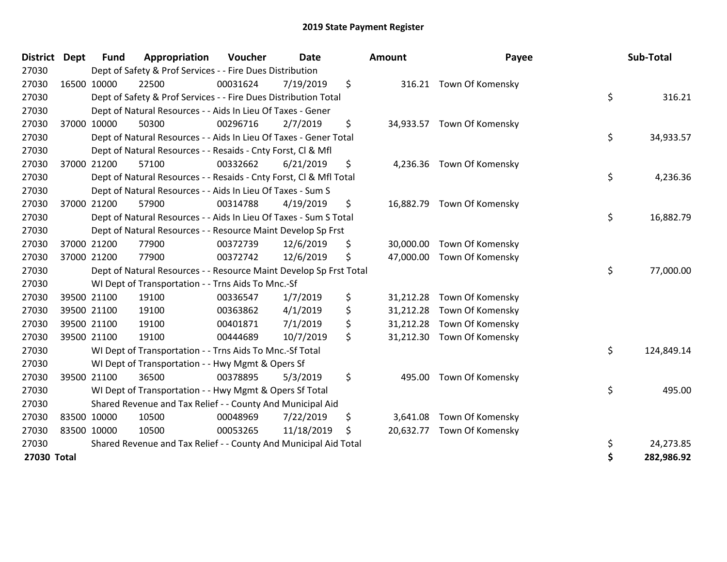| <b>District</b> | <b>Dept</b> | <b>Fund</b> | Appropriation                                                      | Voucher  | Date       | Amount          | Payee                      | Sub-Total        |
|-----------------|-------------|-------------|--------------------------------------------------------------------|----------|------------|-----------------|----------------------------|------------------|
| 27030           |             |             | Dept of Safety & Prof Services - - Fire Dues Distribution          |          |            |                 |                            |                  |
| 27030           |             | 16500 10000 | 22500                                                              | 00031624 | 7/19/2019  | \$              | 316.21 Town Of Komensky    |                  |
| 27030           |             |             | Dept of Safety & Prof Services - - Fire Dues Distribution Total    |          |            |                 |                            | \$<br>316.21     |
| 27030           |             |             | Dept of Natural Resources - - Aids In Lieu Of Taxes - Gener        |          |            |                 |                            |                  |
| 27030           |             | 37000 10000 | 50300                                                              | 00296716 | 2/7/2019   | \$              | 34,933.57 Town Of Komensky |                  |
| 27030           |             |             | Dept of Natural Resources - - Aids In Lieu Of Taxes - Gener Total  |          |            |                 |                            | \$<br>34,933.57  |
| 27030           |             |             | Dept of Natural Resources - - Resaids - Cnty Forst, Cl & Mfl       |          |            |                 |                            |                  |
| 27030           |             | 37000 21200 | 57100                                                              | 00332662 | 6/21/2019  | \$<br>4,236.36  | Town Of Komensky           |                  |
| 27030           |             |             | Dept of Natural Resources - - Resaids - Cnty Forst, Cl & Mfl Total |          |            |                 |                            | \$<br>4,236.36   |
| 27030           |             |             | Dept of Natural Resources - - Aids In Lieu Of Taxes - Sum S        |          |            |                 |                            |                  |
| 27030           |             | 37000 21200 | 57900                                                              | 00314788 | 4/19/2019  | \$              | 16,882.79 Town Of Komensky |                  |
| 27030           |             |             | Dept of Natural Resources - - Aids In Lieu Of Taxes - Sum S Total  |          |            |                 |                            | \$<br>16,882.79  |
| 27030           |             |             | Dept of Natural Resources - - Resource Maint Develop Sp Frst       |          |            |                 |                            |                  |
| 27030           |             | 37000 21200 | 77900                                                              | 00372739 | 12/6/2019  | \$<br>30,000.00 | Town Of Komensky           |                  |
| 27030           |             | 37000 21200 | 77900                                                              | 00372742 | 12/6/2019  | \$              | 47,000.00 Town Of Komensky |                  |
| 27030           |             |             | Dept of Natural Resources - - Resource Maint Develop Sp Frst Total |          |            |                 |                            | \$<br>77,000.00  |
| 27030           |             |             | WI Dept of Transportation - - Trns Aids To Mnc.-Sf                 |          |            |                 |                            |                  |
| 27030           |             | 39500 21100 | 19100                                                              | 00336547 | 1/7/2019   | \$<br>31,212.28 | Town Of Komensky           |                  |
| 27030           |             | 39500 21100 | 19100                                                              | 00363862 | 4/1/2019   | \$<br>31,212.28 | Town Of Komensky           |                  |
| 27030           |             | 39500 21100 | 19100                                                              | 00401871 | 7/1/2019   | \$              | 31,212.28 Town Of Komensky |                  |
| 27030           |             | 39500 21100 | 19100                                                              | 00444689 | 10/7/2019  | \$              | 31,212.30 Town Of Komensky |                  |
| 27030           |             |             | WI Dept of Transportation - - Trns Aids To Mnc.-Sf Total           |          |            |                 |                            | \$<br>124,849.14 |
| 27030           |             |             | WI Dept of Transportation - - Hwy Mgmt & Opers Sf                  |          |            |                 |                            |                  |
| 27030           |             | 39500 21100 | 36500                                                              | 00378895 | 5/3/2019   | \$<br>495.00    | Town Of Komensky           |                  |
| 27030           |             |             | WI Dept of Transportation - - Hwy Mgmt & Opers Sf Total            |          |            |                 |                            | \$<br>495.00     |
| 27030           |             |             | Shared Revenue and Tax Relief - - County And Municipal Aid         |          |            |                 |                            |                  |
| 27030           |             | 83500 10000 | 10500                                                              | 00048969 | 7/22/2019  | \$<br>3,641.08  | Town Of Komensky           |                  |
| 27030           | 83500 10000 |             | 10500                                                              | 00053265 | 11/18/2019 | \$<br>20,632.77 | Town Of Komensky           |                  |
| 27030           |             |             | Shared Revenue and Tax Relief - - County And Municipal Aid Total   |          |            |                 |                            | \$<br>24,273.85  |
| 27030 Total     |             |             |                                                                    |          |            |                 |                            | 282,986.92       |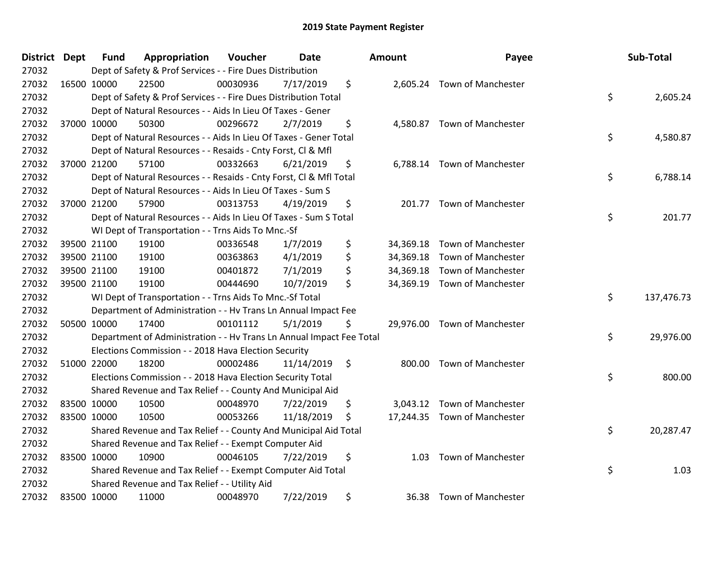| <b>District Dept</b> | <b>Fund</b> | Appropriation                                                        | Voucher  | <b>Date</b> |                    | <b>Amount</b> | Payee                        | Sub-Total        |
|----------------------|-------------|----------------------------------------------------------------------|----------|-------------|--------------------|---------------|------------------------------|------------------|
| 27032                |             | Dept of Safety & Prof Services - - Fire Dues Distribution            |          |             |                    |               |                              |                  |
| 27032                | 16500 10000 | 22500                                                                | 00030936 | 7/17/2019   | \$                 |               | 2,605.24 Town of Manchester  |                  |
| 27032                |             | Dept of Safety & Prof Services - - Fire Dues Distribution Total      |          |             |                    |               |                              | \$<br>2,605.24   |
| 27032                |             | Dept of Natural Resources - - Aids In Lieu Of Taxes - Gener          |          |             |                    |               |                              |                  |
| 27032                | 37000 10000 | 50300                                                                | 00296672 | 2/7/2019    | \$                 |               | 4,580.87 Town of Manchester  |                  |
| 27032                |             | Dept of Natural Resources - - Aids In Lieu Of Taxes - Gener Total    |          |             |                    |               |                              | \$<br>4,580.87   |
| 27032                |             | Dept of Natural Resources - - Resaids - Cnty Forst, Cl & Mfl         |          |             |                    |               |                              |                  |
| 27032                | 37000 21200 | 57100                                                                | 00332663 | 6/21/2019   | \$                 |               | 6,788.14 Town of Manchester  |                  |
| 27032                |             | Dept of Natural Resources - - Resaids - Cnty Forst, Cl & Mfl Total   |          |             |                    |               |                              | \$<br>6,788.14   |
| 27032                |             | Dept of Natural Resources - - Aids In Lieu Of Taxes - Sum S          |          |             |                    |               |                              |                  |
| 27032                | 37000 21200 | 57900                                                                | 00313753 | 4/19/2019   | \$                 |               | 201.77 Town of Manchester    |                  |
| 27032                |             | Dept of Natural Resources - - Aids In Lieu Of Taxes - Sum S Total    |          |             |                    |               |                              | \$<br>201.77     |
| 27032                |             | WI Dept of Transportation - - Trns Aids To Mnc.-Sf                   |          |             |                    |               |                              |                  |
| 27032                | 39500 21100 | 19100                                                                | 00336548 | 1/7/2019    | \$                 |               | 34,369.18 Town of Manchester |                  |
| 27032                | 39500 21100 | 19100                                                                | 00363863 | 4/1/2019    | \$                 |               | 34,369.18 Town of Manchester |                  |
| 27032                | 39500 21100 | 19100                                                                | 00401872 | 7/1/2019    | \$                 |               | 34,369.18 Town of Manchester |                  |
| 27032                | 39500 21100 | 19100                                                                | 00444690 | 10/7/2019   | \$                 |               | 34,369.19 Town of Manchester |                  |
| 27032                |             | WI Dept of Transportation - - Trns Aids To Mnc.-Sf Total             |          |             |                    |               |                              | \$<br>137,476.73 |
| 27032                |             | Department of Administration - - Hv Trans Ln Annual Impact Fee       |          |             |                    |               |                              |                  |
| 27032                | 50500 10000 | 17400                                                                | 00101112 | 5/1/2019    | \$                 |               | 29,976.00 Town of Manchester |                  |
| 27032                |             | Department of Administration - - Hv Trans Ln Annual Impact Fee Total |          |             |                    |               |                              | \$<br>29,976.00  |
| 27032                |             | Elections Commission - - 2018 Hava Election Security                 |          |             |                    |               |                              |                  |
| 27032                | 51000 22000 | 18200                                                                | 00002486 | 11/14/2019  | $\ddot{\varsigma}$ |               | 800.00 Town of Manchester    |                  |
| 27032                |             | Elections Commission - - 2018 Hava Election Security Total           |          |             |                    |               |                              | \$<br>800.00     |
| 27032                |             | Shared Revenue and Tax Relief - - County And Municipal Aid           |          |             |                    |               |                              |                  |
| 27032                | 83500 10000 | 10500                                                                | 00048970 | 7/22/2019   | \$                 |               | 3,043.12 Town of Manchester  |                  |
| 27032                | 83500 10000 | 10500                                                                | 00053266 | 11/18/2019  | \$                 |               | 17,244.35 Town of Manchester |                  |
| 27032                |             | Shared Revenue and Tax Relief - - County And Municipal Aid Total     |          |             |                    |               |                              | \$<br>20,287.47  |
| 27032                |             | Shared Revenue and Tax Relief - - Exempt Computer Aid                |          |             |                    |               |                              |                  |
| 27032                | 83500 10000 | 10900                                                                | 00046105 | 7/22/2019   | \$                 | 1.03          | Town of Manchester           |                  |
| 27032                |             | Shared Revenue and Tax Relief - - Exempt Computer Aid Total          |          |             |                    |               |                              | \$<br>1.03       |
| 27032                |             | Shared Revenue and Tax Relief - - Utility Aid                        |          |             |                    |               |                              |                  |
| 27032                | 83500 10000 | 11000                                                                | 00048970 | 7/22/2019   | \$                 |               | 36.38 Town of Manchester     |                  |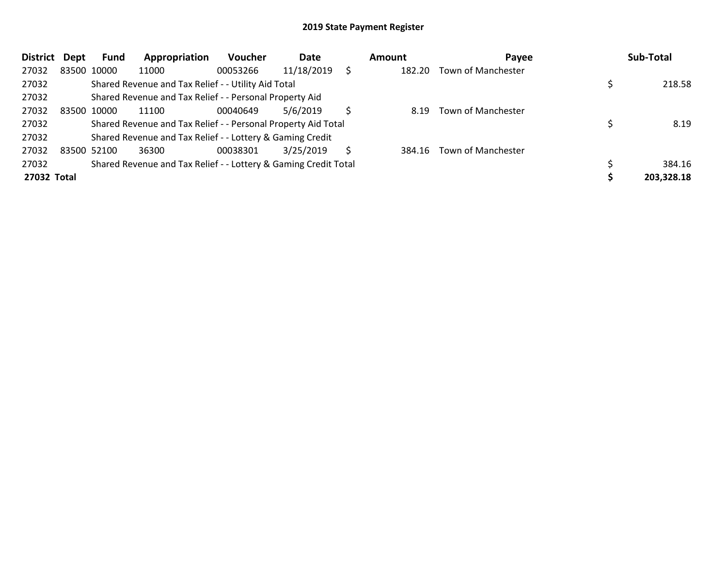| <b>District</b> | Dept | Fund        | Appropriation                                                   | <b>Voucher</b> | Date       |    | Amount | Payee              | Sub-Total  |
|-----------------|------|-------------|-----------------------------------------------------------------|----------------|------------|----|--------|--------------------|------------|
| 27032           |      | 83500 10000 | 11000                                                           | 00053266       | 11/18/2019 | S  | 182.20 | Town of Manchester |            |
| 27032           |      |             | Shared Revenue and Tax Relief - - Utility Aid Total             |                |            |    |        |                    | 218.58     |
| 27032           |      |             | Shared Revenue and Tax Relief - - Personal Property Aid         |                |            |    |        |                    |            |
| 27032           |      | 83500 10000 | 11100                                                           | 00040649       | 5/6/2019   | Ś  | 8.19   | Town of Manchester |            |
| 27032           |      |             | Shared Revenue and Tax Relief - - Personal Property Aid Total   |                |            |    |        |                    | 8.19       |
| 27032           |      |             | Shared Revenue and Tax Relief - - Lottery & Gaming Credit       |                |            |    |        |                    |            |
| 27032           |      | 83500 52100 | 36300                                                           | 00038301       | 3/25/2019  | S. | 384.16 | Town of Manchester |            |
| 27032           |      |             | Shared Revenue and Tax Relief - - Lottery & Gaming Credit Total |                |            |    |        |                    | 384.16     |
| 27032 Total     |      |             |                                                                 |                |            |    |        |                    | 203,328.18 |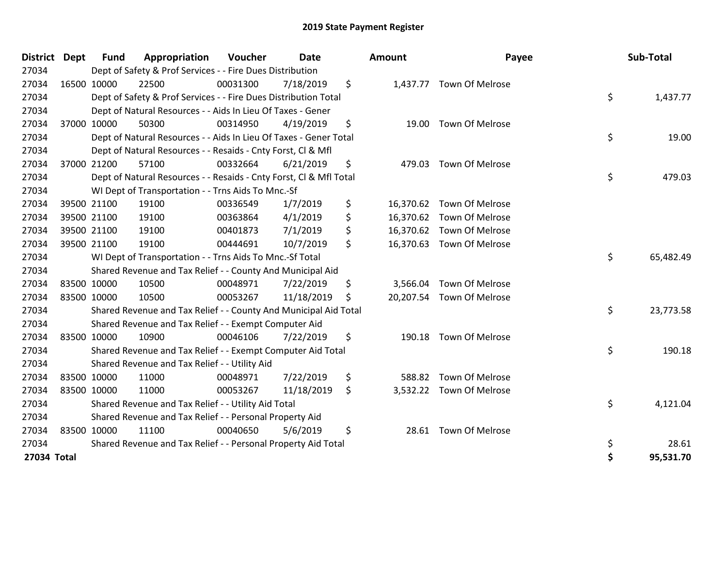| <b>District</b> | <b>Dept</b> | <b>Fund</b> | Appropriation                                                      | Voucher  | <b>Date</b> | <b>Amount</b>  | Payee                     | Sub-Total       |
|-----------------|-------------|-------------|--------------------------------------------------------------------|----------|-------------|----------------|---------------------------|-----------------|
| 27034           |             |             | Dept of Safety & Prof Services - - Fire Dues Distribution          |          |             |                |                           |                 |
| 27034           |             | 16500 10000 | 22500                                                              | 00031300 | 7/18/2019   | \$             | 1,437.77 Town Of Melrose  |                 |
| 27034           |             |             | Dept of Safety & Prof Services - - Fire Dues Distribution Total    |          |             |                |                           | \$<br>1,437.77  |
| 27034           |             |             | Dept of Natural Resources - - Aids In Lieu Of Taxes - Gener        |          |             |                |                           |                 |
| 27034           |             | 37000 10000 | 50300                                                              | 00314950 | 4/19/2019   | \$             | 19.00 Town Of Melrose     |                 |
| 27034           |             |             | Dept of Natural Resources - - Aids In Lieu Of Taxes - Gener Total  |          |             |                |                           | \$<br>19.00     |
| 27034           |             |             | Dept of Natural Resources - - Resaids - Cnty Forst, CI & Mfl       |          |             |                |                           |                 |
| 27034           |             | 37000 21200 | 57100                                                              | 00332664 | 6/21/2019   | \$<br>479.03   | Town Of Melrose           |                 |
| 27034           |             |             | Dept of Natural Resources - - Resaids - Cnty Forst, Cl & Mfl Total |          |             |                |                           | \$<br>479.03    |
| 27034           |             |             | WI Dept of Transportation - - Trns Aids To Mnc.-Sf                 |          |             |                |                           |                 |
| 27034           |             | 39500 21100 | 19100                                                              | 00336549 | 1/7/2019    | \$             | 16,370.62 Town Of Melrose |                 |
| 27034           |             | 39500 21100 | 19100                                                              | 00363864 | 4/1/2019    | \$             | 16,370.62 Town Of Melrose |                 |
| 27034           |             | 39500 21100 | 19100                                                              | 00401873 | 7/1/2019    | \$             | 16,370.62 Town Of Melrose |                 |
| 27034           |             | 39500 21100 | 19100                                                              | 00444691 | 10/7/2019   | \$             | 16,370.63 Town Of Melrose |                 |
| 27034           |             |             | WI Dept of Transportation - - Trns Aids To Mnc.-Sf Total           |          |             |                |                           | \$<br>65,482.49 |
| 27034           |             |             | Shared Revenue and Tax Relief - - County And Municipal Aid         |          |             |                |                           |                 |
| 27034           |             | 83500 10000 | 10500                                                              | 00048971 | 7/22/2019   | \$<br>3,566.04 | Town Of Melrose           |                 |
| 27034           |             | 83500 10000 | 10500                                                              | 00053267 | 11/18/2019  | \$             | 20,207.54 Town Of Melrose |                 |
| 27034           |             |             | Shared Revenue and Tax Relief - - County And Municipal Aid Total   |          |             |                |                           | \$<br>23,773.58 |
| 27034           |             |             | Shared Revenue and Tax Relief - - Exempt Computer Aid              |          |             |                |                           |                 |
| 27034           |             | 83500 10000 | 10900                                                              | 00046106 | 7/22/2019   | \$<br>190.18   | <b>Town Of Melrose</b>    |                 |
| 27034           |             |             | Shared Revenue and Tax Relief - - Exempt Computer Aid Total        |          |             |                |                           | \$<br>190.18    |
| 27034           |             |             | Shared Revenue and Tax Relief - - Utility Aid                      |          |             |                |                           |                 |
| 27034           |             | 83500 10000 | 11000                                                              | 00048971 | 7/22/2019   | \$<br>588.82   | <b>Town Of Melrose</b>    |                 |
| 27034           |             | 83500 10000 | 11000                                                              | 00053267 | 11/18/2019  | \$             | 3,532.22 Town Of Melrose  |                 |
| 27034           |             |             | Shared Revenue and Tax Relief - - Utility Aid Total                |          |             |                |                           | \$<br>4,121.04  |
| 27034           |             |             | Shared Revenue and Tax Relief - - Personal Property Aid            |          |             |                |                           |                 |
| 27034           |             | 83500 10000 | 11100                                                              | 00040650 | 5/6/2019    | \$<br>28.61    | Town Of Melrose           |                 |
| 27034           |             |             | Shared Revenue and Tax Relief - - Personal Property Aid Total      |          |             |                |                           | \$<br>28.61     |
| 27034 Total     |             |             |                                                                    |          |             |                |                           | \$<br>95,531.70 |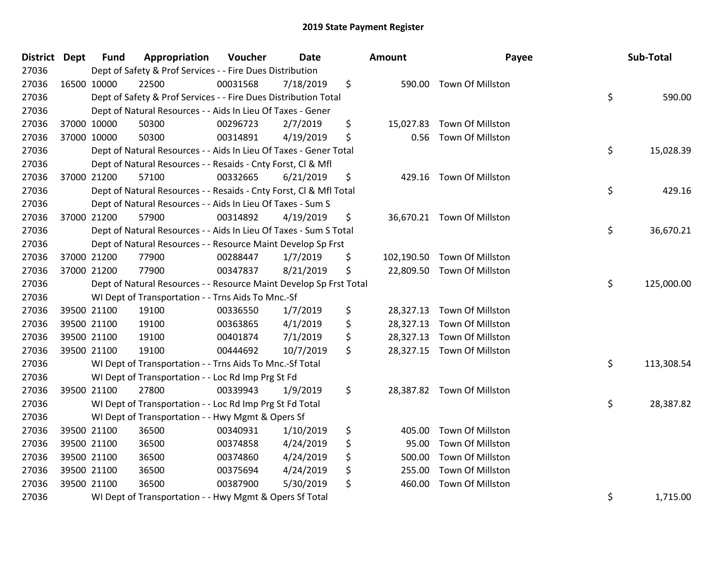| <b>District Dept</b> | <b>Fund</b> | Appropriation                                                      | Voucher  | Date      | <b>Amount</b>   | Payee                       | Sub-Total        |
|----------------------|-------------|--------------------------------------------------------------------|----------|-----------|-----------------|-----------------------------|------------------|
| 27036                |             | Dept of Safety & Prof Services - - Fire Dues Distribution          |          |           |                 |                             |                  |
| 27036                | 16500 10000 | 22500                                                              | 00031568 | 7/18/2019 | \$              | 590.00 Town Of Millston     |                  |
| 27036                |             | Dept of Safety & Prof Services - - Fire Dues Distribution Total    |          |           |                 |                             | \$<br>590.00     |
| 27036                |             | Dept of Natural Resources - - Aids In Lieu Of Taxes - Gener        |          |           |                 |                             |                  |
| 27036                | 37000 10000 | 50300                                                              | 00296723 | 2/7/2019  | \$<br>15,027.83 | Town Of Millston            |                  |
| 27036                | 37000 10000 | 50300                                                              | 00314891 | 4/19/2019 | \$<br>0.56      | Town Of Millston            |                  |
| 27036                |             | Dept of Natural Resources - - Aids In Lieu Of Taxes - Gener Total  |          |           |                 |                             | \$<br>15,028.39  |
| 27036                |             | Dept of Natural Resources - - Resaids - Cnty Forst, Cl & Mfl       |          |           |                 |                             |                  |
| 27036                | 37000 21200 | 57100                                                              | 00332665 | 6/21/2019 | \$              | 429.16 Town Of Millston     |                  |
| 27036                |             | Dept of Natural Resources - - Resaids - Cnty Forst, Cl & Mfl Total |          |           |                 |                             | \$<br>429.16     |
| 27036                |             | Dept of Natural Resources - - Aids In Lieu Of Taxes - Sum S        |          |           |                 |                             |                  |
| 27036                | 37000 21200 | 57900                                                              | 00314892 | 4/19/2019 | \$              | 36,670.21 Town Of Millston  |                  |
| 27036                |             | Dept of Natural Resources - - Aids In Lieu Of Taxes - Sum S Total  |          |           |                 |                             | \$<br>36,670.21  |
| 27036                |             | Dept of Natural Resources - - Resource Maint Develop Sp Frst       |          |           |                 |                             |                  |
| 27036                | 37000 21200 | 77900                                                              | 00288447 | 1/7/2019  | \$              | 102,190.50 Town Of Millston |                  |
| 27036                | 37000 21200 | 77900                                                              | 00347837 | 8/21/2019 | \$              | 22,809.50 Town Of Millston  |                  |
| 27036                |             | Dept of Natural Resources - - Resource Maint Develop Sp Frst Total |          |           |                 |                             | \$<br>125,000.00 |
| 27036                |             | WI Dept of Transportation - - Trns Aids To Mnc.-Sf                 |          |           |                 |                             |                  |
| 27036                | 39500 21100 | 19100                                                              | 00336550 | 1/7/2019  | \$              | 28,327.13 Town Of Millston  |                  |
| 27036                | 39500 21100 | 19100                                                              | 00363865 | 4/1/2019  | \$              | 28,327.13 Town Of Millston  |                  |
| 27036                | 39500 21100 | 19100                                                              | 00401874 | 7/1/2019  | \$              | 28,327.13 Town Of Millston  |                  |
| 27036                | 39500 21100 | 19100                                                              | 00444692 | 10/7/2019 | \$              | 28,327.15 Town Of Millston  |                  |
| 27036                |             | WI Dept of Transportation - - Trns Aids To Mnc.-Sf Total           |          |           |                 |                             | \$<br>113,308.54 |
| 27036                |             | WI Dept of Transportation - - Loc Rd Imp Prg St Fd                 |          |           |                 |                             |                  |
| 27036                | 39500 21100 | 27800                                                              | 00339943 | 1/9/2019  | \$              | 28,387.82 Town Of Millston  |                  |
| 27036                |             | WI Dept of Transportation - - Loc Rd Imp Prg St Fd Total           |          |           |                 |                             | \$<br>28,387.82  |
| 27036                |             | WI Dept of Transportation - - Hwy Mgmt & Opers Sf                  |          |           |                 |                             |                  |
| 27036                | 39500 21100 | 36500                                                              | 00340931 | 1/10/2019 | \$<br>405.00    | Town Of Millston            |                  |
| 27036                | 39500 21100 | 36500                                                              | 00374858 | 4/24/2019 | \$<br>95.00     | Town Of Millston            |                  |
| 27036                | 39500 21100 | 36500                                                              | 00374860 | 4/24/2019 | \$<br>500.00    | Town Of Millston            |                  |
| 27036                | 39500 21100 | 36500                                                              | 00375694 | 4/24/2019 | \$<br>255.00    | Town Of Millston            |                  |
| 27036                | 39500 21100 | 36500                                                              | 00387900 | 5/30/2019 | \$<br>460.00    | Town Of Millston            |                  |
| 27036                |             | WI Dept of Transportation - - Hwy Mgmt & Opers Sf Total            |          |           |                 |                             | \$<br>1,715.00   |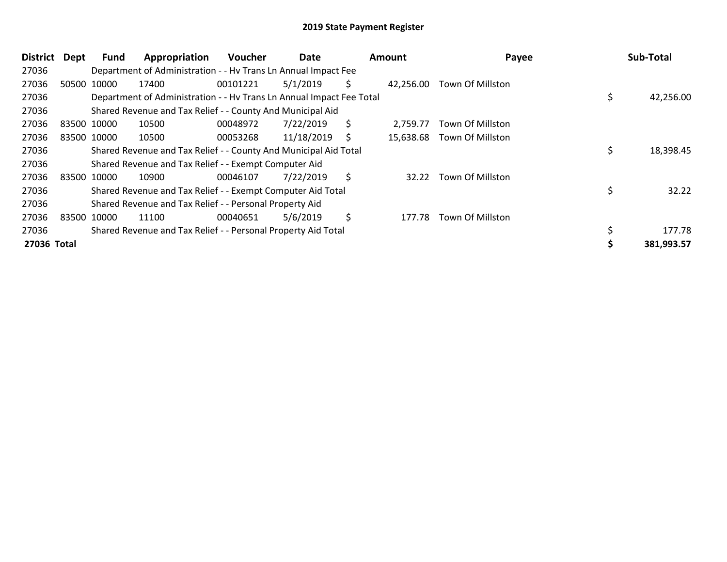| <b>District</b> | <b>Dept</b> | Fund        | Appropriation                                                        | <b>Voucher</b> | Date       |    | Amount    | Payee            | Sub-Total  |
|-----------------|-------------|-------------|----------------------------------------------------------------------|----------------|------------|----|-----------|------------------|------------|
| 27036           |             |             | Department of Administration - - Hv Trans Ln Annual Impact Fee       |                |            |    |           |                  |            |
| 27036           |             | 50500 10000 | 17400                                                                | 00101221       | 5/1/2019   | \$ | 42,256.00 | Town Of Millston |            |
| 27036           |             |             | Department of Administration - - Hv Trans Ln Annual Impact Fee Total |                |            |    |           |                  | 42,256.00  |
| 27036           |             |             | Shared Revenue and Tax Relief - - County And Municipal Aid           |                |            |    |           |                  |            |
| 27036           |             | 83500 10000 | 10500                                                                | 00048972       | 7/22/2019  | \$ | 2.759.77  | Town Of Millston |            |
| 27036           |             | 83500 10000 | 10500                                                                | 00053268       | 11/18/2019 | S  | 15,638.68 | Town Of Millston |            |
| 27036           |             |             | Shared Revenue and Tax Relief - - County And Municipal Aid Total     |                |            |    |           |                  | 18,398.45  |
| 27036           |             |             | Shared Revenue and Tax Relief - - Exempt Computer Aid                |                |            |    |           |                  |            |
| 27036           |             | 83500 10000 | 10900                                                                | 00046107       | 7/22/2019  | \$ | 32.22     | Town Of Millston |            |
| 27036           |             |             | Shared Revenue and Tax Relief - - Exempt Computer Aid Total          |                |            |    |           |                  | 32.22      |
| 27036           |             |             | Shared Revenue and Tax Relief - - Personal Property Aid              |                |            |    |           |                  |            |
| 27036           |             | 83500 10000 | 11100                                                                | 00040651       | 5/6/2019   | \$ | 177.78    | Town Of Millston |            |
| 27036           |             |             | Shared Revenue and Tax Relief - - Personal Property Aid Total        |                |            |    |           |                  | 177.78     |
| 27036 Total     |             |             |                                                                      |                |            |    |           |                  | 381,993.57 |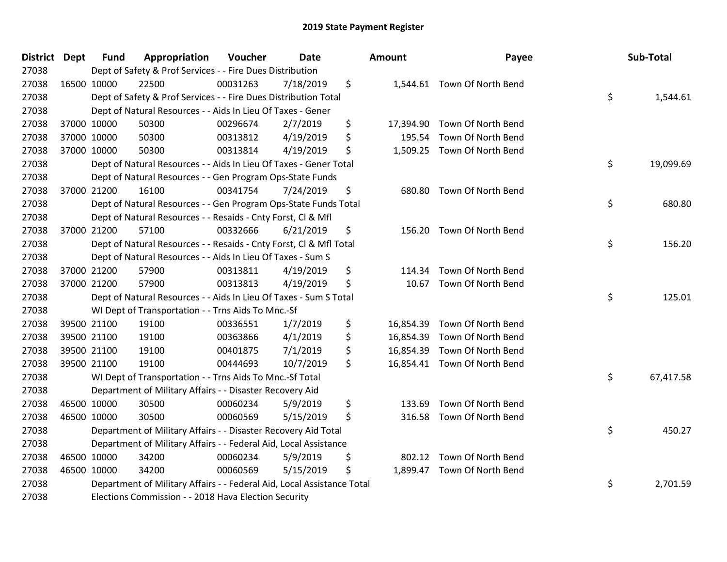| <b>District Dept</b> | <b>Fund</b> | Appropriation                                                          | Voucher  | Date      | <b>Amount</b>   | Payee                        | Sub-Total       |
|----------------------|-------------|------------------------------------------------------------------------|----------|-----------|-----------------|------------------------------|-----------------|
| 27038                |             | Dept of Safety & Prof Services - - Fire Dues Distribution              |          |           |                 |                              |                 |
| 27038                | 16500 10000 | 22500                                                                  | 00031263 | 7/18/2019 | \$              | 1,544.61 Town Of North Bend  |                 |
| 27038                |             | Dept of Safety & Prof Services - - Fire Dues Distribution Total        |          |           |                 |                              | \$<br>1,544.61  |
| 27038                |             | Dept of Natural Resources - - Aids In Lieu Of Taxes - Gener            |          |           |                 |                              |                 |
| 27038                | 37000 10000 | 50300                                                                  | 00296674 | 2/7/2019  | \$<br>17,394.90 | Town Of North Bend           |                 |
| 27038                | 37000 10000 | 50300                                                                  | 00313812 | 4/19/2019 | \$<br>195.54    | Town Of North Bend           |                 |
| 27038                | 37000 10000 | 50300                                                                  | 00313814 | 4/19/2019 | \$              | 1,509.25 Town Of North Bend  |                 |
| 27038                |             | Dept of Natural Resources - - Aids In Lieu Of Taxes - Gener Total      |          |           |                 |                              | \$<br>19,099.69 |
| 27038                |             | Dept of Natural Resources - - Gen Program Ops-State Funds              |          |           |                 |                              |                 |
| 27038                | 37000 21200 | 16100                                                                  | 00341754 | 7/24/2019 | \$<br>680.80    | Town Of North Bend           |                 |
| 27038                |             | Dept of Natural Resources - - Gen Program Ops-State Funds Total        |          |           |                 |                              | \$<br>680.80    |
| 27038                |             | Dept of Natural Resources - - Resaids - Cnty Forst, Cl & Mfl           |          |           |                 |                              |                 |
| 27038                | 37000 21200 | 57100                                                                  | 00332666 | 6/21/2019 | \$<br>156.20    | Town Of North Bend           |                 |
| 27038                |             | Dept of Natural Resources - - Resaids - Cnty Forst, Cl & Mfl Total     |          |           |                 |                              | \$<br>156.20    |
| 27038                |             | Dept of Natural Resources - - Aids In Lieu Of Taxes - Sum S            |          |           |                 |                              |                 |
| 27038                | 37000 21200 | 57900                                                                  | 00313811 | 4/19/2019 | \$<br>114.34    | Town Of North Bend           |                 |
| 27038                | 37000 21200 | 57900                                                                  | 00313813 | 4/19/2019 | \$<br>10.67     | Town Of North Bend           |                 |
| 27038                |             | Dept of Natural Resources - - Aids In Lieu Of Taxes - Sum S Total      |          |           |                 |                              | \$<br>125.01    |
| 27038                |             | WI Dept of Transportation - - Trns Aids To Mnc.-Sf                     |          |           |                 |                              |                 |
| 27038                | 39500 21100 | 19100                                                                  | 00336551 | 1/7/2019  | \$<br>16,854.39 | Town Of North Bend           |                 |
| 27038                | 39500 21100 | 19100                                                                  | 00363866 | 4/1/2019  | \$              | 16,854.39 Town Of North Bend |                 |
| 27038                | 39500 21100 | 19100                                                                  | 00401875 | 7/1/2019  | \$              | 16,854.39 Town Of North Bend |                 |
| 27038                | 39500 21100 | 19100                                                                  | 00444693 | 10/7/2019 | \$              | 16,854.41 Town Of North Bend |                 |
| 27038                |             | WI Dept of Transportation - - Trns Aids To Mnc.-Sf Total               |          |           |                 |                              | \$<br>67,417.58 |
| 27038                |             | Department of Military Affairs - - Disaster Recovery Aid               |          |           |                 |                              |                 |
| 27038                | 46500 10000 | 30500                                                                  | 00060234 | 5/9/2019  | \$<br>133.69    | Town Of North Bend           |                 |
| 27038                | 46500 10000 | 30500                                                                  | 00060569 | 5/15/2019 | \$<br>316.58    | Town Of North Bend           |                 |
| 27038                |             | Department of Military Affairs - - Disaster Recovery Aid Total         |          |           |                 |                              | \$<br>450.27    |
| 27038                |             | Department of Military Affairs - - Federal Aid, Local Assistance       |          |           |                 |                              |                 |
| 27038                | 46500 10000 | 34200                                                                  | 00060234 | 5/9/2019  | \$<br>802.12    | Town Of North Bend           |                 |
| 27038                | 46500 10000 | 34200                                                                  | 00060569 | 5/15/2019 | \$              | 1,899.47 Town Of North Bend  |                 |
| 27038                |             | Department of Military Affairs - - Federal Aid, Local Assistance Total |          |           |                 |                              | \$<br>2,701.59  |
| 27038                |             | Elections Commission - - 2018 Hava Election Security                   |          |           |                 |                              |                 |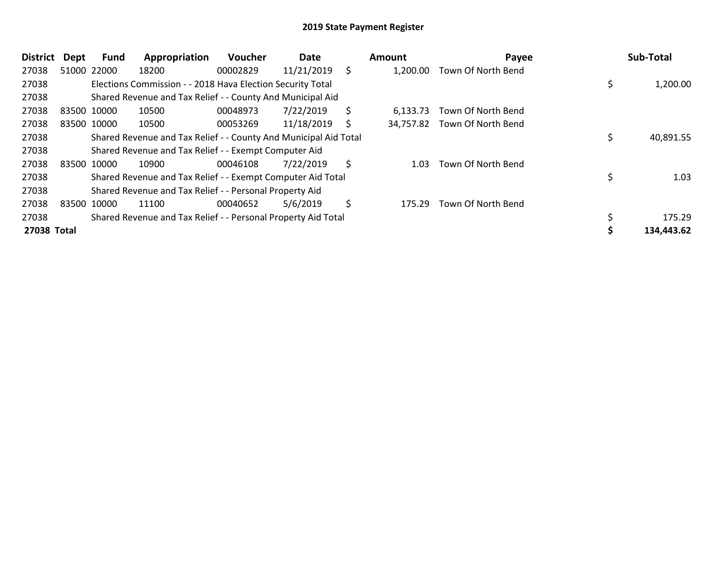| <b>District</b> | <b>Dept</b> | Fund        | Appropriation                                                    | <b>Voucher</b> | Date       |    | Amount   | Payee                        | Sub-Total  |
|-----------------|-------------|-------------|------------------------------------------------------------------|----------------|------------|----|----------|------------------------------|------------|
| 27038           |             | 51000 22000 | 18200                                                            | 00002829       | 11/21/2019 | \$ | 1,200.00 | Town Of North Bend           |            |
| 27038           |             |             | Elections Commission - - 2018 Hava Election Security Total       |                |            |    |          |                              | 1,200.00   |
| 27038           |             |             | Shared Revenue and Tax Relief - - County And Municipal Aid       |                |            |    |          |                              |            |
| 27038           |             | 83500 10000 | 10500                                                            | 00048973       | 7/22/2019  | \$ | 6.133.73 | Town Of North Bend           |            |
| 27038           |             | 83500 10000 | 10500                                                            | 00053269       | 11/18/2019 | S  |          | 34,757.82 Town Of North Bend |            |
| 27038           |             |             | Shared Revenue and Tax Relief - - County And Municipal Aid Total |                |            |    |          |                              | 40,891.55  |
| 27038           |             |             | Shared Revenue and Tax Relief - - Exempt Computer Aid            |                |            |    |          |                              |            |
| 27038           |             | 83500 10000 | 10900                                                            | 00046108       | 7/22/2019  | \$ | 1.03     | Town Of North Bend           |            |
| 27038           |             |             | Shared Revenue and Tax Relief - - Exempt Computer Aid Total      |                |            |    |          |                              | \$<br>1.03 |
| 27038           |             |             | Shared Revenue and Tax Relief - - Personal Property Aid          |                |            |    |          |                              |            |
| 27038           |             | 83500 10000 | 11100                                                            | 00040652       | 5/6/2019   | \$ | 175.29   | Town Of North Bend           |            |
| 27038           |             |             | Shared Revenue and Tax Relief - - Personal Property Aid Total    |                |            |    |          |                              | 175.29     |
| 27038 Total     |             |             |                                                                  |                |            |    |          |                              | 134,443.62 |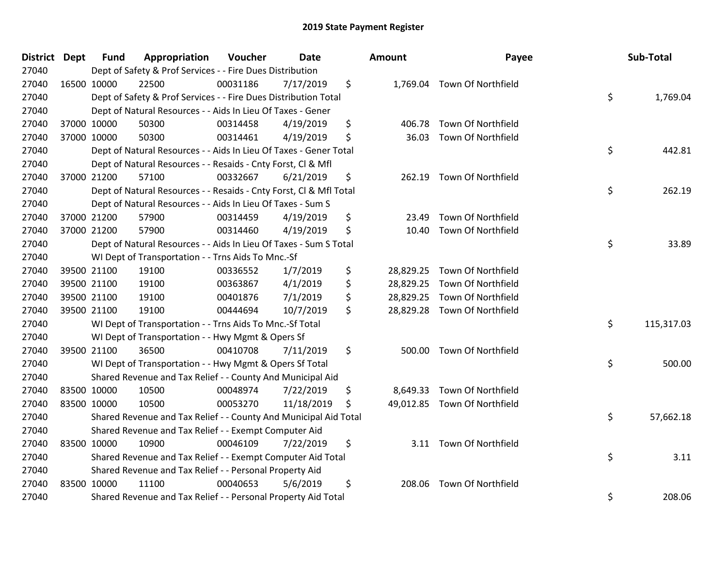| <b>District Dept</b> | <b>Fund</b> | Appropriation                                                      | Voucher  | <b>Date</b> | <b>Amount</b>   | Payee                        | Sub-Total        |
|----------------------|-------------|--------------------------------------------------------------------|----------|-------------|-----------------|------------------------------|------------------|
| 27040                |             | Dept of Safety & Prof Services - - Fire Dues Distribution          |          |             |                 |                              |                  |
| 27040                | 16500 10000 | 22500                                                              | 00031186 | 7/17/2019   | \$              | 1,769.04 Town Of Northfield  |                  |
| 27040                |             | Dept of Safety & Prof Services - - Fire Dues Distribution Total    |          |             |                 |                              | \$<br>1,769.04   |
| 27040                |             | Dept of Natural Resources - - Aids In Lieu Of Taxes - Gener        |          |             |                 |                              |                  |
| 27040                | 37000 10000 | 50300                                                              | 00314458 | 4/19/2019   | \$<br>406.78    | Town Of Northfield           |                  |
| 27040                | 37000 10000 | 50300                                                              | 00314461 | 4/19/2019   | \$<br>36.03     | Town Of Northfield           |                  |
| 27040                |             | Dept of Natural Resources - - Aids In Lieu Of Taxes - Gener Total  |          |             |                 |                              | \$<br>442.81     |
| 27040                |             | Dept of Natural Resources - - Resaids - Cnty Forst, CI & Mfl       |          |             |                 |                              |                  |
| 27040                | 37000 21200 | 57100                                                              | 00332667 | 6/21/2019   | \$              | 262.19 Town Of Northfield    |                  |
| 27040                |             | Dept of Natural Resources - - Resaids - Cnty Forst, Cl & Mfl Total |          |             |                 |                              | \$<br>262.19     |
| 27040                |             | Dept of Natural Resources - - Aids In Lieu Of Taxes - Sum S        |          |             |                 |                              |                  |
| 27040                | 37000 21200 | 57900                                                              | 00314459 | 4/19/2019   | \$<br>23.49     | Town Of Northfield           |                  |
| 27040                | 37000 21200 | 57900                                                              | 00314460 | 4/19/2019   | \$<br>10.40     | Town Of Northfield           |                  |
| 27040                |             | Dept of Natural Resources - - Aids In Lieu Of Taxes - Sum S Total  |          |             |                 |                              | \$<br>33.89      |
| 27040                |             | WI Dept of Transportation - - Trns Aids To Mnc.-Sf                 |          |             |                 |                              |                  |
| 27040                | 39500 21100 | 19100                                                              | 00336552 | 1/7/2019    | \$<br>28,829.25 | Town Of Northfield           |                  |
| 27040                | 39500 21100 | 19100                                                              | 00363867 | 4/1/2019    | \$              | 28,829.25 Town Of Northfield |                  |
| 27040                | 39500 21100 | 19100                                                              | 00401876 | 7/1/2019    | \$              | 28,829.25 Town Of Northfield |                  |
| 27040                | 39500 21100 | 19100                                                              | 00444694 | 10/7/2019   | \$              | 28,829.28 Town Of Northfield |                  |
| 27040                |             | WI Dept of Transportation - - Trns Aids To Mnc.-Sf Total           |          |             |                 |                              | \$<br>115,317.03 |
| 27040                |             | WI Dept of Transportation - - Hwy Mgmt & Opers Sf                  |          |             |                 |                              |                  |
| 27040                | 39500 21100 | 36500                                                              | 00410708 | 7/11/2019   | \$<br>500.00    | Town Of Northfield           |                  |
| 27040                |             | WI Dept of Transportation - - Hwy Mgmt & Opers Sf Total            |          |             |                 |                              | \$<br>500.00     |
| 27040                |             | Shared Revenue and Tax Relief - - County And Municipal Aid         |          |             |                 |                              |                  |
| 27040                | 83500 10000 | 10500                                                              | 00048974 | 7/22/2019   | \$<br>8,649.33  | Town Of Northfield           |                  |
| 27040                | 83500 10000 | 10500                                                              | 00053270 | 11/18/2019  | \$              | 49,012.85 Town Of Northfield |                  |
| 27040                |             | Shared Revenue and Tax Relief - - County And Municipal Aid Total   |          |             |                 |                              | \$<br>57,662.18  |
| 27040                |             | Shared Revenue and Tax Relief - - Exempt Computer Aid              |          |             |                 |                              |                  |
| 27040                | 83500 10000 | 10900                                                              | 00046109 | 7/22/2019   | \$              | 3.11 Town Of Northfield      |                  |
| 27040                |             | Shared Revenue and Tax Relief - - Exempt Computer Aid Total        |          |             |                 |                              | \$<br>3.11       |
| 27040                |             | Shared Revenue and Tax Relief - - Personal Property Aid            |          |             |                 |                              |                  |
| 27040                | 83500 10000 | 11100                                                              | 00040653 | 5/6/2019    | \$<br>208.06    | Town Of Northfield           |                  |
| 27040                |             | Shared Revenue and Tax Relief - - Personal Property Aid Total      |          |             |                 |                              | \$<br>208.06     |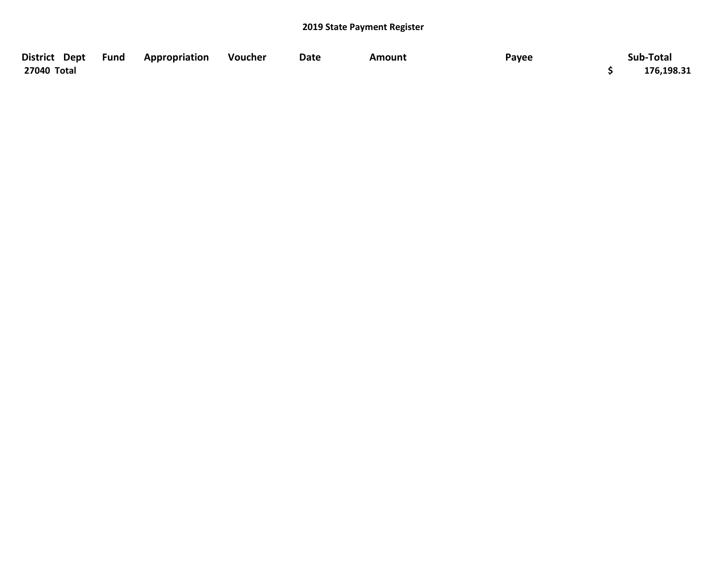| District Dept Fund | Appropriation | Voucher | Date | Amount | Payee | Sub-Total  |
|--------------------|---------------|---------|------|--------|-------|------------|
| 27040 Total        |               |         |      |        |       | 176,198.31 |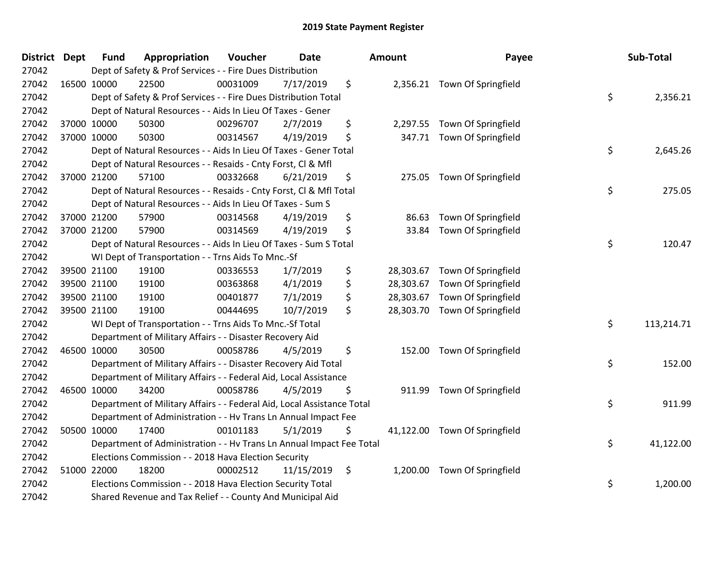| <b>District Dept</b> | <b>Fund</b> | Appropriation                                                          | Voucher  | <b>Date</b> |    | <b>Amount</b> | Payee                         |    | Sub-Total  |
|----------------------|-------------|------------------------------------------------------------------------|----------|-------------|----|---------------|-------------------------------|----|------------|
| 27042                |             | Dept of Safety & Prof Services - - Fire Dues Distribution              |          |             |    |               |                               |    |            |
| 27042                | 16500 10000 | 22500                                                                  | 00031009 | 7/17/2019   | \$ |               | 2,356.21 Town Of Springfield  |    |            |
| 27042                |             | Dept of Safety & Prof Services - - Fire Dues Distribution Total        |          |             |    |               |                               | \$ | 2,356.21   |
| 27042                |             | Dept of Natural Resources - - Aids In Lieu Of Taxes - Gener            |          |             |    |               |                               |    |            |
| 27042                | 37000 10000 | 50300                                                                  | 00296707 | 2/7/2019    | \$ |               | 2,297.55 Town Of Springfield  |    |            |
| 27042                | 37000 10000 | 50300                                                                  | 00314567 | 4/19/2019   | \$ |               | 347.71 Town Of Springfield    |    |            |
| 27042                |             | Dept of Natural Resources - - Aids In Lieu Of Taxes - Gener Total      |          |             |    |               |                               | \$ | 2,645.26   |
| 27042                |             | Dept of Natural Resources - - Resaids - Cnty Forst, Cl & Mfl           |          |             |    |               |                               |    |            |
| 27042                | 37000 21200 | 57100                                                                  | 00332668 | 6/21/2019   | \$ |               | 275.05 Town Of Springfield    |    |            |
| 27042                |             | Dept of Natural Resources - - Resaids - Cnty Forst, Cl & Mfl Total     |          |             |    |               |                               | \$ | 275.05     |
| 27042                |             | Dept of Natural Resources - - Aids In Lieu Of Taxes - Sum S            |          |             |    |               |                               |    |            |
| 27042                | 37000 21200 | 57900                                                                  | 00314568 | 4/19/2019   | \$ | 86.63         | Town Of Springfield           |    |            |
| 27042                | 37000 21200 | 57900                                                                  | 00314569 | 4/19/2019   | \$ | 33.84         | Town Of Springfield           |    |            |
| 27042                |             | Dept of Natural Resources - - Aids In Lieu Of Taxes - Sum S Total      |          |             |    |               |                               | \$ | 120.47     |
| 27042                |             | WI Dept of Transportation - - Trns Aids To Mnc.-Sf                     |          |             |    |               |                               |    |            |
| 27042                | 39500 21100 | 19100                                                                  | 00336553 | 1/7/2019    | \$ | 28,303.67     | Town Of Springfield           |    |            |
| 27042                | 39500 21100 | 19100                                                                  | 00363868 | 4/1/2019    | \$ |               | 28,303.67 Town Of Springfield |    |            |
| 27042                | 39500 21100 | 19100                                                                  | 00401877 | 7/1/2019    | \$ |               | 28,303.67 Town Of Springfield |    |            |
| 27042                | 39500 21100 | 19100                                                                  | 00444695 | 10/7/2019   | \$ |               | 28,303.70 Town Of Springfield |    |            |
| 27042                |             | WI Dept of Transportation - - Trns Aids To Mnc.-Sf Total               |          |             |    |               |                               | \$ | 113,214.71 |
| 27042                |             | Department of Military Affairs - - Disaster Recovery Aid               |          |             |    |               |                               |    |            |
| 27042                | 46500 10000 | 30500                                                                  | 00058786 | 4/5/2019    | \$ |               | 152.00 Town Of Springfield    |    |            |
| 27042                |             | Department of Military Affairs - - Disaster Recovery Aid Total         |          |             |    |               |                               | \$ | 152.00     |
| 27042                |             | Department of Military Affairs - - Federal Aid, Local Assistance       |          |             |    |               |                               |    |            |
| 27042                | 46500 10000 | 34200                                                                  | 00058786 | 4/5/2019    | \$ | 911.99        | Town Of Springfield           |    |            |
| 27042                |             | Department of Military Affairs - - Federal Aid, Local Assistance Total |          |             |    |               |                               | \$ | 911.99     |
| 27042                |             | Department of Administration - - Hv Trans Ln Annual Impact Fee         |          |             |    |               |                               |    |            |
| 27042                | 50500 10000 | 17400                                                                  | 00101183 | 5/1/2019    | \$ |               | 41,122.00 Town Of Springfield |    |            |
| 27042                |             | Department of Administration - - Hv Trans Ln Annual Impact Fee Total   |          |             |    |               |                               | \$ | 41,122.00  |
| 27042                |             | Elections Commission - - 2018 Hava Election Security                   |          |             |    |               |                               |    |            |
| 27042                | 51000 22000 | 18200                                                                  | 00002512 | 11/15/2019  | \$ |               | 1,200.00 Town Of Springfield  |    |            |
| 27042                |             | Elections Commission - - 2018 Hava Election Security Total             |          |             |    |               |                               | \$ | 1,200.00   |
| 27042                |             | Shared Revenue and Tax Relief - - County And Municipal Aid             |          |             |    |               |                               |    |            |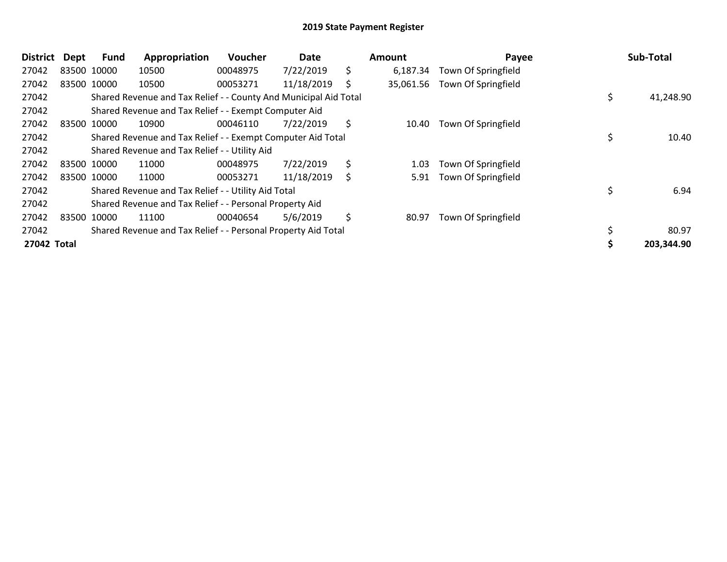| <b>District</b> | Dept | <b>Fund</b> | Appropriation                                                    | Voucher  | Date       |    | Amount    | Payee               | Sub-Total       |
|-----------------|------|-------------|------------------------------------------------------------------|----------|------------|----|-----------|---------------------|-----------------|
| 27042           |      | 83500 10000 | 10500                                                            | 00048975 | 7/22/2019  | \$ | 6,187.34  | Town Of Springfield |                 |
| 27042           |      | 83500 10000 | 10500                                                            | 00053271 | 11/18/2019 | S  | 35,061.56 | Town Of Springfield |                 |
| 27042           |      |             | Shared Revenue and Tax Relief - - County And Municipal Aid Total |          |            |    |           |                     | \$<br>41,248.90 |
| 27042           |      |             | Shared Revenue and Tax Relief - - Exempt Computer Aid            |          |            |    |           |                     |                 |
| 27042           |      | 83500 10000 | 10900                                                            | 00046110 | 7/22/2019  | \$ | 10.40     | Town Of Springfield |                 |
| 27042           |      |             | Shared Revenue and Tax Relief - - Exempt Computer Aid Total      |          |            |    |           |                     | 10.40           |
| 27042           |      |             | Shared Revenue and Tax Relief - - Utility Aid                    |          |            |    |           |                     |                 |
| 27042           |      | 83500 10000 | 11000                                                            | 00048975 | 7/22/2019  | \$ | 1.03      | Town Of Springfield |                 |
| 27042           |      | 83500 10000 | 11000                                                            | 00053271 | 11/18/2019 | \$ | 5.91      | Town Of Springfield |                 |
| 27042           |      |             | Shared Revenue and Tax Relief - - Utility Aid Total              |          |            |    |           |                     | 6.94            |
| 27042           |      |             | Shared Revenue and Tax Relief - - Personal Property Aid          |          |            |    |           |                     |                 |
| 27042           |      | 83500 10000 | 11100                                                            | 00040654 | 5/6/2019   | \$ | 80.97     | Town Of Springfield |                 |
| 27042           |      |             | Shared Revenue and Tax Relief - - Personal Property Aid Total    |          |            |    |           |                     | \$<br>80.97     |
| 27042 Total     |      |             |                                                                  |          |            |    |           |                     | 203,344.90      |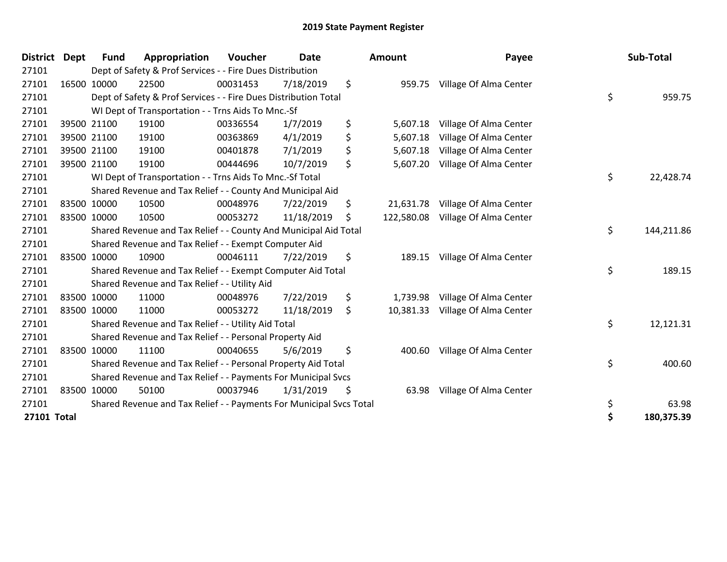| <b>District</b>    | <b>Dept</b> | Fund        | Appropriation                                                       | Voucher  | <b>Date</b> | <b>Amount</b>    | Payee                  | Sub-Total        |
|--------------------|-------------|-------------|---------------------------------------------------------------------|----------|-------------|------------------|------------------------|------------------|
| 27101              |             |             | Dept of Safety & Prof Services - - Fire Dues Distribution           |          |             |                  |                        |                  |
| 27101              |             | 16500 10000 | 22500                                                               | 00031453 | 7/18/2019   | \$<br>959.75     | Village Of Alma Center |                  |
| 27101              |             |             | Dept of Safety & Prof Services - - Fire Dues Distribution Total     |          |             |                  |                        | \$<br>959.75     |
| 27101              |             |             | WI Dept of Transportation - - Trns Aids To Mnc.-Sf                  |          |             |                  |                        |                  |
| 27101              |             | 39500 21100 | 19100                                                               | 00336554 | 1/7/2019    | \$<br>5,607.18   | Village Of Alma Center |                  |
| 27101              |             | 39500 21100 | 19100                                                               | 00363869 | 4/1/2019    | \$<br>5,607.18   | Village Of Alma Center |                  |
| 27101              |             | 39500 21100 | 19100                                                               | 00401878 | 7/1/2019    | \$<br>5,607.18   | Village Of Alma Center |                  |
| 27101              |             | 39500 21100 | 19100                                                               | 00444696 | 10/7/2019   | \$<br>5,607.20   | Village Of Alma Center |                  |
| 27101              |             |             | WI Dept of Transportation - - Trns Aids To Mnc.-Sf Total            |          |             |                  |                        | \$<br>22,428.74  |
| 27101              |             |             | Shared Revenue and Tax Relief - - County And Municipal Aid          |          |             |                  |                        |                  |
| 27101              |             | 83500 10000 | 10500                                                               | 00048976 | 7/22/2019   | \$<br>21,631.78  | Village Of Alma Center |                  |
| 27101              |             | 83500 10000 | 10500                                                               | 00053272 | 11/18/2019  | \$<br>122,580.08 | Village Of Alma Center |                  |
| 27101              |             |             | Shared Revenue and Tax Relief - - County And Municipal Aid Total    |          |             |                  |                        | \$<br>144,211.86 |
| 27101              |             |             | Shared Revenue and Tax Relief - - Exempt Computer Aid               |          |             |                  |                        |                  |
| 27101              |             | 83500 10000 | 10900                                                               | 00046111 | 7/22/2019   | \$<br>189.15     | Village Of Alma Center |                  |
| 27101              |             |             | Shared Revenue and Tax Relief - - Exempt Computer Aid Total         |          |             |                  |                        | \$<br>189.15     |
| 27101              |             |             | Shared Revenue and Tax Relief - - Utility Aid                       |          |             |                  |                        |                  |
| 27101              |             | 83500 10000 | 11000                                                               | 00048976 | 7/22/2019   | \$<br>1,739.98   | Village Of Alma Center |                  |
| 27101              |             | 83500 10000 | 11000                                                               | 00053272 | 11/18/2019  | \$<br>10,381.33  | Village Of Alma Center |                  |
| 27101              |             |             | Shared Revenue and Tax Relief - - Utility Aid Total                 |          |             |                  |                        | \$<br>12,121.31  |
| 27101              |             |             | Shared Revenue and Tax Relief - - Personal Property Aid             |          |             |                  |                        |                  |
| 27101              |             | 83500 10000 | 11100                                                               | 00040655 | 5/6/2019    | \$<br>400.60     | Village Of Alma Center |                  |
| 27101              |             |             | Shared Revenue and Tax Relief - - Personal Property Aid Total       |          |             |                  |                        | \$<br>400.60     |
| 27101              |             |             | Shared Revenue and Tax Relief - - Payments For Municipal Svcs       |          |             |                  |                        |                  |
| 27101              |             | 83500 10000 | 50100                                                               | 00037946 | 1/31/2019   | \$<br>63.98      | Village Of Alma Center |                  |
| 27101              |             |             | Shared Revenue and Tax Relief - - Payments For Municipal Svcs Total |          |             |                  |                        | \$<br>63.98      |
| <b>27101 Total</b> |             |             |                                                                     |          |             |                  |                        | \$<br>180,375.39 |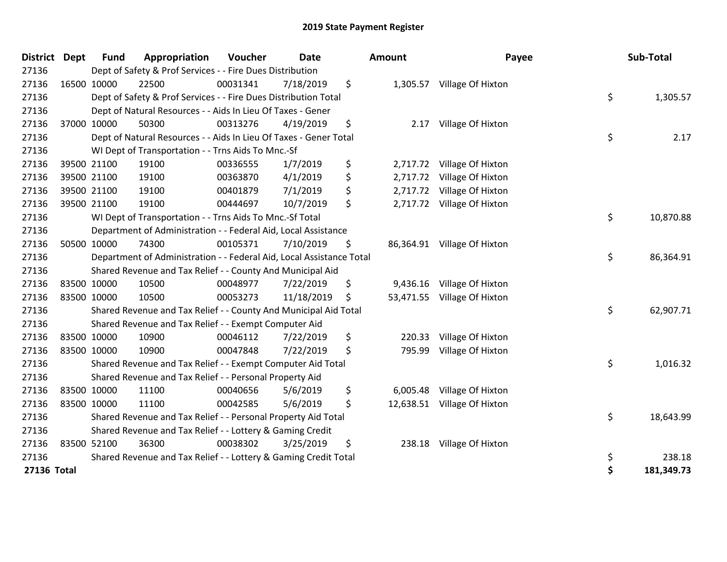| <b>District</b>    | <b>Dept</b> | <b>Fund</b> | Appropriation                                                        | Voucher  | <b>Date</b> | <b>Amount</b>  | Payee                       |    | Sub-Total  |
|--------------------|-------------|-------------|----------------------------------------------------------------------|----------|-------------|----------------|-----------------------------|----|------------|
| 27136              |             |             | Dept of Safety & Prof Services - - Fire Dues Distribution            |          |             |                |                             |    |            |
| 27136              |             | 16500 10000 | 22500                                                                | 00031341 | 7/18/2019   | \$             | 1,305.57 Village Of Hixton  |    |            |
| 27136              |             |             | Dept of Safety & Prof Services - - Fire Dues Distribution Total      |          |             |                |                             | \$ | 1,305.57   |
| 27136              |             |             | Dept of Natural Resources - - Aids In Lieu Of Taxes - Gener          |          |             |                |                             |    |            |
| 27136              |             | 37000 10000 | 50300                                                                | 00313276 | 4/19/2019   | \$<br>2.17     | Village Of Hixton           |    |            |
| 27136              |             |             | Dept of Natural Resources - - Aids In Lieu Of Taxes - Gener Total    |          |             |                |                             | \$ | 2.17       |
| 27136              |             |             | WI Dept of Transportation - - Trns Aids To Mnc.-Sf                   |          |             |                |                             |    |            |
| 27136              |             | 39500 21100 | 19100                                                                | 00336555 | 1/7/2019    | \$<br>2,717.72 | Village Of Hixton           |    |            |
| 27136              |             | 39500 21100 | 19100                                                                | 00363870 | 4/1/2019    | \$<br>2,717.72 | Village Of Hixton           |    |            |
| 27136              |             | 39500 21100 | 19100                                                                | 00401879 | 7/1/2019    | \$             | 2,717.72 Village Of Hixton  |    |            |
| 27136              |             | 39500 21100 | 19100                                                                | 00444697 | 10/7/2019   | \$             | 2,717.72 Village Of Hixton  |    |            |
| 27136              |             |             | WI Dept of Transportation - - Trns Aids To Mnc.-Sf Total             |          |             |                |                             | \$ | 10,870.88  |
| 27136              |             |             | Department of Administration - - Federal Aid, Local Assistance       |          |             |                |                             |    |            |
| 27136              |             | 50500 10000 | 74300                                                                | 00105371 | 7/10/2019   | \$             | 86,364.91 Village Of Hixton |    |            |
| 27136              |             |             | Department of Administration - - Federal Aid, Local Assistance Total |          |             |                |                             | \$ | 86,364.91  |
| 27136              |             |             | Shared Revenue and Tax Relief - - County And Municipal Aid           |          |             |                |                             |    |            |
| 27136              |             | 83500 10000 | 10500                                                                | 00048977 | 7/22/2019   | \$             | 9,436.16 Village Of Hixton  |    |            |
| 27136              |             | 83500 10000 | 10500                                                                | 00053273 | 11/18/2019  | \$             | 53,471.55 Village Of Hixton |    |            |
| 27136              |             |             | Shared Revenue and Tax Relief - - County And Municipal Aid Total     |          |             |                |                             | \$ | 62,907.71  |
| 27136              |             |             | Shared Revenue and Tax Relief - - Exempt Computer Aid                |          |             |                |                             |    |            |
| 27136              |             | 83500 10000 | 10900                                                                | 00046112 | 7/22/2019   | \$<br>220.33   | Village Of Hixton           |    |            |
| 27136              |             | 83500 10000 | 10900                                                                | 00047848 | 7/22/2019   | \$<br>795.99   | Village Of Hixton           |    |            |
| 27136              |             |             | Shared Revenue and Tax Relief - - Exempt Computer Aid Total          |          |             |                |                             | \$ | 1,016.32   |
| 27136              |             |             | Shared Revenue and Tax Relief - - Personal Property Aid              |          |             |                |                             |    |            |
| 27136              |             | 83500 10000 | 11100                                                                | 00040656 | 5/6/2019    | \$             | 6,005.48 Village Of Hixton  |    |            |
| 27136              |             | 83500 10000 | 11100                                                                | 00042585 | 5/6/2019    | \$             | 12,638.51 Village Of Hixton |    |            |
| 27136              |             |             | Shared Revenue and Tax Relief - - Personal Property Aid Total        |          |             |                |                             | \$ | 18,643.99  |
| 27136              |             |             | Shared Revenue and Tax Relief - - Lottery & Gaming Credit            |          |             |                |                             |    |            |
| 27136              |             | 83500 52100 | 36300                                                                | 00038302 | 3/25/2019   | \$<br>238.18   | Village Of Hixton           |    |            |
| 27136              |             |             | Shared Revenue and Tax Relief - - Lottery & Gaming Credit Total      |          |             |                |                             | \$ | 238.18     |
| <b>27136 Total</b> |             |             |                                                                      |          |             |                |                             | Ś  | 181,349.73 |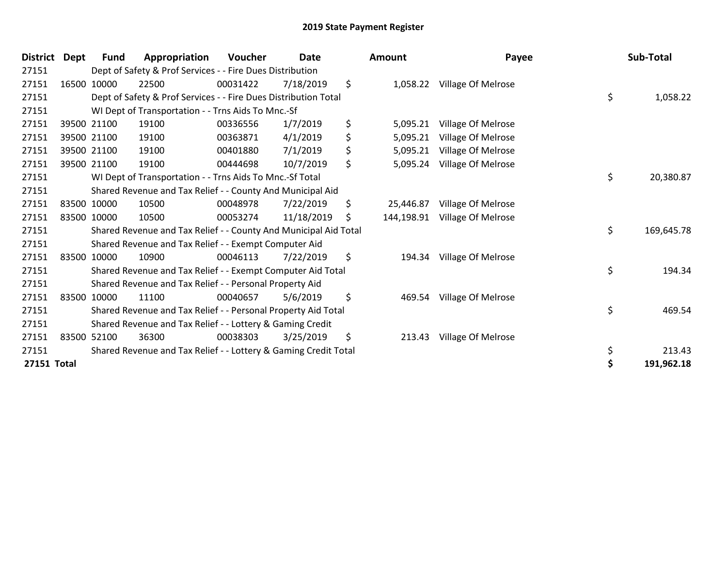| <b>District</b> | Dept | Fund        | Appropriation                                                    | <b>Voucher</b> | Date       | <b>Amount</b>    | Payee              | Sub-Total        |
|-----------------|------|-------------|------------------------------------------------------------------|----------------|------------|------------------|--------------------|------------------|
| 27151           |      |             | Dept of Safety & Prof Services - - Fire Dues Distribution        |                |            |                  |                    |                  |
| 27151           |      | 16500 10000 | 22500                                                            | 00031422       | 7/18/2019  | \$<br>1,058.22   | Village Of Melrose |                  |
| 27151           |      |             | Dept of Safety & Prof Services - - Fire Dues Distribution Total  |                |            |                  |                    | \$<br>1,058.22   |
| 27151           |      |             | WI Dept of Transportation - - Trns Aids To Mnc.-Sf               |                |            |                  |                    |                  |
| 27151           |      | 39500 21100 | 19100                                                            | 00336556       | 1/7/2019   | \$<br>5,095.21   | Village Of Melrose |                  |
| 27151           |      | 39500 21100 | 19100                                                            | 00363871       | 4/1/2019   | \$<br>5,095.21   | Village Of Melrose |                  |
| 27151           |      | 39500 21100 | 19100                                                            | 00401880       | 7/1/2019   | \$<br>5,095.21   | Village Of Melrose |                  |
| 27151           |      | 39500 21100 | 19100                                                            | 00444698       | 10/7/2019  | \$<br>5,095.24   | Village Of Melrose |                  |
| 27151           |      |             | WI Dept of Transportation - - Trns Aids To Mnc.-Sf Total         |                |            |                  |                    | \$<br>20,380.87  |
| 27151           |      |             | Shared Revenue and Tax Relief - - County And Municipal Aid       |                |            |                  |                    |                  |
| 27151           |      | 83500 10000 | 10500                                                            | 00048978       | 7/22/2019  | \$<br>25,446.87  | Village Of Melrose |                  |
| 27151           |      | 83500 10000 | 10500                                                            | 00053274       | 11/18/2019 | \$<br>144,198.91 | Village Of Melrose |                  |
| 27151           |      |             | Shared Revenue and Tax Relief - - County And Municipal Aid Total |                |            |                  |                    | \$<br>169,645.78 |
| 27151           |      |             | Shared Revenue and Tax Relief - - Exempt Computer Aid            |                |            |                  |                    |                  |
| 27151           |      | 83500 10000 | 10900                                                            | 00046113       | 7/22/2019  | \$<br>194.34     | Village Of Melrose |                  |
| 27151           |      |             | Shared Revenue and Tax Relief - - Exempt Computer Aid Total      |                |            |                  |                    | \$<br>194.34     |
| 27151           |      |             | Shared Revenue and Tax Relief - - Personal Property Aid          |                |            |                  |                    |                  |
| 27151           |      | 83500 10000 | 11100                                                            | 00040657       | 5/6/2019   | \$<br>469.54     | Village Of Melrose |                  |
| 27151           |      |             | Shared Revenue and Tax Relief - - Personal Property Aid Total    |                |            |                  |                    | \$<br>469.54     |
| 27151           |      |             | Shared Revenue and Tax Relief - - Lottery & Gaming Credit        |                |            |                  |                    |                  |
| 27151           |      | 83500 52100 | 36300                                                            | 00038303       | 3/25/2019  | \$<br>213.43     | Village Of Melrose |                  |
| 27151           |      |             | Shared Revenue and Tax Relief - - Lottery & Gaming Credit Total  |                |            |                  |                    | \$<br>213.43     |
| 27151 Total     |      |             |                                                                  |                |            |                  |                    | \$<br>191,962.18 |

| unt      | Payee                                                                                                           |          | Sub-Total  |
|----------|-----------------------------------------------------------------------------------------------------------------|----------|------------|
|          | 1,058.22 Village Of Melrose                                                                                     | \$       | 1,058.22   |
| 5,095.24 | 5,095.21 Village Of Melrose<br>5,095.21 Village Of Melrose<br>5,095.21 Village Of Melrose<br>Village Of Melrose |          |            |
|          |                                                                                                                 | \$       | 20,380.87  |
|          | '5,446.87 Village Of Melrose<br>4,198.91 Village Of Melrose                                                     | \$       | 169,645.78 |
| 194.34   | Village Of Melrose                                                                                              | \$       | 194.34     |
| 469.54   | Village Of Melrose                                                                                              | \$       | 469.54     |
| 213.43   | Village Of Melrose                                                                                              | \$<br>\$ | 213.43     |
|          |                                                                                                                 |          | 191,962.18 |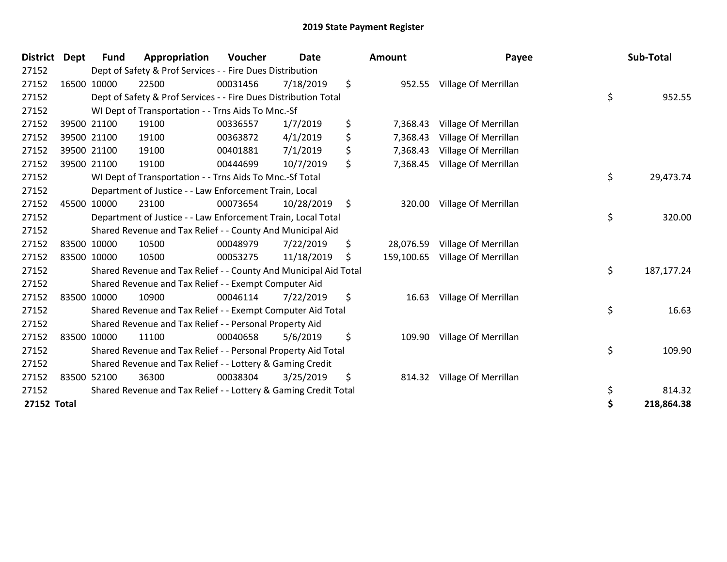| District Dept      | <b>Fund</b> | Appropriation                                                    | Voucher  | <b>Date</b> | <b>Amount</b>    | Payee                       | Sub-Total          |
|--------------------|-------------|------------------------------------------------------------------|----------|-------------|------------------|-----------------------------|--------------------|
| 27152              |             | Dept of Safety & Prof Services - - Fire Dues Distribution        |          |             |                  |                             |                    |
| 27152              | 16500 10000 | 22500                                                            | 00031456 | 7/18/2019   | \$               | 952.55 Village Of Merrillan |                    |
| 27152              |             | Dept of Safety & Prof Services - - Fire Dues Distribution Total  |          |             |                  |                             | \$<br>952.55       |
| 27152              |             | WI Dept of Transportation - - Trns Aids To Mnc.-Sf               |          |             |                  |                             |                    |
| 27152              | 39500 21100 | 19100                                                            | 00336557 | 1/7/2019    | \$<br>7,368.43   | Village Of Merrillan        |                    |
| 27152              | 39500 21100 | 19100                                                            | 00363872 | 4/1/2019    | \$<br>7,368.43   | Village Of Merrillan        |                    |
| 27152              | 39500 21100 | 19100                                                            | 00401881 | 7/1/2019    | \$<br>7,368.43   | Village Of Merrillan        |                    |
| 27152              | 39500 21100 | 19100                                                            | 00444699 | 10/7/2019   | \$<br>7,368.45   | Village Of Merrillan        |                    |
| 27152              |             | WI Dept of Transportation - - Trns Aids To Mnc.-Sf Total         |          |             |                  |                             | \$<br>29,473.74    |
| 27152              |             | Department of Justice - - Law Enforcement Train, Local           |          |             |                  |                             |                    |
| 27152              | 45500 10000 | 23100                                                            | 00073654 | 10/28/2019  | \$<br>320.00     | Village Of Merrillan        |                    |
| 27152              |             | Department of Justice - - Law Enforcement Train, Local Total     |          |             |                  |                             | \$<br>320.00       |
| 27152              |             | Shared Revenue and Tax Relief - - County And Municipal Aid       |          |             |                  |                             |                    |
| 27152              | 83500 10000 | 10500                                                            | 00048979 | 7/22/2019   | \$<br>28,076.59  | Village Of Merrillan        |                    |
| 27152              | 83500 10000 | 10500                                                            | 00053275 | 11/18/2019  | \$<br>159,100.65 | Village Of Merrillan        |                    |
| 27152              |             | Shared Revenue and Tax Relief - - County And Municipal Aid Total |          |             |                  |                             | \$<br>187, 177. 24 |
| 27152              |             | Shared Revenue and Tax Relief - - Exempt Computer Aid            |          |             |                  |                             |                    |
| 27152              | 83500 10000 | 10900                                                            | 00046114 | 7/22/2019   | \$<br>16.63      | Village Of Merrillan        |                    |
| 27152              |             | Shared Revenue and Tax Relief - - Exempt Computer Aid Total      |          |             |                  |                             | \$<br>16.63        |
| 27152              |             | Shared Revenue and Tax Relief - - Personal Property Aid          |          |             |                  |                             |                    |
| 27152              | 83500 10000 | 11100                                                            | 00040658 | 5/6/2019    | \$<br>109.90     | Village Of Merrillan        |                    |
| 27152              |             | Shared Revenue and Tax Relief - - Personal Property Aid Total    |          |             |                  |                             | \$<br>109.90       |
| 27152              |             | Shared Revenue and Tax Relief - - Lottery & Gaming Credit        |          |             |                  |                             |                    |
| 27152              | 83500 52100 | 36300                                                            | 00038304 | 3/25/2019   | \$               | 814.32 Village Of Merrillan |                    |
| 27152              |             | Shared Revenue and Tax Relief - - Lottery & Gaming Credit Total  |          |             |                  |                             | \$<br>814.32       |
| <b>27152 Total</b> |             |                                                                  |          |             |                  |                             | \$<br>218,864.38   |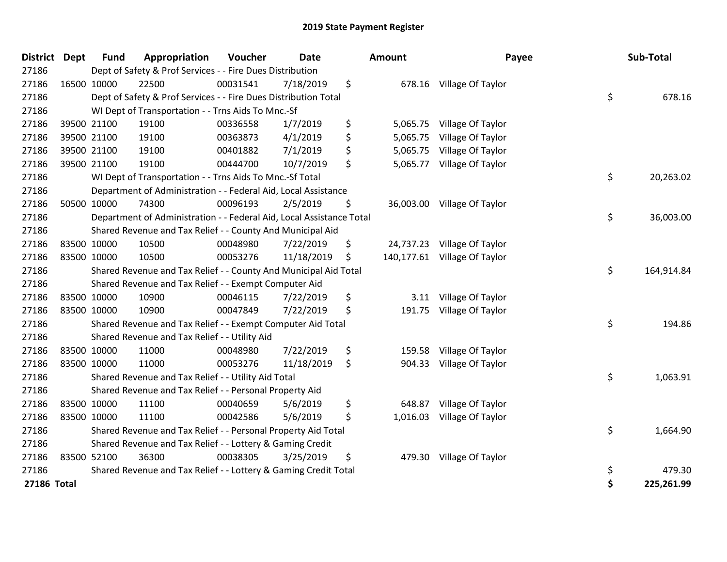| <b>District</b>    | <b>Dept</b> | <b>Fund</b> | Appropriation                                                        | Voucher         | <b>Date</b> | <b>Amount</b>  | Payee                        | Sub-Total        |
|--------------------|-------------|-------------|----------------------------------------------------------------------|-----------------|-------------|----------------|------------------------------|------------------|
| 27186              |             |             | Dept of Safety & Prof Services - - Fire Dues Distribution            |                 |             |                |                              |                  |
| 27186              | 16500 10000 |             | 22500                                                                | 00031541        | 7/18/2019   | \$             | 678.16 Village Of Taylor     |                  |
| 27186              |             |             | Dept of Safety & Prof Services - - Fire Dues Distribution Total      |                 |             |                |                              | \$<br>678.16     |
| 27186              |             |             | WI Dept of Transportation - - Trns Aids To Mnc.-Sf                   |                 |             |                |                              |                  |
| 27186              |             | 39500 21100 | 19100                                                                | 00336558        | 1/7/2019    | \$<br>5,065.75 | Village Of Taylor            |                  |
| 27186              |             | 39500 21100 | 19100                                                                | 00363873        | 4/1/2019    | \$<br>5,065.75 | Village Of Taylor            |                  |
| 27186              |             | 39500 21100 | 19100                                                                | 00401882        | 7/1/2019    | \$<br>5,065.75 | Village Of Taylor            |                  |
| 27186              |             | 39500 21100 | 19100                                                                | 00444700        | 10/7/2019   | \$<br>5,065.77 | Village Of Taylor            |                  |
| 27186              |             |             | WI Dept of Transportation - - Trns Aids To Mnc.-Sf Total             | \$<br>20,263.02 |             |                |                              |                  |
| 27186              |             |             | Department of Administration - - Federal Aid, Local Assistance       |                 |             |                |                              |                  |
| 27186              |             | 50500 10000 | 74300                                                                | 00096193        | 2/5/2019    | \$             | 36,003.00 Village Of Taylor  |                  |
| 27186              |             |             | Department of Administration - - Federal Aid, Local Assistance Total |                 |             |                |                              | \$<br>36,003.00  |
| 27186              |             |             | Shared Revenue and Tax Relief - - County And Municipal Aid           |                 |             |                |                              |                  |
| 27186              |             | 83500 10000 | 10500                                                                | 00048980        | 7/22/2019   | \$             | 24,737.23 Village Of Taylor  |                  |
| 27186              | 83500 10000 |             | 10500                                                                | 00053276        | 11/18/2019  | \$             | 140,177.61 Village Of Taylor |                  |
| 27186              |             |             | Shared Revenue and Tax Relief - - County And Municipal Aid Total     |                 |             |                |                              | \$<br>164,914.84 |
| 27186              |             |             | Shared Revenue and Tax Relief - - Exempt Computer Aid                |                 |             |                |                              |                  |
| 27186              |             | 83500 10000 | 10900                                                                | 00046115        | 7/22/2019   | \$<br>3.11     | Village Of Taylor            |                  |
| 27186              |             | 83500 10000 | 10900                                                                | 00047849        | 7/22/2019   | \$<br>191.75   | Village Of Taylor            |                  |
| 27186              |             |             | Shared Revenue and Tax Relief - - Exempt Computer Aid Total          |                 |             |                |                              | \$<br>194.86     |
| 27186              |             |             | Shared Revenue and Tax Relief - - Utility Aid                        |                 |             |                |                              |                  |
| 27186              | 83500 10000 |             | 11000                                                                | 00048980        | 7/22/2019   | \$<br>159.58   | Village Of Taylor            |                  |
| 27186              |             | 83500 10000 | 11000                                                                | 00053276        | 11/18/2019  | \$<br>904.33   | Village Of Taylor            |                  |
| 27186              |             |             | Shared Revenue and Tax Relief - - Utility Aid Total                  |                 |             |                |                              | \$<br>1,063.91   |
| 27186              |             |             | Shared Revenue and Tax Relief - - Personal Property Aid              |                 |             |                |                              |                  |
| 27186              | 83500 10000 |             | 11100                                                                | 00040659        | 5/6/2019    | \$<br>648.87   | Village Of Taylor            |                  |
| 27186              |             | 83500 10000 | 11100                                                                | 00042586        | 5/6/2019    | \$<br>1,016.03 | Village Of Taylor            |                  |
| 27186              |             |             | Shared Revenue and Tax Relief - - Personal Property Aid Total        |                 |             |                |                              | \$<br>1,664.90   |
| 27186              |             |             | Shared Revenue and Tax Relief - - Lottery & Gaming Credit            |                 |             |                |                              |                  |
| 27186              |             | 83500 52100 | 36300                                                                | 00038305        | 3/25/2019   | \$             | 479.30 Village Of Taylor     |                  |
| 27186              |             |             | Shared Revenue and Tax Relief - - Lottery & Gaming Credit Total      |                 |             |                |                              | \$<br>479.30     |
| <b>27186 Total</b> |             |             |                                                                      |                 |             |                |                              | \$<br>225,261.99 |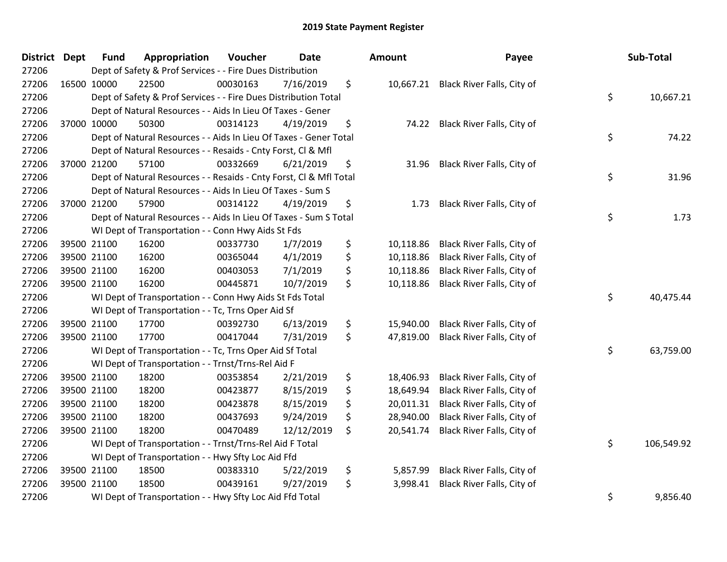| District Dept | <b>Fund</b> | Appropriation                                                      | Voucher  | <b>Date</b> | Amount          | Payee                                | Sub-Total        |
|---------------|-------------|--------------------------------------------------------------------|----------|-------------|-----------------|--------------------------------------|------------------|
| 27206         |             | Dept of Safety & Prof Services - - Fire Dues Distribution          |          |             |                 |                                      |                  |
| 27206         | 16500 10000 | 22500                                                              | 00030163 | 7/16/2019   | \$              | 10,667.21 Black River Falls, City of |                  |
| 27206         |             | Dept of Safety & Prof Services - - Fire Dues Distribution Total    |          |             |                 |                                      | \$<br>10,667.21  |
| 27206         |             | Dept of Natural Resources - - Aids In Lieu Of Taxes - Gener        |          |             |                 |                                      |                  |
| 27206         | 37000 10000 | 50300                                                              | 00314123 | 4/19/2019   | \$<br>74.22     | Black River Falls, City of           |                  |
| 27206         |             | Dept of Natural Resources - - Aids In Lieu Of Taxes - Gener Total  |          |             |                 |                                      | \$<br>74.22      |
| 27206         |             | Dept of Natural Resources - - Resaids - Cnty Forst, Cl & Mfl       |          |             |                 |                                      |                  |
| 27206         | 37000 21200 | 57100                                                              | 00332669 | 6/21/2019   | \$<br>31.96     | Black River Falls, City of           |                  |
| 27206         |             | Dept of Natural Resources - - Resaids - Cnty Forst, Cl & Mfl Total |          |             |                 |                                      | \$<br>31.96      |
| 27206         |             | Dept of Natural Resources - - Aids In Lieu Of Taxes - Sum S        |          |             |                 |                                      |                  |
| 27206         | 37000 21200 | 57900                                                              | 00314122 | 4/19/2019   | \$<br>1.73      | Black River Falls, City of           |                  |
| 27206         |             | Dept of Natural Resources - - Aids In Lieu Of Taxes - Sum S Total  |          |             |                 |                                      | \$<br>1.73       |
| 27206         |             | WI Dept of Transportation - - Conn Hwy Aids St Fds                 |          |             |                 |                                      |                  |
| 27206         | 39500 21100 | 16200                                                              | 00337730 | 1/7/2019    | \$<br>10,118.86 | Black River Falls, City of           |                  |
| 27206         | 39500 21100 | 16200                                                              | 00365044 | 4/1/2019    | \$<br>10,118.86 | Black River Falls, City of           |                  |
| 27206         | 39500 21100 | 16200                                                              | 00403053 | 7/1/2019    | \$<br>10,118.86 | Black River Falls, City of           |                  |
| 27206         | 39500 21100 | 16200                                                              | 00445871 | 10/7/2019   | \$<br>10,118.86 | Black River Falls, City of           |                  |
| 27206         |             | WI Dept of Transportation - - Conn Hwy Aids St Fds Total           |          |             |                 |                                      | \$<br>40,475.44  |
| 27206         |             | WI Dept of Transportation - - Tc, Trns Oper Aid Sf                 |          |             |                 |                                      |                  |
| 27206         | 39500 21100 | 17700                                                              | 00392730 | 6/13/2019   | \$<br>15,940.00 | Black River Falls, City of           |                  |
| 27206         | 39500 21100 | 17700                                                              | 00417044 | 7/31/2019   | \$<br>47,819.00 | Black River Falls, City of           |                  |
| 27206         |             | WI Dept of Transportation - - Tc, Trns Oper Aid Sf Total           |          |             |                 |                                      | \$<br>63,759.00  |
| 27206         |             | WI Dept of Transportation - - Trnst/Trns-Rel Aid F                 |          |             |                 |                                      |                  |
| 27206         | 39500 21100 | 18200                                                              | 00353854 | 2/21/2019   | \$<br>18,406.93 | Black River Falls, City of           |                  |
| 27206         | 39500 21100 | 18200                                                              | 00423877 | 8/15/2019   | \$<br>18,649.94 | Black River Falls, City of           |                  |
| 27206         | 39500 21100 | 18200                                                              | 00423878 | 8/15/2019   | \$<br>20,011.31 | Black River Falls, City of           |                  |
| 27206         | 39500 21100 | 18200                                                              | 00437693 | 9/24/2019   | \$<br>28,940.00 | Black River Falls, City of           |                  |
| 27206         | 39500 21100 | 18200                                                              | 00470489 | 12/12/2019  | \$<br>20,541.74 | Black River Falls, City of           |                  |
| 27206         |             | WI Dept of Transportation - - Trnst/Trns-Rel Aid F Total           |          |             |                 |                                      | \$<br>106,549.92 |
| 27206         |             | WI Dept of Transportation - - Hwy Sfty Loc Aid Ffd                 |          |             |                 |                                      |                  |
| 27206         | 39500 21100 | 18500                                                              | 00383310 | 5/22/2019   | \$<br>5,857.99  | Black River Falls, City of           |                  |
| 27206         | 39500 21100 | 18500                                                              | 00439161 | 9/27/2019   | \$<br>3,998.41  | Black River Falls, City of           |                  |
| 27206         |             | WI Dept of Transportation - - Hwy Sfty Loc Aid Ffd Total           |          |             |                 |                                      | \$<br>9,856.40   |

| าount     | Payee                      | Sub-Total        |
|-----------|----------------------------|------------------|
| 10,667.21 | Black River Falls, City of | \$<br>10,667.21  |
| 74.22     | Black River Falls, City of | \$<br>74.22      |
| 31.96     | Black River Falls, City of | \$<br>31.96      |
| 1.73      | Black River Falls, City of | \$<br>1.73       |
| 10,118.86 | Black River Falls, City of |                  |
| 10,118.86 | Black River Falls, City of |                  |
| 10,118.86 | Black River Falls, City of |                  |
| 10,118.86 | Black River Falls, City of |                  |
|           |                            | \$<br>40,475.44  |
| 15,940.00 | Black River Falls, City of |                  |
| 47,819.00 | Black River Falls, City of |                  |
|           |                            | \$<br>63,759.00  |
| 18,406.93 | Black River Falls, City of |                  |
| 18,649.94 | Black River Falls, City of |                  |
| 20,011.31 | Black River Falls, City of |                  |
| 28,940.00 | Black River Falls, City of |                  |
| 20,541.74 | Black River Falls, City of |                  |
|           |                            | \$<br>106,549.92 |
| 5,857.99  | Black River Falls, City of |                  |
| 3,998.41  | Black River Falls, City of |                  |
|           |                            | \$<br>9,856.40   |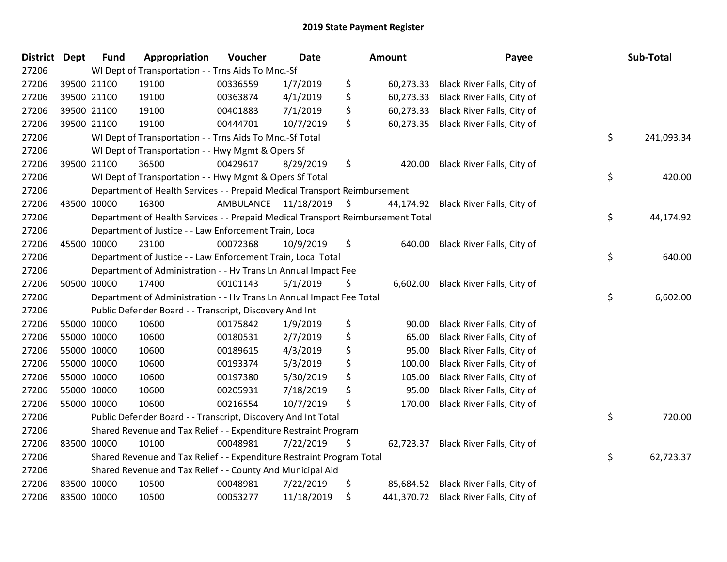| District Dept |             | <b>Fund</b> | Appropriation                                                                   | Voucher              | Date       | <b>Amount</b>   | Payee                                 | Sub-Total        |
|---------------|-------------|-------------|---------------------------------------------------------------------------------|----------------------|------------|-----------------|---------------------------------------|------------------|
| 27206         |             |             | WI Dept of Transportation - - Trns Aids To Mnc.-Sf                              |                      |            |                 |                                       |                  |
| 27206         |             | 39500 21100 | 19100                                                                           | 00336559             | 1/7/2019   | \$<br>60,273.33 | Black River Falls, City of            |                  |
| 27206         | 39500 21100 |             | 19100                                                                           | 00363874             | 4/1/2019   | \$<br>60,273.33 | Black River Falls, City of            |                  |
| 27206         | 39500 21100 |             | 19100                                                                           | 00401883             | 7/1/2019   | \$<br>60,273.33 | Black River Falls, City of            |                  |
| 27206         |             | 39500 21100 | 19100                                                                           | 00444701             | 10/7/2019  | \$<br>60,273.35 | Black River Falls, City of            |                  |
| 27206         |             |             | WI Dept of Transportation - - Trns Aids To Mnc.-Sf Total                        |                      |            |                 |                                       | \$<br>241,093.34 |
| 27206         |             |             | WI Dept of Transportation - - Hwy Mgmt & Opers Sf                               |                      |            |                 |                                       |                  |
| 27206         |             | 39500 21100 | 36500                                                                           | 00429617             | 8/29/2019  | \$<br>420.00    | Black River Falls, City of            |                  |
| 27206         |             |             | WI Dept of Transportation - - Hwy Mgmt & Opers Sf Total                         |                      |            |                 |                                       | \$<br>420.00     |
| 27206         |             |             | Department of Health Services - - Prepaid Medical Transport Reimbursement       |                      |            |                 |                                       |                  |
| 27206         |             | 43500 10000 | 16300                                                                           | AMBULANCE 11/18/2019 |            | \$<br>44,174.92 | Black River Falls, City of            |                  |
| 27206         |             |             | Department of Health Services - - Prepaid Medical Transport Reimbursement Total |                      |            |                 |                                       | \$<br>44,174.92  |
| 27206         |             |             | Department of Justice - - Law Enforcement Train, Local                          |                      |            |                 |                                       |                  |
| 27206         |             | 45500 10000 | 23100                                                                           | 00072368             | 10/9/2019  | \$<br>640.00    | Black River Falls, City of            |                  |
| 27206         |             |             | Department of Justice - - Law Enforcement Train, Local Total                    |                      |            |                 |                                       | \$<br>640.00     |
| 27206         |             |             | Department of Administration - - Hv Trans Ln Annual Impact Fee                  |                      |            |                 |                                       |                  |
| 27206         |             | 50500 10000 | 17400                                                                           | 00101143             | 5/1/2019   | \$<br>6,602.00  | Black River Falls, City of            |                  |
| 27206         |             |             | Department of Administration - - Hv Trans Ln Annual Impact Fee Total            |                      |            |                 |                                       | \$<br>6,602.00   |
| 27206         |             |             | Public Defender Board - - Transcript, Discovery And Int                         |                      |            |                 |                                       |                  |
| 27206         | 55000 10000 |             | 10600                                                                           | 00175842             | 1/9/2019   | \$<br>90.00     | Black River Falls, City of            |                  |
| 27206         |             | 55000 10000 | 10600                                                                           | 00180531             | 2/7/2019   | \$<br>65.00     | Black River Falls, City of            |                  |
| 27206         |             | 55000 10000 | 10600                                                                           | 00189615             | 4/3/2019   | \$<br>95.00     | Black River Falls, City of            |                  |
| 27206         | 55000 10000 |             | 10600                                                                           | 00193374             | 5/3/2019   | \$<br>100.00    | Black River Falls, City of            |                  |
| 27206         | 55000 10000 |             | 10600                                                                           | 00197380             | 5/30/2019  | \$<br>105.00    | Black River Falls, City of            |                  |
| 27206         | 55000 10000 |             | 10600                                                                           | 00205931             | 7/18/2019  | \$<br>95.00     | Black River Falls, City of            |                  |
| 27206         |             | 55000 10000 | 10600                                                                           | 00216554             | 10/7/2019  | \$<br>170.00    | Black River Falls, City of            |                  |
| 27206         |             |             | Public Defender Board - - Transcript, Discovery And Int Total                   |                      |            |                 |                                       | \$<br>720.00     |
| 27206         |             |             | Shared Revenue and Tax Relief - - Expenditure Restraint Program                 |                      |            |                 |                                       |                  |
| 27206         | 83500 10000 |             | 10100                                                                           | 00048981             | 7/22/2019  | \$<br>62,723.37 | Black River Falls, City of            |                  |
| 27206         |             |             | Shared Revenue and Tax Relief - - Expenditure Restraint Program Total           |                      |            |                 |                                       | \$<br>62,723.37  |
| 27206         |             |             | Shared Revenue and Tax Relief - - County And Municipal Aid                      |                      |            |                 |                                       |                  |
| 27206         | 83500 10000 |             | 10500                                                                           | 00048981             | 7/22/2019  | \$<br>85,684.52 | Black River Falls, City of            |                  |
| 27206         | 83500 10000 |             | 10500                                                                           | 00053277             | 11/18/2019 | \$              | 441,370.72 Black River Falls, City of |                  |